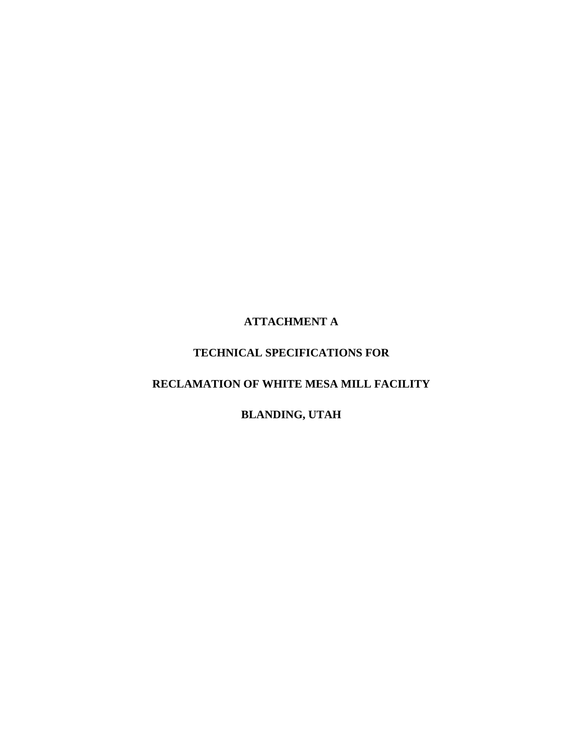# **ATTACHMENT A**

# **TECHNICAL SPECIFICATIONS FOR**

# **RECLAMATION OF WHITE MESA MILL FACILITY**

# **BLANDING, UTAH**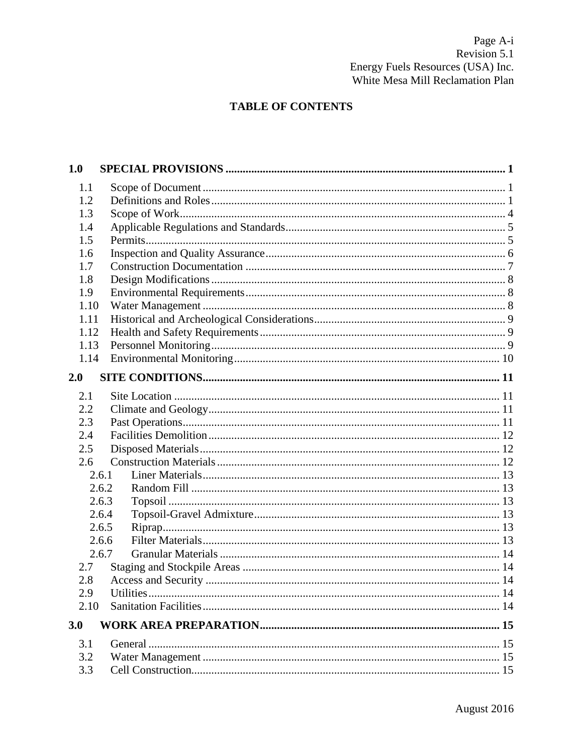# **TABLE OF CONTENTS**

| 1.0   |  |
|-------|--|
| 1.1   |  |
| 1.2   |  |
| 1.3   |  |
| 1.4   |  |
| 1.5   |  |
| 1.6   |  |
| 1.7   |  |
| 1.8   |  |
| 1.9   |  |
| 1.10  |  |
| 1.11  |  |
| 1.12  |  |
| 1.13  |  |
| 1.14  |  |
| 2.0   |  |
| 2.1   |  |
| 2.2   |  |
| 2.3   |  |
| 2.4   |  |
| 2.5   |  |
| 2.6   |  |
| 2.6.1 |  |
| 2.6.2 |  |
| 2.6.3 |  |
| 2.6.4 |  |
| 2.6.5 |  |
| 2.6.6 |  |
| 2.6.7 |  |
| 2.7   |  |
| 2.8   |  |
| 2.9   |  |
| 2.10  |  |
| 3.0   |  |
| 3.1   |  |
| 3.2   |  |
| 3.3   |  |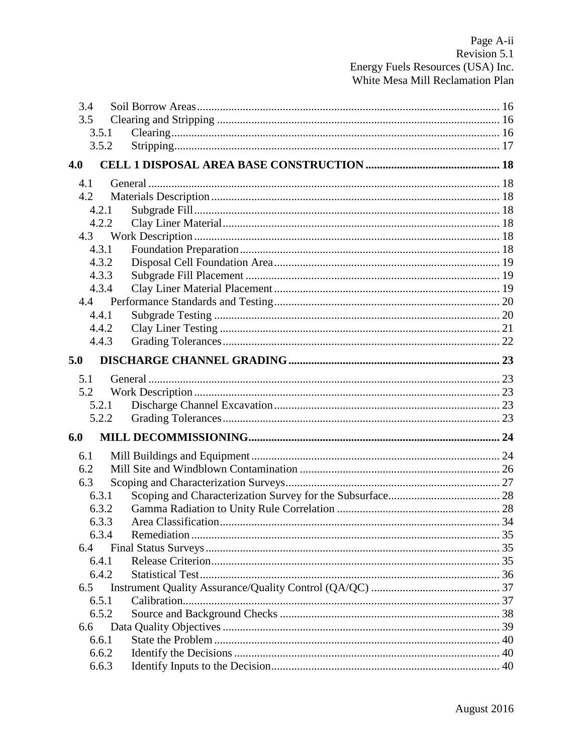| 3.5<br>3.5.1<br>3.5.2<br>4.0<br>4.1<br>4.2<br>4.2.1<br>4.2.2<br>4.3<br>4.3.1<br>4.3.2<br>4.3.3<br>4.3.4<br>4.4.1<br>4.4.2<br>4.4.3<br>5.0<br>5.1<br>5.2<br>5.2.1<br>5.2.2<br>6.0<br>6.1<br>6.2<br>6.3<br>6.3.1<br>6.3.2<br>Area Classification.<br>633<br>34<br>6.3.4<br>6.4<br>6.4.1<br>6.4.2<br>6.5<br>6.5.1<br>6.5.2 | 3.4 |  |
|-------------------------------------------------------------------------------------------------------------------------------------------------------------------------------------------------------------------------------------------------------------------------------------------------------------------------|-----|--|
|                                                                                                                                                                                                                                                                                                                         |     |  |
|                                                                                                                                                                                                                                                                                                                         |     |  |
|                                                                                                                                                                                                                                                                                                                         |     |  |
|                                                                                                                                                                                                                                                                                                                         |     |  |
|                                                                                                                                                                                                                                                                                                                         |     |  |
|                                                                                                                                                                                                                                                                                                                         |     |  |
|                                                                                                                                                                                                                                                                                                                         |     |  |
|                                                                                                                                                                                                                                                                                                                         |     |  |
|                                                                                                                                                                                                                                                                                                                         |     |  |
|                                                                                                                                                                                                                                                                                                                         |     |  |
|                                                                                                                                                                                                                                                                                                                         |     |  |
|                                                                                                                                                                                                                                                                                                                         |     |  |
|                                                                                                                                                                                                                                                                                                                         |     |  |
|                                                                                                                                                                                                                                                                                                                         |     |  |
|                                                                                                                                                                                                                                                                                                                         |     |  |
|                                                                                                                                                                                                                                                                                                                         |     |  |
|                                                                                                                                                                                                                                                                                                                         |     |  |
|                                                                                                                                                                                                                                                                                                                         |     |  |
|                                                                                                                                                                                                                                                                                                                         |     |  |
|                                                                                                                                                                                                                                                                                                                         |     |  |
|                                                                                                                                                                                                                                                                                                                         |     |  |
|                                                                                                                                                                                                                                                                                                                         |     |  |
|                                                                                                                                                                                                                                                                                                                         |     |  |
|                                                                                                                                                                                                                                                                                                                         |     |  |
|                                                                                                                                                                                                                                                                                                                         |     |  |
|                                                                                                                                                                                                                                                                                                                         |     |  |
|                                                                                                                                                                                                                                                                                                                         |     |  |
|                                                                                                                                                                                                                                                                                                                         |     |  |
|                                                                                                                                                                                                                                                                                                                         |     |  |
|                                                                                                                                                                                                                                                                                                                         |     |  |
|                                                                                                                                                                                                                                                                                                                         |     |  |
|                                                                                                                                                                                                                                                                                                                         |     |  |
|                                                                                                                                                                                                                                                                                                                         |     |  |
|                                                                                                                                                                                                                                                                                                                         |     |  |
|                                                                                                                                                                                                                                                                                                                         |     |  |
|                                                                                                                                                                                                                                                                                                                         |     |  |
|                                                                                                                                                                                                                                                                                                                         | 6.6 |  |
| 6.6.1                                                                                                                                                                                                                                                                                                                   |     |  |
| 6.6.2                                                                                                                                                                                                                                                                                                                   |     |  |
| 6.6.3                                                                                                                                                                                                                                                                                                                   |     |  |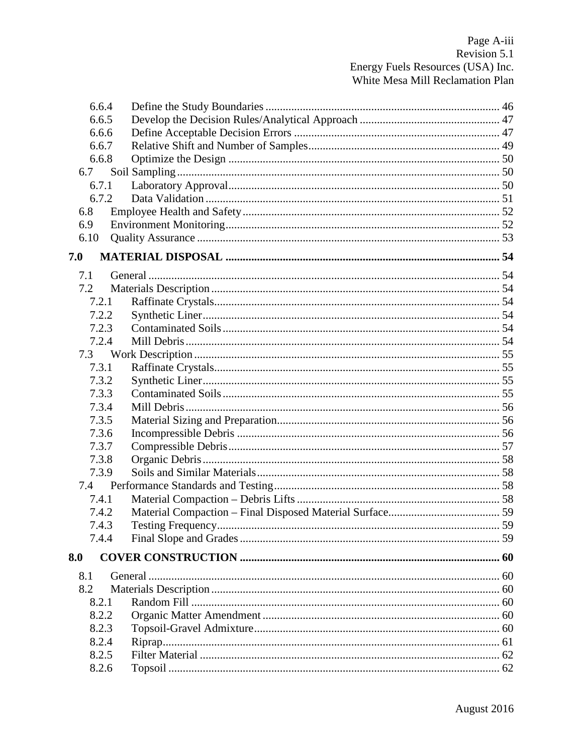| 6.6.4 |  |
|-------|--|
| 6.6.5 |  |
| 6.6.6 |  |
| 6.6.7 |  |
| 6.6.8 |  |
| 6.7   |  |
| 6.7.1 |  |
| 6.7.2 |  |
| 6.8   |  |
| 6.9   |  |
| 6.10  |  |
| 7.0   |  |
| 7.1   |  |
| 7.2   |  |
| 7.2.1 |  |
| 7.2.2 |  |
| 7.2.3 |  |
| 7.2.4 |  |
| 7.3   |  |
| 7.3.1 |  |
| 7.3.2 |  |
| 7.3.3 |  |
| 7.3.4 |  |
| 7.3.5 |  |
| 7.3.6 |  |
| 7.3.7 |  |
| 7.3.8 |  |
| 7.3.9 |  |
|       |  |
| 7.4.1 |  |
| 7.4.2 |  |
| 7.4.3 |  |
| 7.4.4 |  |
| 8.0   |  |
|       |  |
| 8.1   |  |
| 8.2   |  |
| 8.2.1 |  |
| 8.2.2 |  |
| 8.2.3 |  |
| 8.2.4 |  |
| 8.2.5 |  |
| 8.2.6 |  |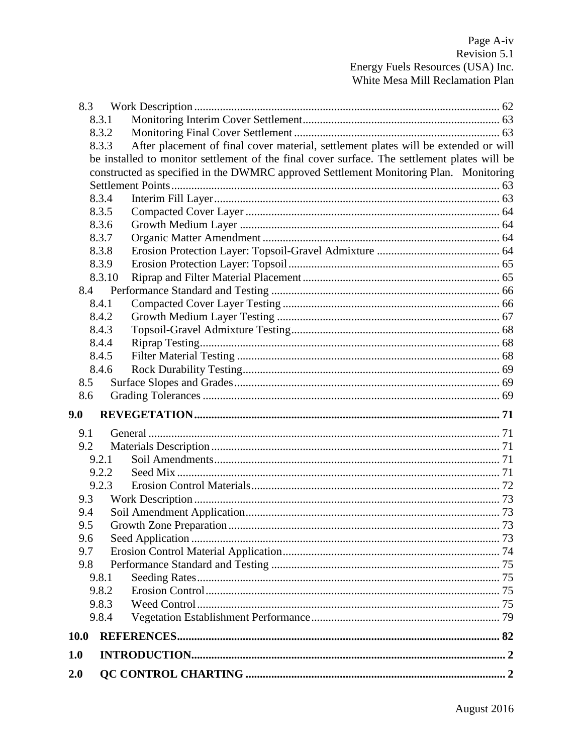| 8.3        |                |                                                                                              |  |
|------------|----------------|----------------------------------------------------------------------------------------------|--|
|            | 8.3.1          |                                                                                              |  |
|            | 8.3.2          |                                                                                              |  |
|            | 8.3.3          | After placement of final cover material, settlement plates will be extended or will          |  |
|            |                | be installed to monitor settlement of the final cover surface. The settlement plates will be |  |
|            |                | constructed as specified in the DWMRC approved Settlement Monitoring Plan. Monitoring        |  |
|            |                |                                                                                              |  |
|            | 8.3.4          |                                                                                              |  |
|            | 8.3.5          |                                                                                              |  |
|            | 8.3.6          |                                                                                              |  |
|            | 8.3.7          |                                                                                              |  |
|            | 8.3.8          |                                                                                              |  |
|            | 8.3.9          |                                                                                              |  |
|            | 8.3.10         |                                                                                              |  |
| 8.4        |                |                                                                                              |  |
|            | 8.4.1          |                                                                                              |  |
|            | 8.4.2<br>8.4.3 |                                                                                              |  |
|            | 8.4.4          |                                                                                              |  |
|            | 8.4.5          |                                                                                              |  |
|            | 8.4.6          |                                                                                              |  |
| 8.5        |                |                                                                                              |  |
| 8.6        |                |                                                                                              |  |
|            |                |                                                                                              |  |
| 9.0        |                |                                                                                              |  |
| 9.1        |                |                                                                                              |  |
| 9.2        |                |                                                                                              |  |
|            | 9.2.1          |                                                                                              |  |
|            | 9.2.2          |                                                                                              |  |
|            | 9.2.3          |                                                                                              |  |
| 9.3        |                |                                                                                              |  |
| 9.4<br>9.5 |                |                                                                                              |  |
| 9.6        |                |                                                                                              |  |
| 9.7        |                |                                                                                              |  |
| 9.8        |                |                                                                                              |  |
|            | 9.8.1          |                                                                                              |  |
|            | 9.8.2          |                                                                                              |  |
|            | 9.8.3          |                                                                                              |  |
|            | 9.8.4          |                                                                                              |  |
| 10.0       |                |                                                                                              |  |
| 1.0        |                |                                                                                              |  |
| 2.0        |                |                                                                                              |  |
|            |                |                                                                                              |  |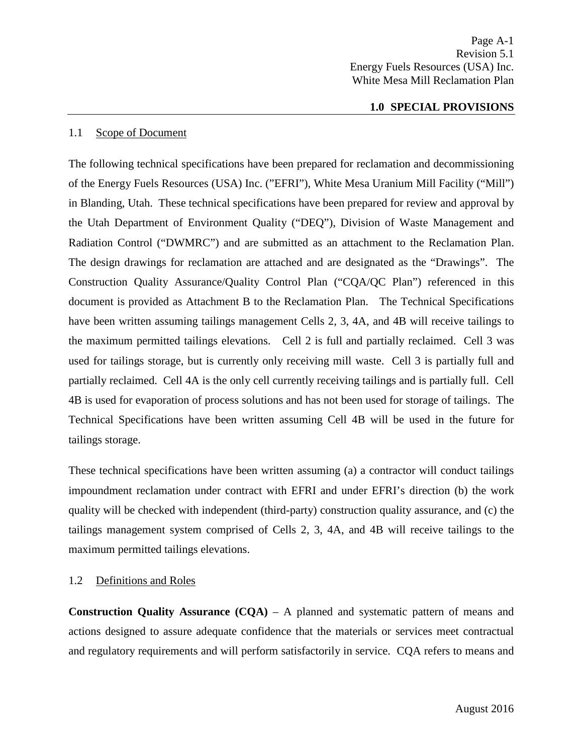#### **1.0 SPECIAL PROVISIONS**

#### <span id="page-5-1"></span><span id="page-5-0"></span>1.1 Scope of Document

The following technical specifications have been prepared for reclamation and decommissioning of the Energy Fuels Resources (USA) Inc. ("EFRI"), White Mesa Uranium Mill Facility ("Mill") in Blanding, Utah. These technical specifications have been prepared for review and approval by the Utah Department of Environment Quality ("DEQ"), Division of Waste Management and Radiation Control ("DWMRC") and are submitted as an attachment to the Reclamation Plan. The design drawings for reclamation are attached and are designated as the "Drawings". The Construction Quality Assurance/Quality Control Plan ("CQA/QC Plan") referenced in this document is provided as Attachment B to the Reclamation Plan. The Technical Specifications have been written assuming tailings management Cells 2, 3, 4A, and 4B will receive tailings to the maximum permitted tailings elevations. Cell 2 is full and partially reclaimed. Cell 3 was used for tailings storage, but is currently only receiving mill waste. Cell 3 is partially full and partially reclaimed. Cell 4A is the only cell currently receiving tailings and is partially full. Cell 4B is used for evaporation of process solutions and has not been used for storage of tailings. The Technical Specifications have been written assuming Cell 4B will be used in the future for tailings storage.

These technical specifications have been written assuming (a) a contractor will conduct tailings impoundment reclamation under contract with EFRI and under EFRI's direction (b) the work quality will be checked with independent (third-party) construction quality assurance, and (c) the tailings management system comprised of Cells 2, 3, 4A, and 4B will receive tailings to the maximum permitted tailings elevations.

## <span id="page-5-2"></span>1.2 Definitions and Roles

**Construction Quality Assurance (CQA)** – A planned and systematic pattern of means and actions designed to assure adequate confidence that the materials or services meet contractual and regulatory requirements and will perform satisfactorily in service. CQA refers to means and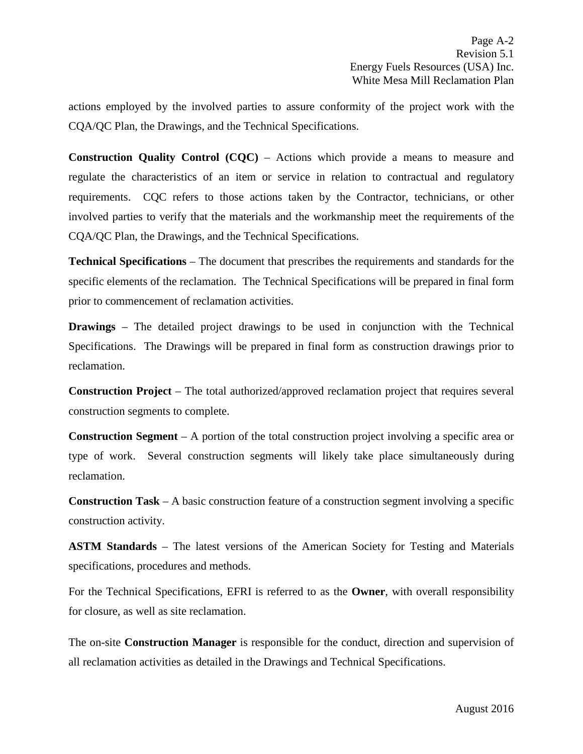actions employed by the involved parties to assure conformity of the project work with the CQA/QC Plan, the Drawings, and the Technical Specifications.

**Construction Quality Control (CQC)** – Actions which provide a means to measure and regulate the characteristics of an item or service in relation to contractual and regulatory requirements. CQC refers to those actions taken by the Contractor, technicians, or other involved parties to verify that the materials and the workmanship meet the requirements of the CQA/QC Plan, the Drawings, and the Technical Specifications.

**Technical Specifications** – The document that prescribes the requirements and standards for the specific elements of the reclamation. The Technical Specifications will be prepared in final form prior to commencement of reclamation activities.

**Drawings** – The detailed project drawings to be used in conjunction with the Technical Specifications. The Drawings will be prepared in final form as construction drawings prior to reclamation.

**Construction Project** – The total authorized/approved reclamation project that requires several construction segments to complete.

**Construction Segment** – A portion of the total construction project involving a specific area or type of work. Several construction segments will likely take place simultaneously during reclamation.

**Construction Task** – A basic construction feature of a construction segment involving a specific construction activity.

**ASTM Standards** – The latest versions of the American Society for Testing and Materials specifications, procedures and methods.

For the Technical Specifications, EFRI is referred to as the **Owner**, with overall responsibility for closure, as well as site reclamation.

The on-site **Construction Manager** is responsible for the conduct, direction and supervision of all reclamation activities as detailed in the Drawings and Technical Specifications.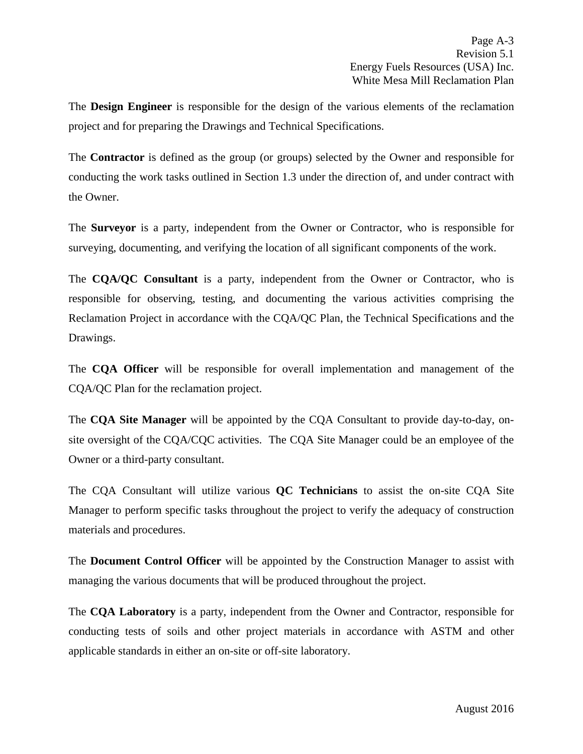The **Design Engineer** is responsible for the design of the various elements of the reclamation project and for preparing the Drawings and Technical Specifications.

The **Contractor** is defined as the group (or groups) selected by the Owner and responsible for conducting the work tasks outlined in Section 1.3 under the direction of, and under contract with the Owner.

The **Surveyor** is a party, independent from the Owner or Contractor, who is responsible for surveying, documenting, and verifying the location of all significant components of the work.

The **CQA/QC Consultant** is a party, independent from the Owner or Contractor, who is responsible for observing, testing, and documenting the various activities comprising the Reclamation Project in accordance with the CQA/QC Plan, the Technical Specifications and the Drawings.

The **CQA Officer** will be responsible for overall implementation and management of the CQA/QC Plan for the reclamation project.

The **CQA Site Manager** will be appointed by the CQA Consultant to provide day-to-day, onsite oversight of the CQA/CQC activities. The CQA Site Manager could be an employee of the Owner or a third-party consultant.

The CQA Consultant will utilize various **QC Technicians** to assist the on-site CQA Site Manager to perform specific tasks throughout the project to verify the adequacy of construction materials and procedures.

The **Document Control Officer** will be appointed by the Construction Manager to assist with managing the various documents that will be produced throughout the project.

The **CQA Laboratory** is a party, independent from the Owner and Contractor, responsible for conducting tests of soils and other project materials in accordance with ASTM and other applicable standards in either an on-site or off-site laboratory.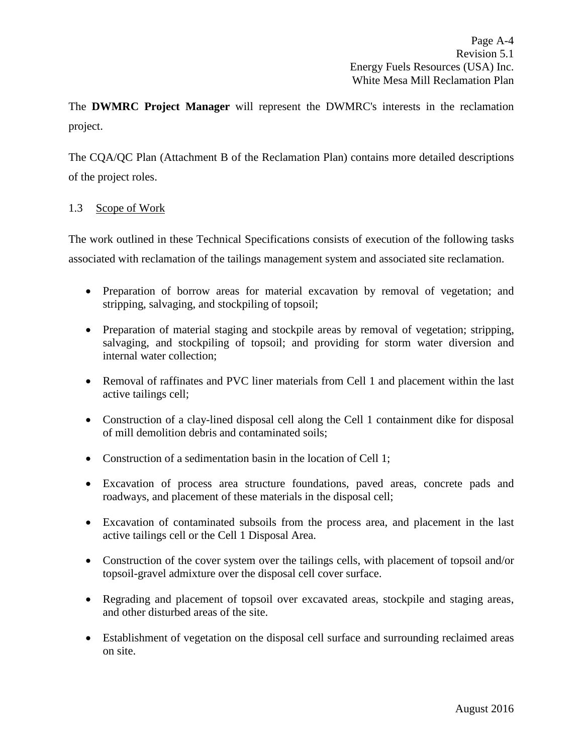The **DWMRC Project Manager** will represent the DWMRC's interests in the reclamation project.

The CQA/QC Plan (Attachment B of the Reclamation Plan) contains more detailed descriptions of the project roles.

# <span id="page-8-0"></span>1.3 Scope of Work

The work outlined in these Technical Specifications consists of execution of the following tasks associated with reclamation of the tailings management system and associated site reclamation.

- Preparation of borrow areas for material excavation by removal of vegetation; and stripping, salvaging, and stockpiling of topsoil;
- Preparation of material staging and stockpile areas by removal of vegetation; stripping, salvaging, and stockpiling of topsoil; and providing for storm water diversion and internal water collection;
- Removal of raffinates and PVC liner materials from Cell 1 and placement within the last active tailings cell;
- Construction of a clay-lined disposal cell along the Cell 1 containment dike for disposal of mill demolition debris and contaminated soils;
- Construction of a sedimentation basin in the location of Cell 1;
- Excavation of process area structure foundations, paved areas, concrete pads and roadways, and placement of these materials in the disposal cell;
- Excavation of contaminated subsoils from the process area, and placement in the last active tailings cell or the Cell 1 Disposal Area.
- Construction of the cover system over the tailings cells, with placement of topsoil and/or topsoil-gravel admixture over the disposal cell cover surface.
- Regrading and placement of topsoil over excavated areas, stockpile and staging areas, and other disturbed areas of the site.
- Establishment of vegetation on the disposal cell surface and surrounding reclaimed areas on site.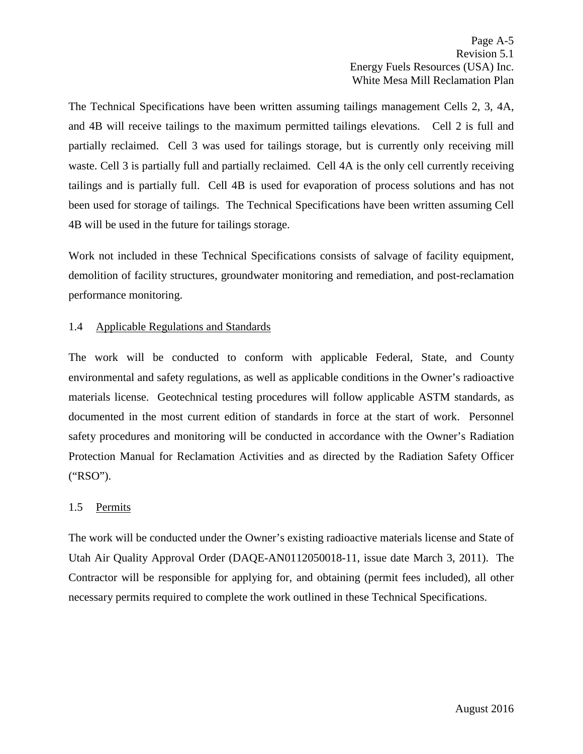The Technical Specifications have been written assuming tailings management Cells 2, 3, 4A, and 4B will receive tailings to the maximum permitted tailings elevations. Cell 2 is full and partially reclaimed. Cell 3 was used for tailings storage, but is currently only receiving mill waste. Cell 3 is partially full and partially reclaimed. Cell 4A is the only cell currently receiving tailings and is partially full. Cell 4B is used for evaporation of process solutions and has not been used for storage of tailings. The Technical Specifications have been written assuming Cell 4B will be used in the future for tailings storage.

Work not included in these Technical Specifications consists of salvage of facility equipment, demolition of facility structures, groundwater monitoring and remediation, and post-reclamation performance monitoring.

# <span id="page-9-0"></span>1.4 Applicable Regulations and Standards

The work will be conducted to conform with applicable Federal, State, and County environmental and safety regulations, as well as applicable conditions in the Owner's radioactive materials license. Geotechnical testing procedures will follow applicable ASTM standards, as documented in the most current edition of standards in force at the start of work. Personnel safety procedures and monitoring will be conducted in accordance with the Owner's Radiation Protection Manual for Reclamation Activities and as directed by the Radiation Safety Officer ("RSO").

## <span id="page-9-1"></span>1.5 Permits

The work will be conducted under the Owner's existing radioactive materials license and State of Utah Air Quality Approval Order (DAQE-AN0112050018-11, issue date March 3, 2011). The Contractor will be responsible for applying for, and obtaining (permit fees included), all other necessary permits required to complete the work outlined in these Technical Specifications.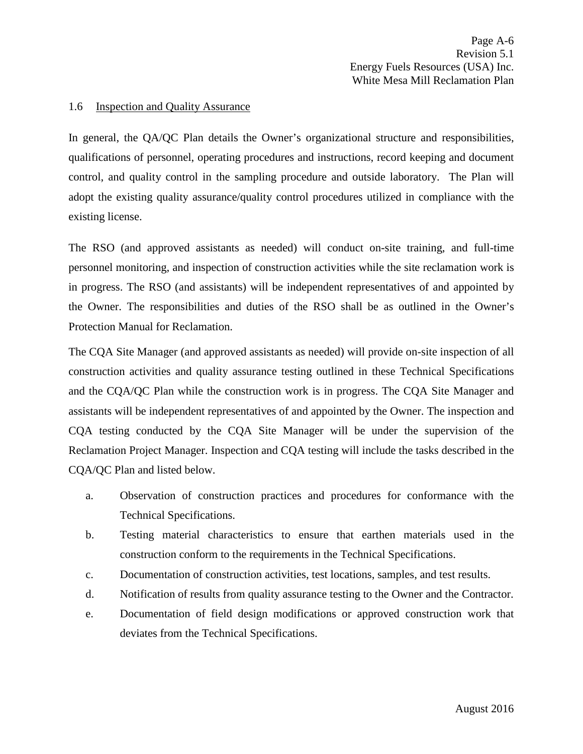#### <span id="page-10-0"></span>1.6 Inspection and Quality Assurance

In general, the QA/QC Plan details the Owner's organizational structure and responsibilities, qualifications of personnel, operating procedures and instructions, record keeping and document control, and quality control in the sampling procedure and outside laboratory. The Plan will adopt the existing quality assurance/quality control procedures utilized in compliance with the existing license.

The RSO (and approved assistants as needed) will conduct on-site training, and full-time personnel monitoring, and inspection of construction activities while the site reclamation work is in progress. The RSO (and assistants) will be independent representatives of and appointed by the Owner. The responsibilities and duties of the RSO shall be as outlined in the Owner's Protection Manual for Reclamation.

The CQA Site Manager (and approved assistants as needed) will provide on-site inspection of all construction activities and quality assurance testing outlined in these Technical Specifications and the CQA/QC Plan while the construction work is in progress. The CQA Site Manager and assistants will be independent representatives of and appointed by the Owner. The inspection and CQA testing conducted by the CQA Site Manager will be under the supervision of the Reclamation Project Manager. Inspection and CQA testing will include the tasks described in the CQA/QC Plan and listed below.

- a. Observation of construction practices and procedures for conformance with the Technical Specifications.
- b. Testing material characteristics to ensure that earthen materials used in the construction conform to the requirements in the Technical Specifications.
- c. Documentation of construction activities, test locations, samples, and test results.
- d. Notification of results from quality assurance testing to the Owner and the Contractor.
- e. Documentation of field design modifications or approved construction work that deviates from the Technical Specifications.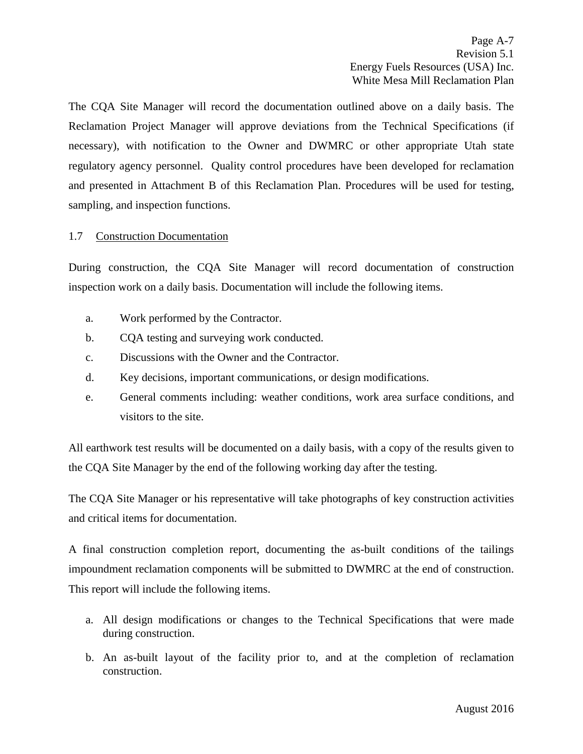The CQA Site Manager will record the documentation outlined above on a daily basis. The Reclamation Project Manager will approve deviations from the Technical Specifications (if necessary), with notification to the Owner and DWMRC or other appropriate Utah state regulatory agency personnel. Quality control procedures have been developed for reclamation and presented in Attachment B of this Reclamation Plan. Procedures will be used for testing, sampling, and inspection functions.

## <span id="page-11-0"></span>1.7 Construction Documentation

During construction, the CQA Site Manager will record documentation of construction inspection work on a daily basis. Documentation will include the following items.

- a. Work performed by the Contractor.
- b. CQA testing and surveying work conducted.
- c. Discussions with the Owner and the Contractor.
- d. Key decisions, important communications, or design modifications.
- e. General comments including: weather conditions, work area surface conditions, and visitors to the site.

All earthwork test results will be documented on a daily basis, with a copy of the results given to the CQA Site Manager by the end of the following working day after the testing.

The CQA Site Manager or his representative will take photographs of key construction activities and critical items for documentation.

A final construction completion report, documenting the as-built conditions of the tailings impoundment reclamation components will be submitted to DWMRC at the end of construction. This report will include the following items.

- a. All design modifications or changes to the Technical Specifications that were made during construction.
- b. An as-built layout of the facility prior to, and at the completion of reclamation construction.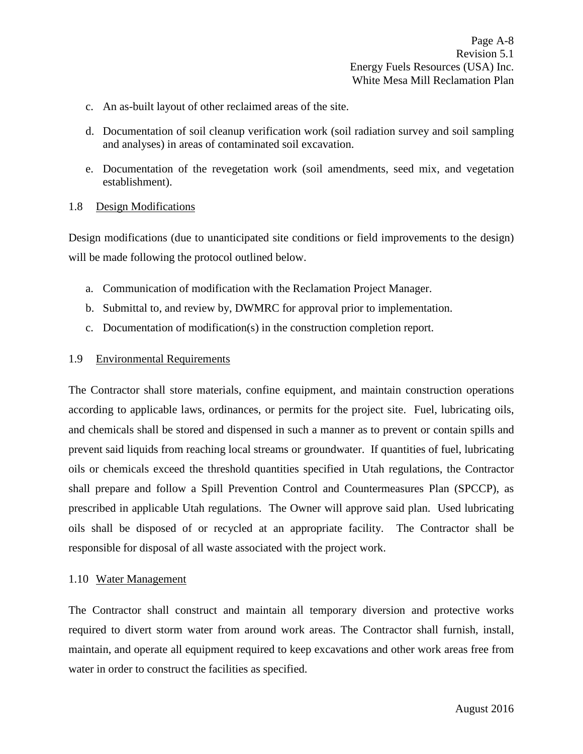- c. An as-built layout of other reclaimed areas of the site.
- d. Documentation of soil cleanup verification work (soil radiation survey and soil sampling and analyses) in areas of contaminated soil excavation.
- e. Documentation of the revegetation work (soil amendments, seed mix, and vegetation establishment).
- <span id="page-12-0"></span>1.8 Design Modifications

Design modifications (due to unanticipated site conditions or field improvements to the design) will be made following the protocol outlined below.

- a. Communication of modification with the Reclamation Project Manager.
- b. Submittal to, and review by, DWMRC for approval prior to implementation.
- c. Documentation of modification(s) in the construction completion report.
- <span id="page-12-1"></span>1.9 Environmental Requirements

The Contractor shall store materials, confine equipment, and maintain construction operations according to applicable laws, ordinances, or permits for the project site. Fuel, lubricating oils, and chemicals shall be stored and dispensed in such a manner as to prevent or contain spills and prevent said liquids from reaching local streams or groundwater. If quantities of fuel, lubricating oils or chemicals exceed the threshold quantities specified in Utah regulations, the Contractor shall prepare and follow a Spill Prevention Control and Countermeasures Plan (SPCCP), as prescribed in applicable Utah regulations. The Owner will approve said plan. Used lubricating oils shall be disposed of or recycled at an appropriate facility. The Contractor shall be responsible for disposal of all waste associated with the project work.

#### <span id="page-12-2"></span>1.10 Water Management

The Contractor shall construct and maintain all temporary diversion and protective works required to divert storm water from around work areas. The Contractor shall furnish, install, maintain, and operate all equipment required to keep excavations and other work areas free from water in order to construct the facilities as specified.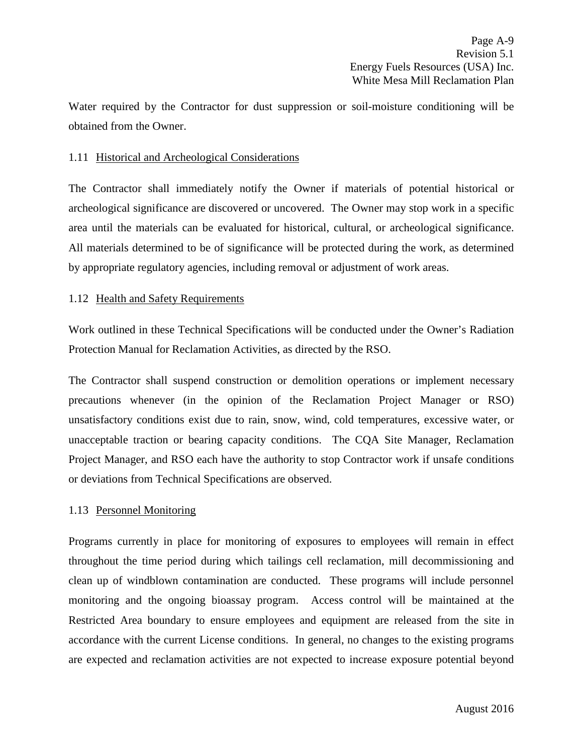Water required by the Contractor for dust suppression or soil-moisture conditioning will be obtained from the Owner.

## <span id="page-13-0"></span>1.11 Historical and Archeological Considerations

The Contractor shall immediately notify the Owner if materials of potential historical or archeological significance are discovered or uncovered. The Owner may stop work in a specific area until the materials can be evaluated for historical, cultural, or archeological significance. All materials determined to be of significance will be protected during the work, as determined by appropriate regulatory agencies, including removal or adjustment of work areas.

## <span id="page-13-1"></span>1.12 Health and Safety Requirements

Work outlined in these Technical Specifications will be conducted under the Owner's Radiation Protection Manual for Reclamation Activities, as directed by the RSO.

The Contractor shall suspend construction or demolition operations or implement necessary precautions whenever (in the opinion of the Reclamation Project Manager or RSO) unsatisfactory conditions exist due to rain, snow, wind, cold temperatures, excessive water, or unacceptable traction or bearing capacity conditions. The CQA Site Manager, Reclamation Project Manager, and RSO each have the authority to stop Contractor work if unsafe conditions or deviations from Technical Specifications are observed.

# <span id="page-13-2"></span>1.13 Personnel Monitoring

Programs currently in place for monitoring of exposures to employees will remain in effect throughout the time period during which tailings cell reclamation, mill decommissioning and clean up of windblown contamination are conducted. These programs will include personnel monitoring and the ongoing bioassay program. Access control will be maintained at the Restricted Area boundary to ensure employees and equipment are released from the site in accordance with the current License conditions. In general, no changes to the existing programs are expected and reclamation activities are not expected to increase exposure potential beyond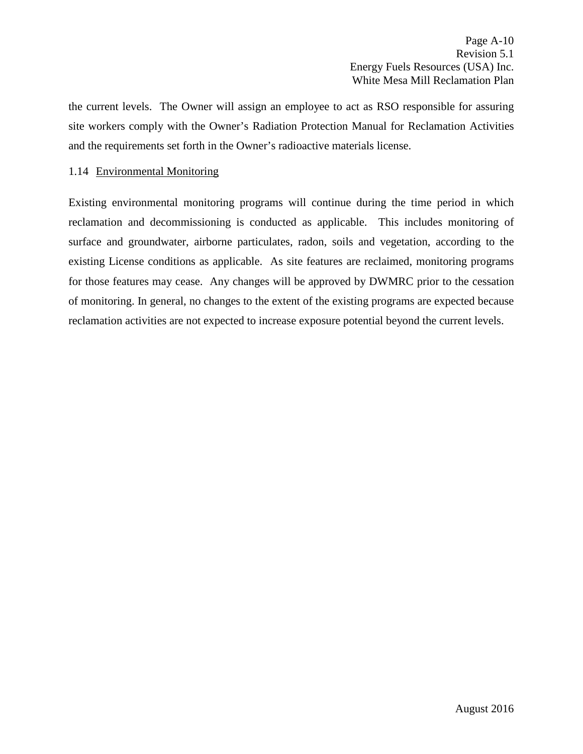the current levels. The Owner will assign an employee to act as RSO responsible for assuring site workers comply with the Owner's Radiation Protection Manual for Reclamation Activities and the requirements set forth in the Owner's radioactive materials license.

## <span id="page-14-0"></span>1.14 Environmental Monitoring

Existing environmental monitoring programs will continue during the time period in which reclamation and decommissioning is conducted as applicable. This includes monitoring of surface and groundwater, airborne particulates, radon, soils and vegetation, according to the existing License conditions as applicable. As site features are reclaimed, monitoring programs for those features may cease. Any changes will be approved by DWMRC prior to the cessation of monitoring. In general, no changes to the extent of the existing programs are expected because reclamation activities are not expected to increase exposure potential beyond the current levels.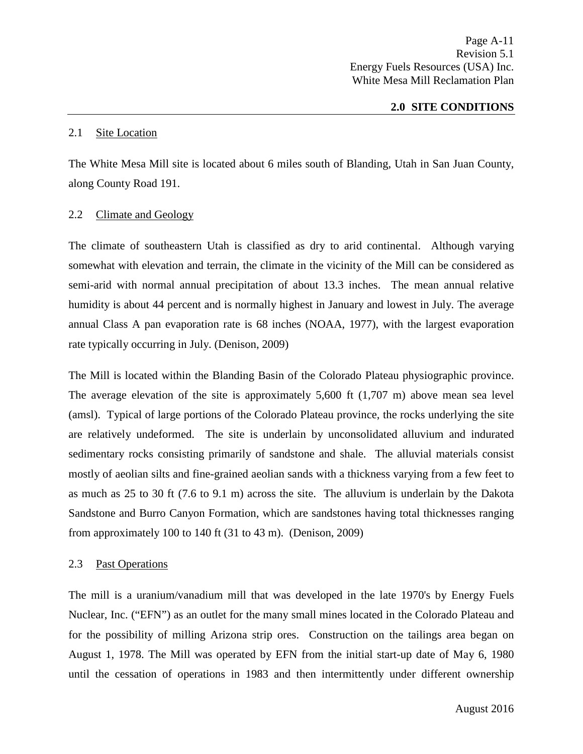#### **2.0 SITE CONDITIONS**

#### <span id="page-15-1"></span><span id="page-15-0"></span>2.1 Site Location

The White Mesa Mill site is located about 6 miles south of Blanding, Utah in San Juan County, along County Road 191.

## <span id="page-15-2"></span>2.2 Climate and Geology

The climate of southeastern Utah is classified as dry to arid continental. Although varying somewhat with elevation and terrain, the climate in the vicinity of the Mill can be considered as semi-arid with normal annual precipitation of about 13.3 inches. The mean annual relative humidity is about 44 percent and is normally highest in January and lowest in July. The average annual Class A pan evaporation rate is 68 inches (NOAA, 1977), with the largest evaporation rate typically occurring in July. (Denison, 2009)

The Mill is located within the Blanding Basin of the Colorado Plateau physiographic province. The average elevation of the site is approximately 5,600 ft (1,707 m) above mean sea level (amsl). Typical of large portions of the Colorado Plateau province, the rocks underlying the site are relatively undeformed. The site is underlain by unconsolidated alluvium and indurated sedimentary rocks consisting primarily of sandstone and shale. The alluvial materials consist mostly of aeolian silts and fine-grained aeolian sands with a thickness varying from a few feet to as much as 25 to 30 ft (7.6 to 9.1 m) across the site. The alluvium is underlain by the Dakota Sandstone and Burro Canyon Formation, which are sandstones having total thicknesses ranging from approximately 100 to 140 ft (31 to 43 m). (Denison, 2009)

## <span id="page-15-3"></span>2.3 Past Operations

The mill is a uranium/vanadium mill that was developed in the late 1970's by Energy Fuels Nuclear, Inc. ("EFN") as an outlet for the many small mines located in the Colorado Plateau and for the possibility of milling Arizona strip ores. Construction on the tailings area began on August 1, 1978. The Mill was operated by EFN from the initial start-up date of May 6, 1980 until the cessation of operations in 1983 and then intermittently under different ownership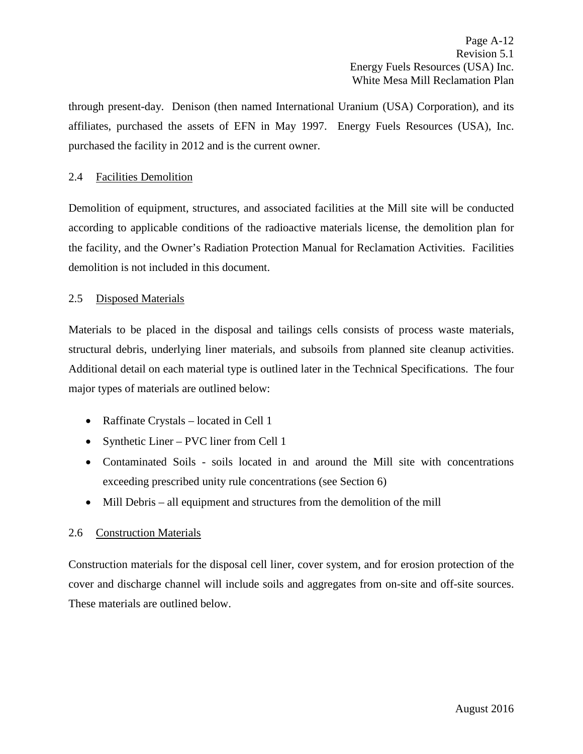through present-day. Denison (then named International Uranium (USA) Corporation), and its affiliates, purchased the assets of EFN in May 1997. Energy Fuels Resources (USA), Inc. purchased the facility in 2012 and is the current owner.

## <span id="page-16-0"></span>2.4 Facilities Demolition

Demolition of equipment, structures, and associated facilities at the Mill site will be conducted according to applicable conditions of the radioactive materials license, the demolition plan for the facility, and the Owner's Radiation Protection Manual for Reclamation Activities. Facilities demolition is not included in this document.

## <span id="page-16-1"></span>2.5 Disposed Materials

Materials to be placed in the disposal and tailings cells consists of process waste materials, structural debris, underlying liner materials, and subsoils from planned site cleanup activities. Additional detail on each material type is outlined later in the Technical Specifications. The four major types of materials are outlined below:

- Raffinate Crystals located in Cell 1
- Synthetic Liner PVC liner from Cell 1
- Contaminated Soils soils located in and around the Mill site with concentrations exceeding prescribed unity rule concentrations (see Section 6)
- Mill Debris all equipment and structures from the demolition of the mill

## <span id="page-16-2"></span>2.6 Construction Materials

Construction materials for the disposal cell liner, cover system, and for erosion protection of the cover and discharge channel will include soils and aggregates from on-site and off-site sources. These materials are outlined below.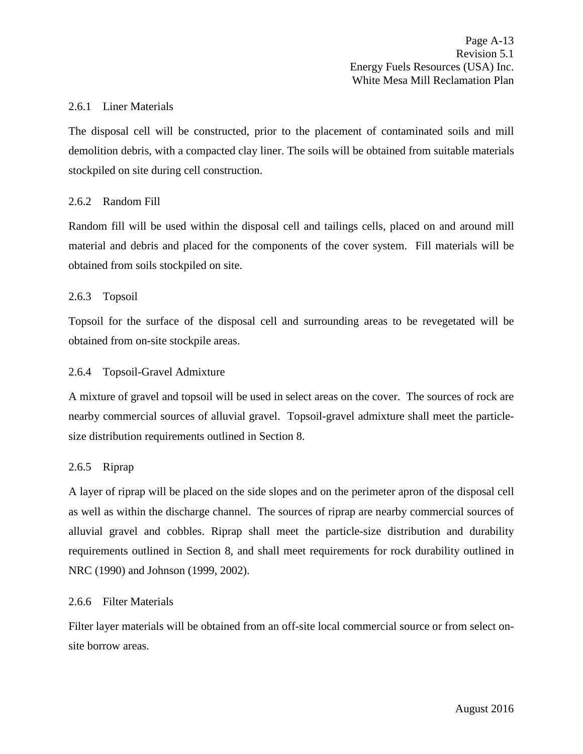#### <span id="page-17-0"></span>2.6.1 Liner Materials

The disposal cell will be constructed, prior to the placement of contaminated soils and mill demolition debris, with a compacted clay liner. The soils will be obtained from suitable materials stockpiled on site during cell construction.

## <span id="page-17-1"></span>2.6.2 Random Fill

Random fill will be used within the disposal cell and tailings cells, placed on and around mill material and debris and placed for the components of the cover system. Fill materials will be obtained from soils stockpiled on site.

#### <span id="page-17-2"></span>2.6.3 Topsoil

Topsoil for the surface of the disposal cell and surrounding areas to be revegetated will be obtained from on-site stockpile areas.

#### <span id="page-17-3"></span>2.6.4 Topsoil-Gravel Admixture

A mixture of gravel and topsoil will be used in select areas on the cover. The sources of rock are nearby commercial sources of alluvial gravel. Topsoil-gravel admixture shall meet the particlesize distribution requirements outlined in Section 8.

#### <span id="page-17-4"></span>2.6.5 Riprap

A layer of riprap will be placed on the side slopes and on the perimeter apron of the disposal cell as well as within the discharge channel. The sources of riprap are nearby commercial sources of alluvial gravel and cobbles. Riprap shall meet the particle-size distribution and durability requirements outlined in Section 8, and shall meet requirements for rock durability outlined in NRC (1990) and Johnson (1999, 2002).

## <span id="page-17-5"></span>2.6.6 Filter Materials

Filter layer materials will be obtained from an off-site local commercial source or from select onsite borrow areas.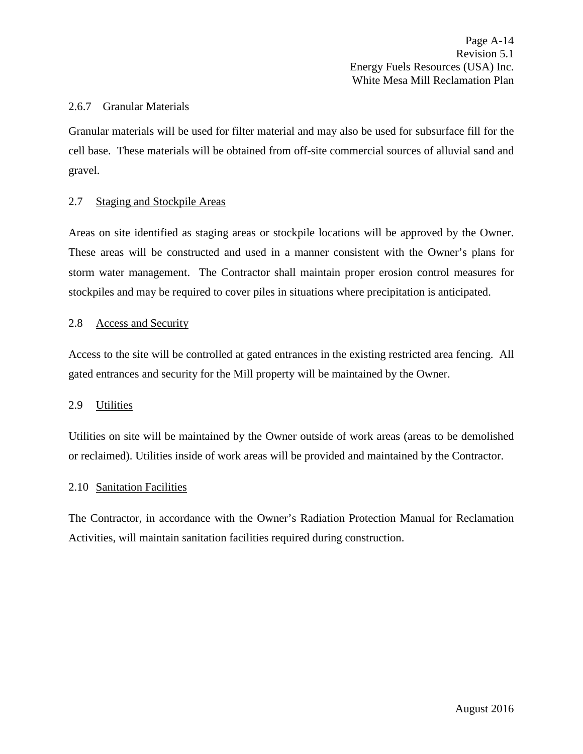#### <span id="page-18-0"></span>2.6.7 Granular Materials

Granular materials will be used for filter material and may also be used for subsurface fill for the cell base. These materials will be obtained from off-site commercial sources of alluvial sand and gravel.

## <span id="page-18-1"></span>2.7 Staging and Stockpile Areas

Areas on site identified as staging areas or stockpile locations will be approved by the Owner. These areas will be constructed and used in a manner consistent with the Owner's plans for storm water management. The Contractor shall maintain proper erosion control measures for stockpiles and may be required to cover piles in situations where precipitation is anticipated.

#### <span id="page-18-2"></span>2.8 Access and Security

Access to the site will be controlled at gated entrances in the existing restricted area fencing. All gated entrances and security for the Mill property will be maintained by the Owner.

#### <span id="page-18-3"></span>2.9 Utilities

Utilities on site will be maintained by the Owner outside of work areas (areas to be demolished or reclaimed). Utilities inside of work areas will be provided and maintained by the Contractor.

#### <span id="page-18-4"></span>2.10 Sanitation Facilities

The Contractor, in accordance with the Owner's Radiation Protection Manual for Reclamation Activities, will maintain sanitation facilities required during construction.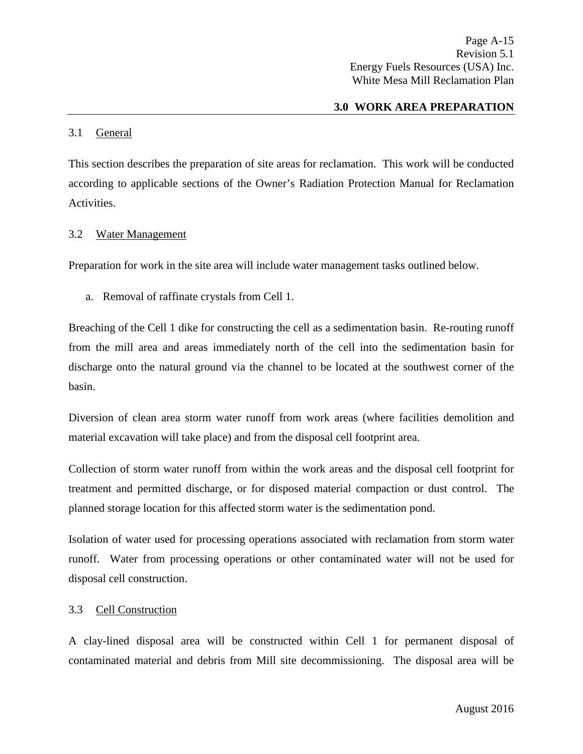## **3.0 WORK AREA PREPARATION**

#### <span id="page-19-1"></span><span id="page-19-0"></span>3.1 General

This section describes the preparation of site areas for reclamation. This work will be conducted according to applicable sections of the Owner's Radiation Protection Manual for Reclamation Activities.

#### <span id="page-19-2"></span>3.2 Water Management

Preparation for work in the site area will include water management tasks outlined below.

a. Removal of raffinate crystals from Cell 1.

Breaching of the Cell 1 dike for constructing the cell as a sedimentation basin. Re-routing runoff from the mill area and areas immediately north of the cell into the sedimentation basin for discharge onto the natural ground via the channel to be located at the southwest corner of the basin.

Diversion of clean area storm water runoff from work areas (where facilities demolition and material excavation will take place) and from the disposal cell footprint area.

Collection of storm water runoff from within the work areas and the disposal cell footprint for treatment and permitted discharge, or for disposed material compaction or dust control. The planned storage location for this affected storm water is the sedimentation pond.

Isolation of water used for processing operations associated with reclamation from storm water runoff. Water from processing operations or other contaminated water will not be used for disposal cell construction.

## <span id="page-19-3"></span>3.3 Cell Construction

A clay-lined disposal area will be constructed within Cell 1 for permanent disposal of contaminated material and debris from Mill site decommissioning. The disposal area will be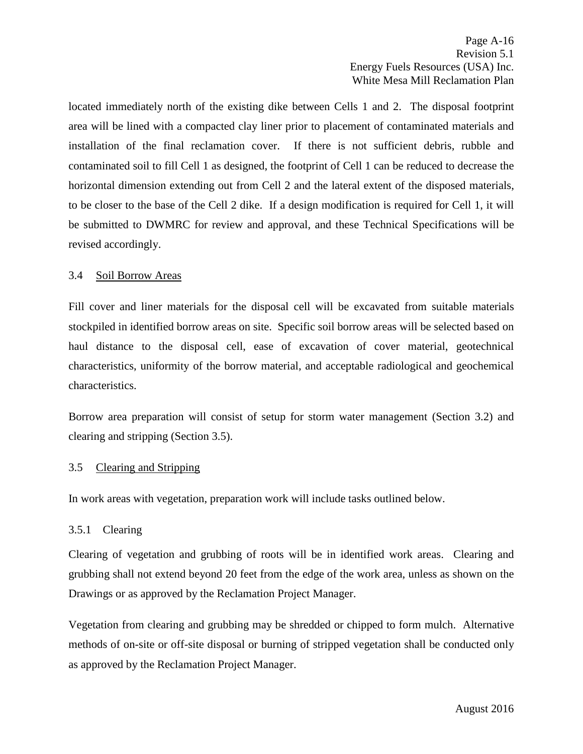located immediately north of the existing dike between Cells 1 and 2. The disposal footprint area will be lined with a compacted clay liner prior to placement of contaminated materials and installation of the final reclamation cover. If there is not sufficient debris, rubble and contaminated soil to fill Cell 1 as designed, the footprint of Cell 1 can be reduced to decrease the horizontal dimension extending out from Cell 2 and the lateral extent of the disposed materials, to be closer to the base of the Cell 2 dike. If a design modification is required for Cell 1, it will be submitted to DWMRC for review and approval, and these Technical Specifications will be revised accordingly.

## <span id="page-20-0"></span>3.4 Soil Borrow Areas

Fill cover and liner materials for the disposal cell will be excavated from suitable materials stockpiled in identified borrow areas on site. Specific soil borrow areas will be selected based on haul distance to the disposal cell, ease of excavation of cover material, geotechnical characteristics, uniformity of the borrow material, and acceptable radiological and geochemical characteristics.

Borrow area preparation will consist of setup for storm water management (Section 3.2) and clearing and stripping (Section 3.5).

## <span id="page-20-1"></span>3.5 Clearing and Stripping

In work areas with vegetation, preparation work will include tasks outlined below.

## <span id="page-20-2"></span>3.5.1 Clearing

Clearing of vegetation and grubbing of roots will be in identified work areas. Clearing and grubbing shall not extend beyond 20 feet from the edge of the work area, unless as shown on the Drawings or as approved by the Reclamation Project Manager.

Vegetation from clearing and grubbing may be shredded or chipped to form mulch. Alternative methods of on-site or off-site disposal or burning of stripped vegetation shall be conducted only as approved by the Reclamation Project Manager.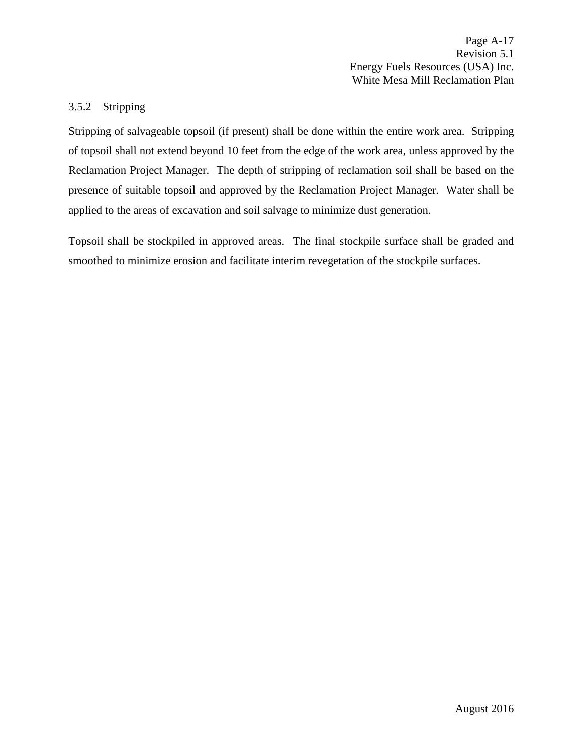Page A-17 Revision 5.1 Energy Fuels Resources (USA) Inc. White Mesa Mill Reclamation Plan

#### <span id="page-21-0"></span>3.5.2 Stripping

Stripping of salvageable topsoil (if present) shall be done within the entire work area. Stripping of topsoil shall not extend beyond 10 feet from the edge of the work area, unless approved by the Reclamation Project Manager. The depth of stripping of reclamation soil shall be based on the presence of suitable topsoil and approved by the Reclamation Project Manager. Water shall be applied to the areas of excavation and soil salvage to minimize dust generation.

Topsoil shall be stockpiled in approved areas. The final stockpile surface shall be graded and smoothed to minimize erosion and facilitate interim revegetation of the stockpile surfaces.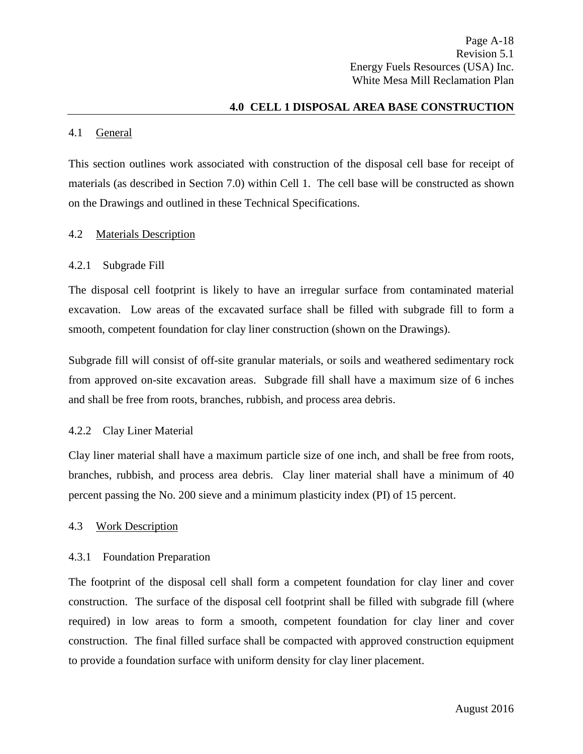## **4.0 CELL 1 DISPOSAL AREA BASE CONSTRUCTION**

#### <span id="page-22-1"></span><span id="page-22-0"></span>4.1 General

This section outlines work associated with construction of the disposal cell base for receipt of materials (as described in Section 7.0) within Cell 1. The cell base will be constructed as shown on the Drawings and outlined in these Technical Specifications.

#### <span id="page-22-2"></span>4.2 Materials Description

#### <span id="page-22-3"></span>4.2.1 Subgrade Fill

The disposal cell footprint is likely to have an irregular surface from contaminated material excavation. Low areas of the excavated surface shall be filled with subgrade fill to form a smooth, competent foundation for clay liner construction (shown on the Drawings).

Subgrade fill will consist of off-site granular materials, or soils and weathered sedimentary rock from approved on-site excavation areas. Subgrade fill shall have a maximum size of 6 inches and shall be free from roots, branches, rubbish, and process area debris.

## <span id="page-22-4"></span>4.2.2 Clay Liner Material

Clay liner material shall have a maximum particle size of one inch, and shall be free from roots, branches, rubbish, and process area debris. Clay liner material shall have a minimum of 40 percent passing the No. 200 sieve and a minimum plasticity index (PI) of 15 percent.

## <span id="page-22-5"></span>4.3 Work Description

## <span id="page-22-6"></span>4.3.1 Foundation Preparation

The footprint of the disposal cell shall form a competent foundation for clay liner and cover construction. The surface of the disposal cell footprint shall be filled with subgrade fill (where required) in low areas to form a smooth, competent foundation for clay liner and cover construction. The final filled surface shall be compacted with approved construction equipment to provide a foundation surface with uniform density for clay liner placement.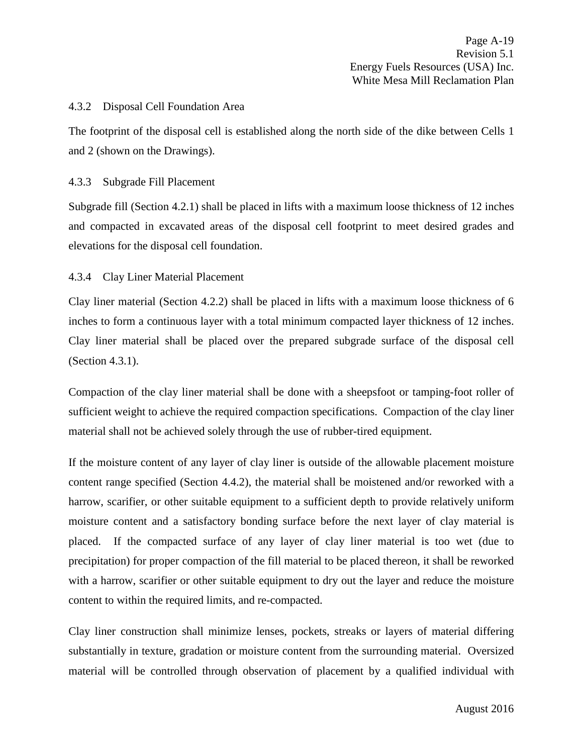#### <span id="page-23-0"></span>4.3.2 Disposal Cell Foundation Area

The footprint of the disposal cell is established along the north side of the dike between Cells 1 and 2 (shown on the Drawings).

#### <span id="page-23-1"></span>4.3.3 Subgrade Fill Placement

Subgrade fill (Section 4.2.1) shall be placed in lifts with a maximum loose thickness of 12 inches and compacted in excavated areas of the disposal cell footprint to meet desired grades and elevations for the disposal cell foundation.

## <span id="page-23-2"></span>4.3.4 Clay Liner Material Placement

Clay liner material (Section 4.2.2) shall be placed in lifts with a maximum loose thickness of 6 inches to form a continuous layer with a total minimum compacted layer thickness of 12 inches. Clay liner material shall be placed over the prepared subgrade surface of the disposal cell (Section 4.3.1).

Compaction of the clay liner material shall be done with a sheepsfoot or tamping-foot roller of sufficient weight to achieve the required compaction specifications. Compaction of the clay liner material shall not be achieved solely through the use of rubber-tired equipment.

If the moisture content of any layer of clay liner is outside of the allowable placement moisture content range specified (Section 4.4.2), the material shall be moistened and/or reworked with a harrow, scarifier, or other suitable equipment to a sufficient depth to provide relatively uniform moisture content and a satisfactory bonding surface before the next layer of clay material is placed. If the compacted surface of any layer of clay liner material is too wet (due to precipitation) for proper compaction of the fill material to be placed thereon, it shall be reworked with a harrow, scarifier or other suitable equipment to dry out the layer and reduce the moisture content to within the required limits, and re-compacted.

Clay liner construction shall minimize lenses, pockets, streaks or layers of material differing substantially in texture, gradation or moisture content from the surrounding material. Oversized material will be controlled through observation of placement by a qualified individual with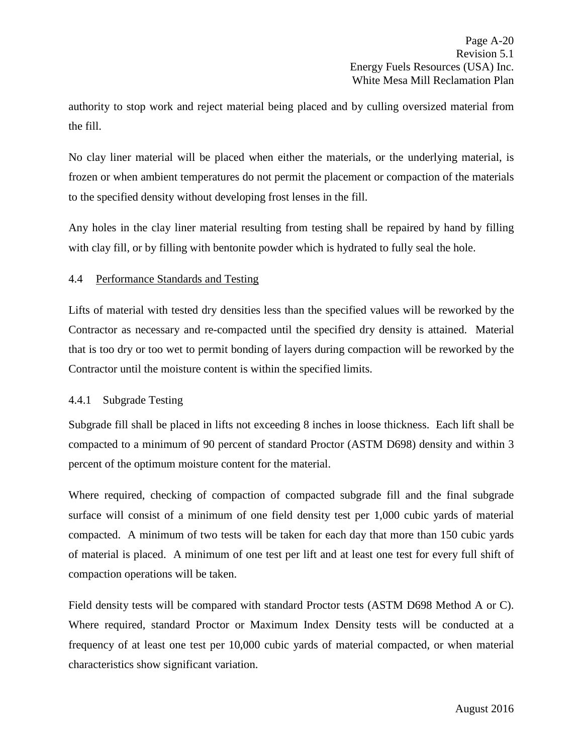authority to stop work and reject material being placed and by culling oversized material from the fill.

No clay liner material will be placed when either the materials, or the underlying material, is frozen or when ambient temperatures do not permit the placement or compaction of the materials to the specified density without developing frost lenses in the fill.

Any holes in the clay liner material resulting from testing shall be repaired by hand by filling with clay fill, or by filling with bentonite powder which is hydrated to fully seal the hole.

## <span id="page-24-0"></span>4.4 Performance Standards and Testing

Lifts of material with tested dry densities less than the specified values will be reworked by the Contractor as necessary and re-compacted until the specified dry density is attained. Material that is too dry or too wet to permit bonding of layers during compaction will be reworked by the Contractor until the moisture content is within the specified limits.

## <span id="page-24-1"></span>4.4.1 Subgrade Testing

Subgrade fill shall be placed in lifts not exceeding 8 inches in loose thickness. Each lift shall be compacted to a minimum of 90 percent of standard Proctor (ASTM D698) density and within 3 percent of the optimum moisture content for the material.

Where required, checking of compaction of compacted subgrade fill and the final subgrade surface will consist of a minimum of one field density test per 1,000 cubic yards of material compacted. A minimum of two tests will be taken for each day that more than 150 cubic yards of material is placed. A minimum of one test per lift and at least one test for every full shift of compaction operations will be taken.

Field density tests will be compared with standard Proctor tests (ASTM D698 Method A or C). Where required, standard Proctor or Maximum Index Density tests will be conducted at a frequency of at least one test per 10,000 cubic yards of material compacted, or when material characteristics show significant variation.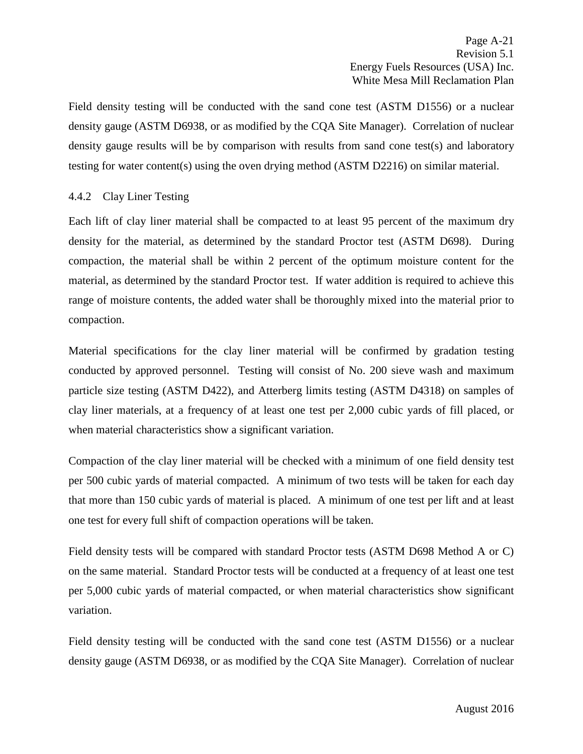Field density testing will be conducted with the sand cone test (ASTM D1556) or a nuclear density gauge (ASTM D6938, or as modified by the CQA Site Manager). Correlation of nuclear density gauge results will be by comparison with results from sand cone test(s) and laboratory testing for water content(s) using the oven drying method (ASTM D2216) on similar material.

# <span id="page-25-0"></span>4.4.2 Clay Liner Testing

Each lift of clay liner material shall be compacted to at least 95 percent of the maximum dry density for the material, as determined by the standard Proctor test (ASTM D698). During compaction, the material shall be within 2 percent of the optimum moisture content for the material, as determined by the standard Proctor test. If water addition is required to achieve this range of moisture contents, the added water shall be thoroughly mixed into the material prior to compaction.

Material specifications for the clay liner material will be confirmed by gradation testing conducted by approved personnel. Testing will consist of No. 200 sieve wash and maximum particle size testing (ASTM D422), and Atterberg limits testing (ASTM D4318) on samples of clay liner materials, at a frequency of at least one test per 2,000 cubic yards of fill placed, or when material characteristics show a significant variation.

Compaction of the clay liner material will be checked with a minimum of one field density test per 500 cubic yards of material compacted. A minimum of two tests will be taken for each day that more than 150 cubic yards of material is placed. A minimum of one test per lift and at least one test for every full shift of compaction operations will be taken.

Field density tests will be compared with standard Proctor tests (ASTM D698 Method A or C) on the same material. Standard Proctor tests will be conducted at a frequency of at least one test per 5,000 cubic yards of material compacted, or when material characteristics show significant variation.

Field density testing will be conducted with the sand cone test (ASTM D1556) or a nuclear density gauge (ASTM D6938, or as modified by the CQA Site Manager). Correlation of nuclear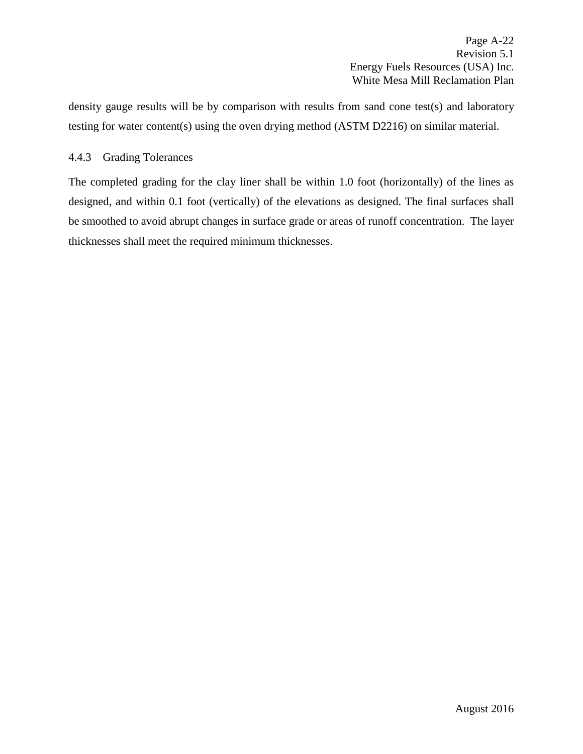Page A-22 Revision 5.1 Energy Fuels Resources (USA) Inc. White Mesa Mill Reclamation Plan

density gauge results will be by comparison with results from sand cone test(s) and laboratory testing for water content(s) using the oven drying method (ASTM D2216) on similar material.

## <span id="page-26-0"></span>4.4.3 Grading Tolerances

The completed grading for the clay liner shall be within 1.0 foot (horizontally) of the lines as designed, and within 0.1 foot (vertically) of the elevations as designed. The final surfaces shall be smoothed to avoid abrupt changes in surface grade or areas of runoff concentration. The layer thicknesses shall meet the required minimum thicknesses.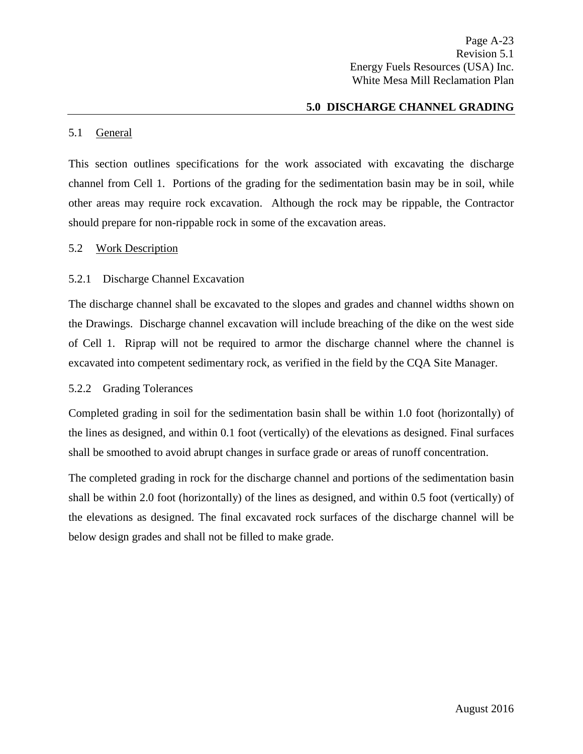## **5.0 DISCHARGE CHANNEL GRADING**

#### <span id="page-27-1"></span><span id="page-27-0"></span>5.1 General

This section outlines specifications for the work associated with excavating the discharge channel from Cell 1. Portions of the grading for the sedimentation basin may be in soil, while other areas may require rock excavation. Although the rock may be rippable, the Contractor should prepare for non-rippable rock in some of the excavation areas.

#### <span id="page-27-2"></span>5.2 Work Description

## <span id="page-27-3"></span>5.2.1 Discharge Channel Excavation

The discharge channel shall be excavated to the slopes and grades and channel widths shown on the Drawings. Discharge channel excavation will include breaching of the dike on the west side of Cell 1. Riprap will not be required to armor the discharge channel where the channel is excavated into competent sedimentary rock, as verified in the field by the CQA Site Manager.

#### <span id="page-27-4"></span>5.2.2 Grading Tolerances

Completed grading in soil for the sedimentation basin shall be within 1.0 foot (horizontally) of the lines as designed, and within 0.1 foot (vertically) of the elevations as designed. Final surfaces shall be smoothed to avoid abrupt changes in surface grade or areas of runoff concentration.

The completed grading in rock for the discharge channel and portions of the sedimentation basin shall be within 2.0 foot (horizontally) of the lines as designed, and within 0.5 foot (vertically) of the elevations as designed. The final excavated rock surfaces of the discharge channel will be below design grades and shall not be filled to make grade.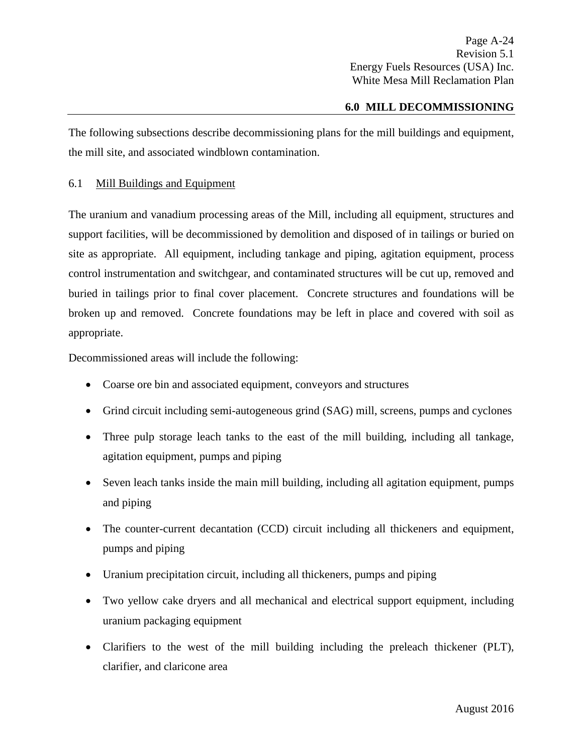## **6.0 MILL DECOMMISSIONING**

<span id="page-28-0"></span>The following subsections describe decommissioning plans for the mill buildings and equipment, the mill site, and associated windblown contamination.

## <span id="page-28-1"></span>6.1 Mill Buildings and Equipment

The uranium and vanadium processing areas of the Mill, including all equipment, structures and support facilities, will be decommissioned by demolition and disposed of in tailings or buried on site as appropriate. All equipment, including tankage and piping, agitation equipment, process control instrumentation and switchgear, and contaminated structures will be cut up, removed and buried in tailings prior to final cover placement. Concrete structures and foundations will be broken up and removed. Concrete foundations may be left in place and covered with soil as appropriate.

Decommissioned areas will include the following:

- Coarse ore bin and associated equipment, conveyors and structures
- Grind circuit including semi-autogeneous grind (SAG) mill, screens, pumps and cyclones
- Three pulp storage leach tanks to the east of the mill building, including all tankage, agitation equipment, pumps and piping
- Seven leach tanks inside the main mill building, including all agitation equipment, pumps and piping
- The counter-current decantation (CCD) circuit including all thickeners and equipment, pumps and piping
- Uranium precipitation circuit, including all thickeners, pumps and piping
- Two yellow cake dryers and all mechanical and electrical support equipment, including uranium packaging equipment
- Clarifiers to the west of the mill building including the preleach thickener (PLT), clarifier, and claricone area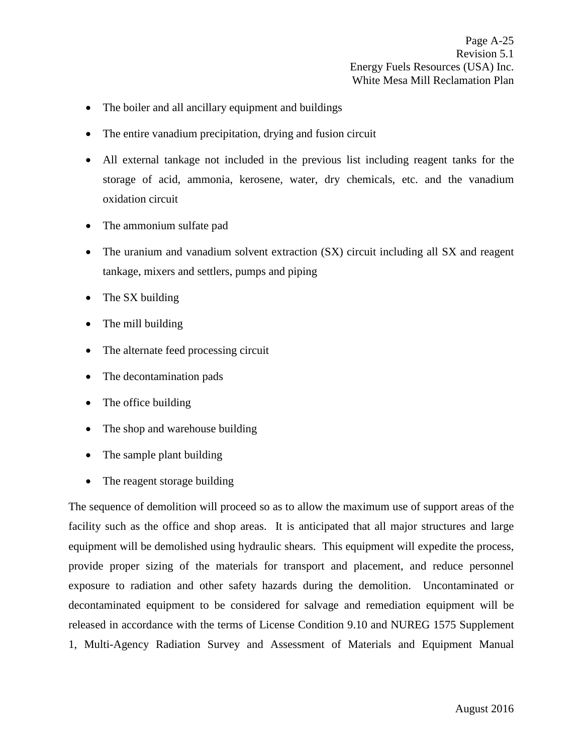- The boiler and all ancillary equipment and buildings
- The entire vanadium precipitation, drying and fusion circuit
- All external tankage not included in the previous list including reagent tanks for the storage of acid, ammonia, kerosene, water, dry chemicals, etc. and the vanadium oxidation circuit
- The ammonium sulfate pad
- The uranium and vanadium solvent extraction (SX) circuit including all SX and reagent tankage, mixers and settlers, pumps and piping
- The SX building
- The mill building
- The alternate feed processing circuit
- The decontamination pads
- The office building
- The shop and warehouse building
- The sample plant building
- The reagent storage building

The sequence of demolition will proceed so as to allow the maximum use of support areas of the facility such as the office and shop areas. It is anticipated that all major structures and large equipment will be demolished using hydraulic shears. This equipment will expedite the process, provide proper sizing of the materials for transport and placement, and reduce personnel exposure to radiation and other safety hazards during the demolition. Uncontaminated or decontaminated equipment to be considered for salvage and remediation equipment will be released in accordance with the terms of License Condition 9.10 and NUREG 1575 Supplement 1, Multi-Agency Radiation Survey and Assessment of Materials and Equipment Manual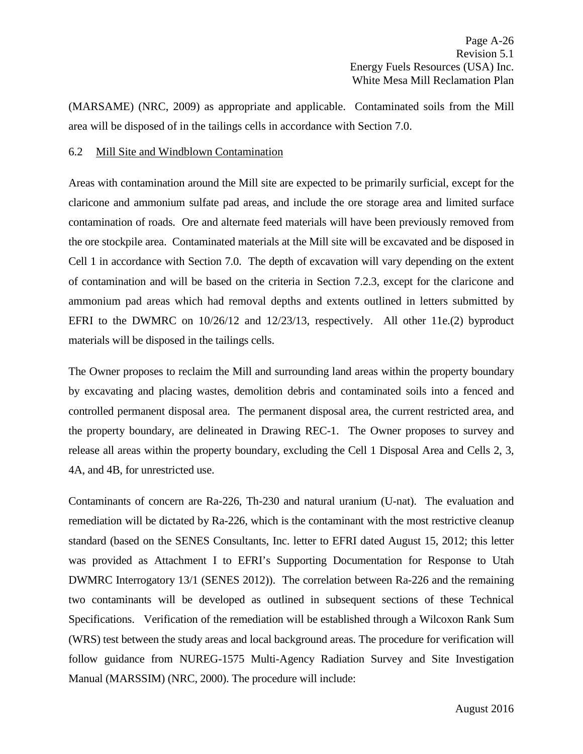(MARSAME) (NRC, 2009) as appropriate and applicable. Contaminated soils from the Mill area will be disposed of in the tailings cells in accordance with Section 7.0.

#### <span id="page-30-0"></span>6.2 Mill Site and Windblown Contamination

Areas with contamination around the Mill site are expected to be primarily surficial, except for the claricone and ammonium sulfate pad areas, and include the ore storage area and limited surface contamination of roads. Ore and alternate feed materials will have been previously removed from the ore stockpile area. Contaminated materials at the Mill site will be excavated and be disposed in Cell 1 in accordance with Section 7.0. The depth of excavation will vary depending on the extent of contamination and will be based on the criteria in Section 7.2.3, except for the claricone and ammonium pad areas which had removal depths and extents outlined in letters submitted by EFRI to the DWMRC on 10/26/12 and 12/23/13, respectively. All other 11e.(2) byproduct materials will be disposed in the tailings cells.

The Owner proposes to reclaim the Mill and surrounding land areas within the property boundary by excavating and placing wastes, demolition debris and contaminated soils into a fenced and controlled permanent disposal area. The permanent disposal area, the current restricted area, and the property boundary, are delineated in Drawing REC-1. The Owner proposes to survey and release all areas within the property boundary, excluding the Cell 1 Disposal Area and Cells 2, 3, 4A, and 4B, for unrestricted use.

Contaminants of concern are Ra-226, Th-230 and natural uranium (U-nat). The evaluation and remediation will be dictated by Ra-226, which is the contaminant with the most restrictive cleanup standard (based on the SENES Consultants, Inc. letter to EFRI dated August 15, 2012; this letter was provided as Attachment I to EFRI's Supporting Documentation for Response to Utah DWMRC Interrogatory 13/1 (SENES 2012)). The correlation between Ra-226 and the remaining two contaminants will be developed as outlined in subsequent sections of these Technical Specifications. Verification of the remediation will be established through a Wilcoxon Rank Sum (WRS) test between the study areas and local background areas. The procedure for verification will follow guidance from NUREG-1575 Multi-Agency Radiation Survey and Site Investigation Manual (MARSSIM) (NRC, 2000). The procedure will include: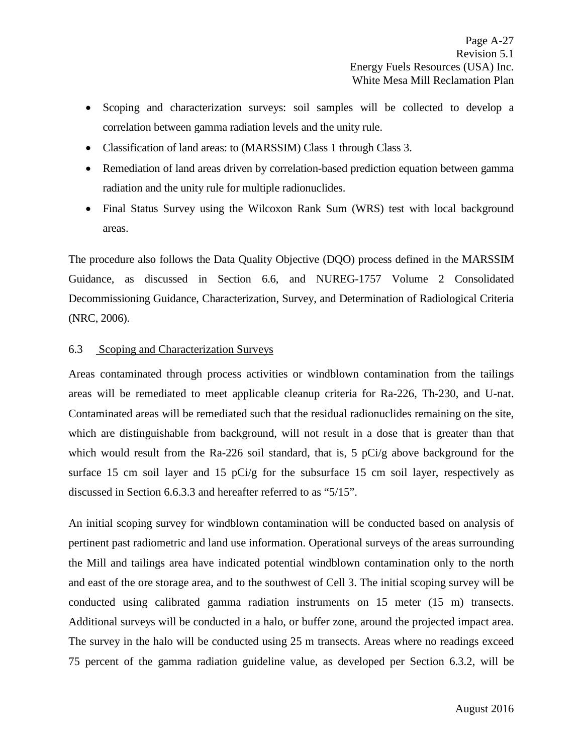- Scoping and characterization surveys: soil samples will be collected to develop a correlation between gamma radiation levels and the unity rule.
- Classification of land areas: to (MARSSIM) Class 1 through Class 3.
- Remediation of land areas driven by correlation-based prediction equation between gamma radiation and the unity rule for multiple radionuclides.
- Final Status Survey using the Wilcoxon Rank Sum (WRS) test with local background areas.

The procedure also follows the Data Quality Objective (DQO) process defined in the MARSSIM Guidance, as discussed in Section 6.6, and NUREG-1757 Volume 2 Consolidated Decommissioning Guidance, Characterization, Survey, and Determination of Radiological Criteria (NRC, 2006).

## <span id="page-31-0"></span>6.3 Scoping and Characterization Surveys

Areas contaminated through process activities or windblown contamination from the tailings areas will be remediated to meet applicable cleanup criteria for Ra-226, Th-230, and U-nat. Contaminated areas will be remediated such that the residual radionuclides remaining on the site, which are distinguishable from background, will not result in a dose that is greater than that which would result from the Ra-226 soil standard, that is, 5 pCi/g above background for the surface 15 cm soil layer and 15  $pCi/g$  for the subsurface 15 cm soil layer, respectively as discussed in Section 6.6.3.3 and hereafter referred to as "5/15".

An initial scoping survey for windblown contamination will be conducted based on analysis of pertinent past radiometric and land use information. Operational surveys of the areas surrounding the Mill and tailings area have indicated potential windblown contamination only to the north and east of the ore storage area, and to the southwest of Cell 3. The initial scoping survey will be conducted using calibrated gamma radiation instruments on 15 meter (15 m) transects. Additional surveys will be conducted in a halo, or buffer zone, around the projected impact area. The survey in the halo will be conducted using 25 m transects. Areas where no readings exceed 75 percent of the gamma radiation guideline value, as developed per Section 6.3.2, will be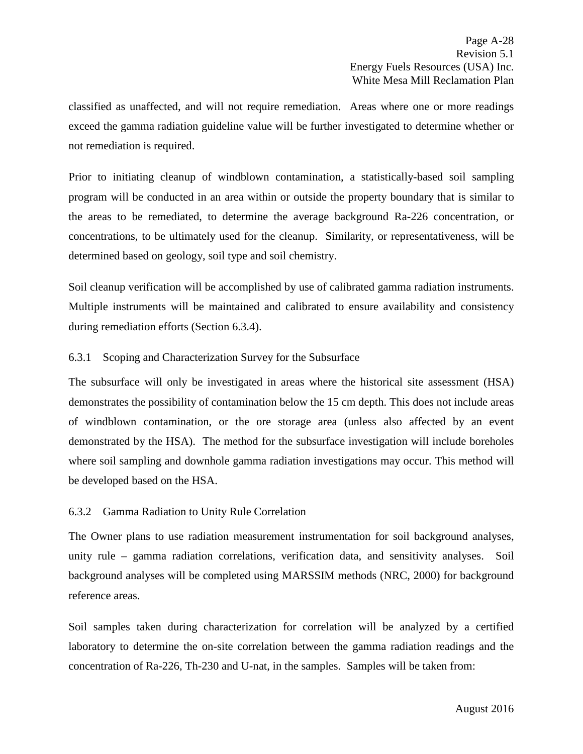classified as unaffected, and will not require remediation. Areas where one or more readings exceed the gamma radiation guideline value will be further investigated to determine whether or not remediation is required.

Prior to initiating cleanup of windblown contamination, a statistically-based soil sampling program will be conducted in an area within or outside the property boundary that is similar to the areas to be remediated, to determine the average background Ra-226 concentration, or concentrations, to be ultimately used for the cleanup. Similarity, or representativeness, will be determined based on geology, soil type and soil chemistry.

Soil cleanup verification will be accomplished by use of calibrated gamma radiation instruments. Multiple instruments will be maintained and calibrated to ensure availability and consistency during remediation efforts (Section 6.3.4).

## <span id="page-32-0"></span>6.3.1 Scoping and Characterization Survey for the Subsurface

The subsurface will only be investigated in areas where the historical site assessment (HSA) demonstrates the possibility of contamination below the 15 cm depth. This does not include areas of windblown contamination, or the ore storage area (unless also affected by an event demonstrated by the HSA). The method for the subsurface investigation will include boreholes where soil sampling and downhole gamma radiation investigations may occur. This method will be developed based on the HSA.

# <span id="page-32-1"></span>6.3.2 Gamma Radiation to Unity Rule Correlation

The Owner plans to use radiation measurement instrumentation for soil background analyses, unity rule – gamma radiation correlations, verification data, and sensitivity analyses. Soil background analyses will be completed using MARSSIM methods (NRC, 2000) for background reference areas.

Soil samples taken during characterization for correlation will be analyzed by a certified laboratory to determine the on-site correlation between the gamma radiation readings and the concentration of Ra-226, Th-230 and U-nat, in the samples. Samples will be taken from: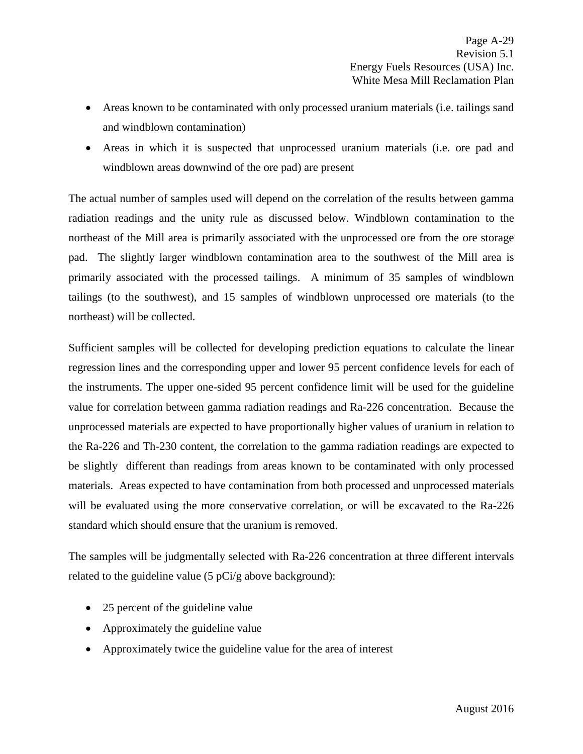- Areas known to be contaminated with only processed uranium materials (i.e. tailings sand and windblown contamination)
- Areas in which it is suspected that unprocessed uranium materials (i.e. ore pad and windblown areas downwind of the ore pad) are present

The actual number of samples used will depend on the correlation of the results between gamma radiation readings and the unity rule as discussed below. Windblown contamination to the northeast of the Mill area is primarily associated with the unprocessed ore from the ore storage pad. The slightly larger windblown contamination area to the southwest of the Mill area is primarily associated with the processed tailings. A minimum of 35 samples of windblown tailings (to the southwest), and 15 samples of windblown unprocessed ore materials (to the northeast) will be collected.

Sufficient samples will be collected for developing prediction equations to calculate the linear regression lines and the corresponding upper and lower 95 percent confidence levels for each of the instruments. The upper one-sided 95 percent confidence limit will be used for the guideline value for correlation between gamma radiation readings and Ra-226 concentration. Because the unprocessed materials are expected to have proportionally higher values of uranium in relation to the Ra-226 and Th-230 content, the correlation to the gamma radiation readings are expected to be slightly different than readings from areas known to be contaminated with only processed materials. Areas expected to have contamination from both processed and unprocessed materials will be evaluated using the more conservative correlation, or will be excavated to the Ra-226 standard which should ensure that the uranium is removed.

The samples will be judgmentally selected with Ra-226 concentration at three different intervals related to the guideline value (5 pCi/g above background):

- 25 percent of the guideline value
- Approximately the guideline value
- Approximately twice the guideline value for the area of interest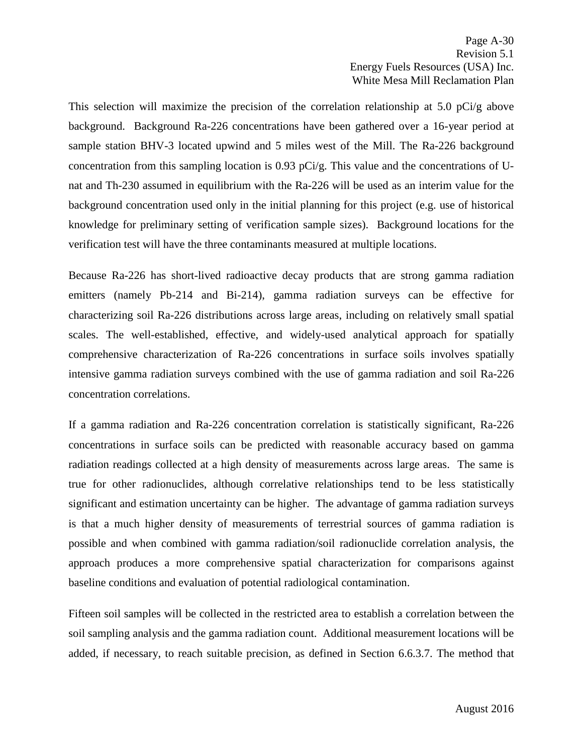This selection will maximize the precision of the correlation relationship at 5.0 pCi/g above background. Background Ra-226 concentrations have been gathered over a 16-year period at sample station BHV-3 located upwind and 5 miles west of the Mill. The Ra-226 background concentration from this sampling location is  $0.93$  pCi/g. This value and the concentrations of Unat and Th-230 assumed in equilibrium with the Ra-226 will be used as an interim value for the background concentration used only in the initial planning for this project (e.g. use of historical knowledge for preliminary setting of verification sample sizes). Background locations for the verification test will have the three contaminants measured at multiple locations.

Because Ra-226 has short-lived radioactive decay products that are strong gamma radiation emitters (namely Pb-214 and Bi-214), gamma radiation surveys can be effective for characterizing soil Ra-226 distributions across large areas, including on relatively small spatial scales. The well-established, effective, and widely-used analytical approach for spatially comprehensive characterization of Ra-226 concentrations in surface soils involves spatially intensive gamma radiation surveys combined with the use of gamma radiation and soil Ra-226 concentration correlations.

If a gamma radiation and Ra-226 concentration correlation is statistically significant, Ra-226 concentrations in surface soils can be predicted with reasonable accuracy based on gamma radiation readings collected at a high density of measurements across large areas. The same is true for other radionuclides, although correlative relationships tend to be less statistically significant and estimation uncertainty can be higher. The advantage of gamma radiation surveys is that a much higher density of measurements of terrestrial sources of gamma radiation is possible and when combined with gamma radiation/soil radionuclide correlation analysis, the approach produces a more comprehensive spatial characterization for comparisons against baseline conditions and evaluation of potential radiological contamination.

Fifteen soil samples will be collected in the restricted area to establish a correlation between the soil sampling analysis and the gamma radiation count. Additional measurement locations will be added, if necessary, to reach suitable precision, as defined in Section 6.6.3.7. The method that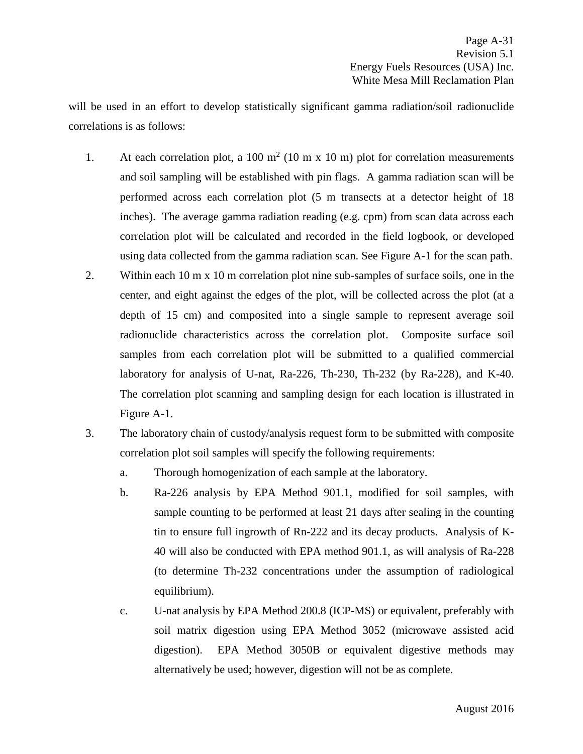will be used in an effort to develop statistically significant gamma radiation/soil radionuclide correlations is as follows:

- 1. At each correlation plot, a 100  $m^2$  (10 m x 10 m) plot for correlation measurements and soil sampling will be established with pin flags. A gamma radiation scan will be performed across each correlation plot (5 m transects at a detector height of 18 inches). The average gamma radiation reading (e.g. cpm) from scan data across each correlation plot will be calculated and recorded in the field logbook, or developed using data collected from the gamma radiation scan. See Figure A-1 for the scan path.
- 2. Within each 10 m x 10 m correlation plot nine sub-samples of surface soils, one in the center, and eight against the edges of the plot, will be collected across the plot (at a depth of 15 cm) and composited into a single sample to represent average soil radionuclide characteristics across the correlation plot. Composite surface soil samples from each correlation plot will be submitted to a qualified commercial laboratory for analysis of U-nat, Ra-226, Th-230, Th-232 (by Ra-228), and K-40. The correlation plot scanning and sampling design for each location is illustrated in Figure A-1.
- 3. The laboratory chain of custody/analysis request form to be submitted with composite correlation plot soil samples will specify the following requirements:
	- a. Thorough homogenization of each sample at the laboratory.
	- b. Ra-226 analysis by EPA Method 901.1, modified for soil samples, with sample counting to be performed at least 21 days after sealing in the counting tin to ensure full ingrowth of Rn-222 and its decay products. Analysis of K-40 will also be conducted with EPA method 901.1, as will analysis of Ra-228 (to determine Th-232 concentrations under the assumption of radiological equilibrium).
	- c. U-nat analysis by EPA Method 200.8 (ICP-MS) or equivalent, preferably with soil matrix digestion using EPA Method 3052 (microwave assisted acid digestion). EPA Method 3050B or equivalent digestive methods may alternatively be used; however, digestion will not be as complete.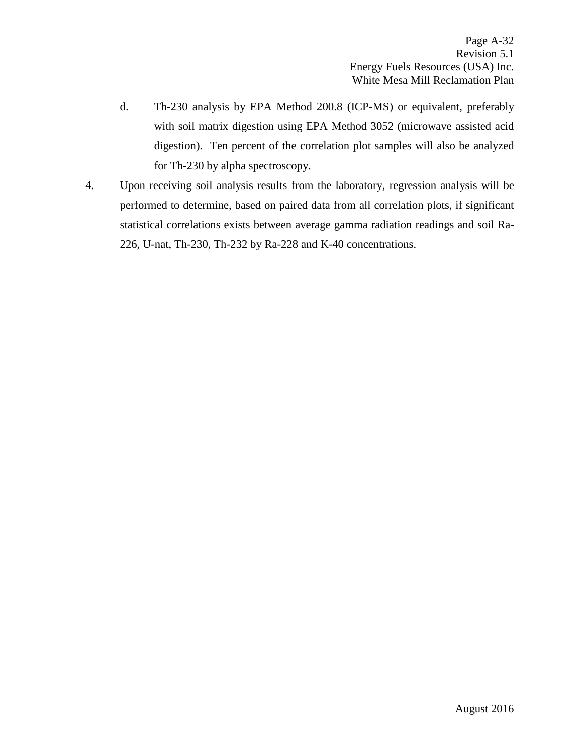- d. Th-230 analysis by EPA Method 200.8 (ICP-MS) or equivalent, preferably with soil matrix digestion using EPA Method 3052 (microwave assisted acid digestion). Ten percent of the correlation plot samples will also be analyzed for Th-230 by alpha spectroscopy.
- 4. Upon receiving soil analysis results from the laboratory, regression analysis will be performed to determine, based on paired data from all correlation plots, if significant statistical correlations exists between average gamma radiation readings and soil Ra-226, U-nat, Th-230, Th-232 by Ra-228 and K-40 concentrations.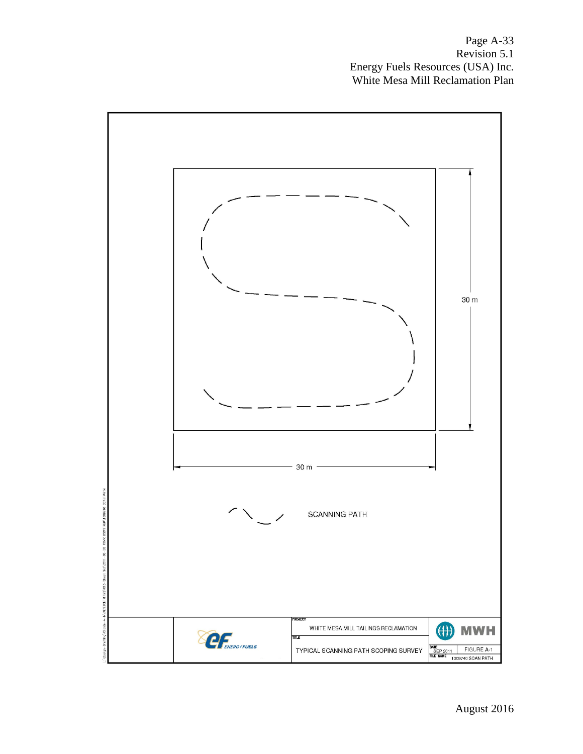Page A-33 Revision 5.1 Energy Fuels Resources (USA) Inc. White Mesa Mill Reclamation Plan

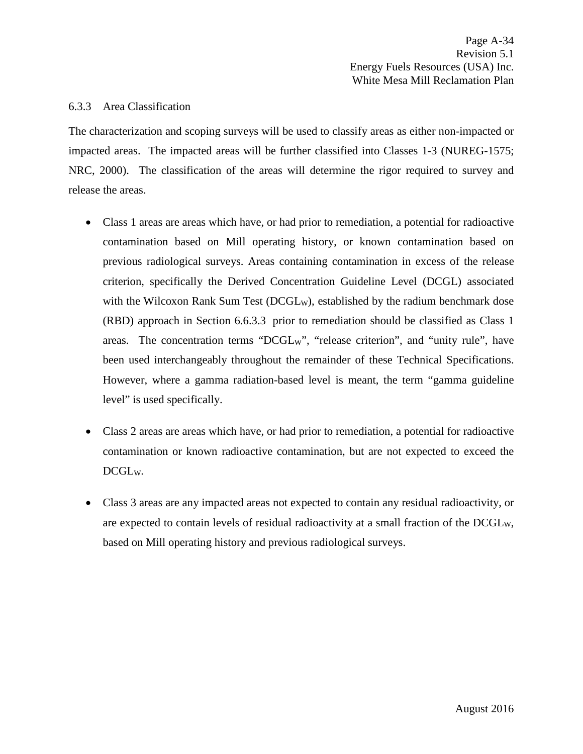#### 6.3.3 Area Classification

The characterization and scoping surveys will be used to classify areas as either non-impacted or impacted areas. The impacted areas will be further classified into Classes 1-3 (NUREG-1575; NRC, 2000). The classification of the areas will determine the rigor required to survey and release the areas.

- Class 1 areas are areas which have, or had prior to remediation, a potential for radioactive contamination based on Mill operating history, or known contamination based on previous radiological surveys. Areas containing contamination in excess of the release criterion, specifically the Derived Concentration Guideline Level (DCGL) associated with the Wilcoxon Rank Sum Test (DCGL<sub>W</sub>), established by the radium benchmark dose (RBD) approach in Section 6.6.3.3 prior to remediation should be classified as Class 1 areas. The concentration terms "DCGLW", "release criterion", and "unity rule", have been used interchangeably throughout the remainder of these Technical Specifications. However, where a gamma radiation-based level is meant, the term "gamma guideline level" is used specifically.
- Class 2 areas are areas which have, or had prior to remediation, a potential for radioactive contamination or known radioactive contamination, but are not expected to exceed the DCGLW.
- Class 3 areas are any impacted areas not expected to contain any residual radioactivity, or are expected to contain levels of residual radioactivity at a small fraction of the DCGLW, based on Mill operating history and previous radiological surveys.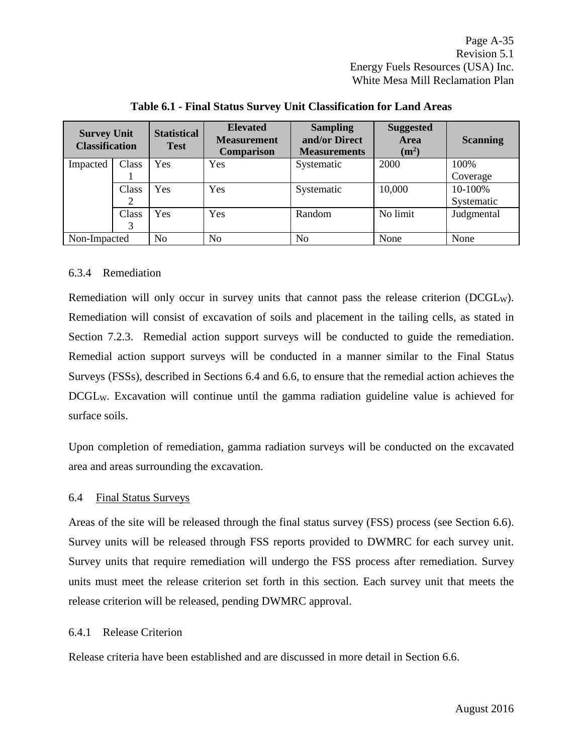| <b>Survey Unit</b><br><b>Classification</b> |       | <b>Statistical</b><br><b>Test</b> | <b>Elevated</b><br><b>Measurement</b><br><b>Comparison</b> | <b>Sampling</b><br>and/or Direct<br><b>Measurements</b> | <b>Suggested</b><br><b>Area</b><br>$(m^2)$ | <b>Scanning</b> |
|---------------------------------------------|-------|-----------------------------------|------------------------------------------------------------|---------------------------------------------------------|--------------------------------------------|-----------------|
| Impacted                                    | Class | Yes                               | Yes                                                        | Systematic                                              | 2000                                       | 100%            |
|                                             |       |                                   |                                                            |                                                         |                                            | Coverage        |
|                                             | Class | Yes                               | Yes                                                        | Systematic                                              | 10,000                                     | 10-100%         |
|                                             |       |                                   |                                                            |                                                         |                                            | Systematic      |
|                                             | Class | <b>Yes</b>                        | Yes                                                        | Random                                                  | No limit                                   | Judgmental      |
|                                             | 3     |                                   |                                                            |                                                         |                                            |                 |
| Non-Impacted                                |       | No                                | N <sub>0</sub>                                             | No                                                      | None                                       | None            |

**Table 6.1 - Final Status Survey Unit Classification for Land Areas**

# 6.3.4 Remediation

Remediation will only occur in survey units that cannot pass the release criterion (DCGLW). Remediation will consist of excavation of soils and placement in the tailing cells, as stated in Section 7.2.3. Remedial action support surveys will be conducted to guide the remediation. Remedial action support surveys will be conducted in a manner similar to the Final Status Surveys (FSSs), described in Sections 6.4 and 6.6, to ensure that the remedial action achieves the DCGLW. Excavation will continue until the gamma radiation guideline value is achieved for surface soils.

Upon completion of remediation, gamma radiation surveys will be conducted on the excavated area and areas surrounding the excavation.

### 6.4 Final Status Surveys

Areas of the site will be released through the final status survey (FSS) process (see Section 6.6). Survey units will be released through FSS reports provided to DWMRC for each survey unit. Survey units that require remediation will undergo the FSS process after remediation. Survey units must meet the release criterion set forth in this section. Each survey unit that meets the release criterion will be released, pending DWMRC approval.

### 6.4.1 Release Criterion

Release criteria have been established and are discussed in more detail in Section 6.6.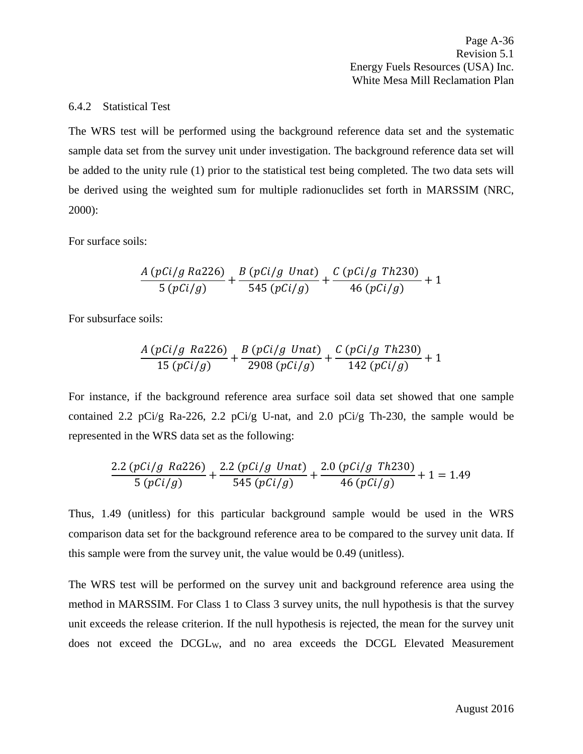Page A-36 Revision 5.1 Energy Fuels Resources (USA) Inc. White Mesa Mill Reclamation Plan

#### 6.4.2 Statistical Test

The WRS test will be performed using the background reference data set and the systematic sample data set from the survey unit under investigation. The background reference data set will be added to the unity rule (1) prior to the statistical test being completed. The two data sets will be derived using the weighted sum for multiple radionuclides set forth in MARSSIM (NRC, 2000):

For surface soils:

$$
\frac{A (pCi/g Ra226)}{5 (pCi/g)} + \frac{B (pCi/g Unat)}{545 (pCi/g)} + \frac{C (pCi/g Th230)}{46 (pCi/g)} + 1
$$

For subsurface soils:

$$
\frac{A (pCi/g\ Ra226)}{15 (pCi/g)} + \frac{B (pCi/g\ Unat)}{2908 (pCi/g)} + \frac{C (pCi/g\ Th230)}{142 (pCi/g)} + 1
$$

For instance, if the background reference area surface soil data set showed that one sample contained 2.2 pCi/g Ra-226, 2.2 pCi/g U-nat, and 2.0 pCi/g Th-230, the sample would be represented in the WRS data set as the following:

$$
\frac{2.2 (pCi/g \; Ra226)}{5 (pCi/g)} + \frac{2.2 (pCi/g \; Unat)}{545 (pCi/g)} + \frac{2.0 (pCi/g \; Th230)}{46 (pCi/g)} + 1 = 1.49
$$

Thus, 1.49 (unitless) for this particular background sample would be used in the WRS comparison data set for the background reference area to be compared to the survey unit data. If this sample were from the survey unit, the value would be 0.49 (unitless).

The WRS test will be performed on the survey unit and background reference area using the method in MARSSIM. For Class 1 to Class 3 survey units, the null hypothesis is that the survey unit exceeds the release criterion. If the null hypothesis is rejected, the mean for the survey unit does not exceed the DCGLW, and no area exceeds the DCGL Elevated Measurement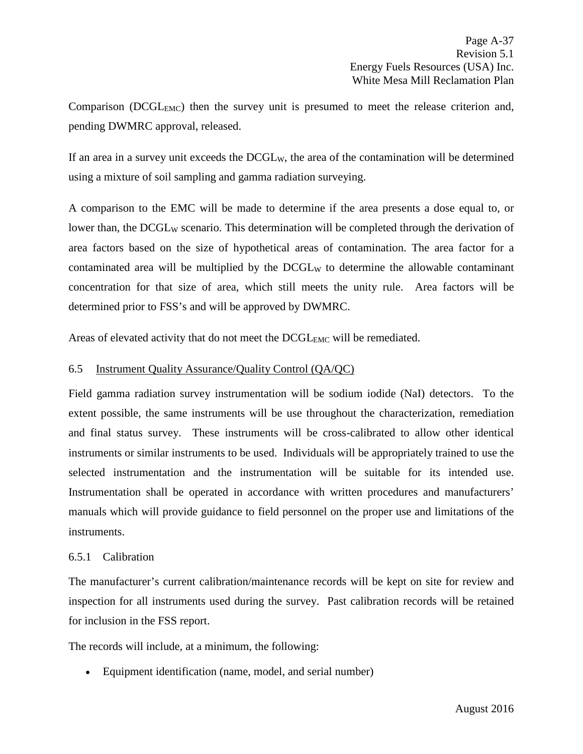Comparison (DCGL<sub>EMC</sub>) then the survey unit is presumed to meet the release criterion and, pending DWMRC approval, released.

If an area in a survey unit exceeds the DCGLW, the area of the contamination will be determined using a mixture of soil sampling and gamma radiation surveying.

A comparison to the EMC will be made to determine if the area presents a dose equal to, or lower than, the DCGL<sub>W</sub> scenario. This determination will be completed through the derivation of area factors based on the size of hypothetical areas of contamination. The area factor for a contaminated area will be multiplied by the  $DCGL_W$  to determine the allowable contaminant concentration for that size of area, which still meets the unity rule. Area factors will be determined prior to FSS's and will be approved by DWMRC.

Areas of elevated activity that do not meet the DCGL<sub>EMC</sub> will be remediated.

## 6.5 Instrument Quality Assurance/Quality Control (QA/QC)

Field gamma radiation survey instrumentation will be sodium iodide (NaI) detectors. To the extent possible, the same instruments will be use throughout the characterization, remediation and final status survey. These instruments will be cross-calibrated to allow other identical instruments or similar instruments to be used. Individuals will be appropriately trained to use the selected instrumentation and the instrumentation will be suitable for its intended use. Instrumentation shall be operated in accordance with written procedures and manufacturers' manuals which will provide guidance to field personnel on the proper use and limitations of the instruments.

### 6.5.1 Calibration

The manufacturer's current calibration/maintenance records will be kept on site for review and inspection for all instruments used during the survey. Past calibration records will be retained for inclusion in the FSS report.

The records will include, at a minimum, the following:

• Equipment identification (name, model, and serial number)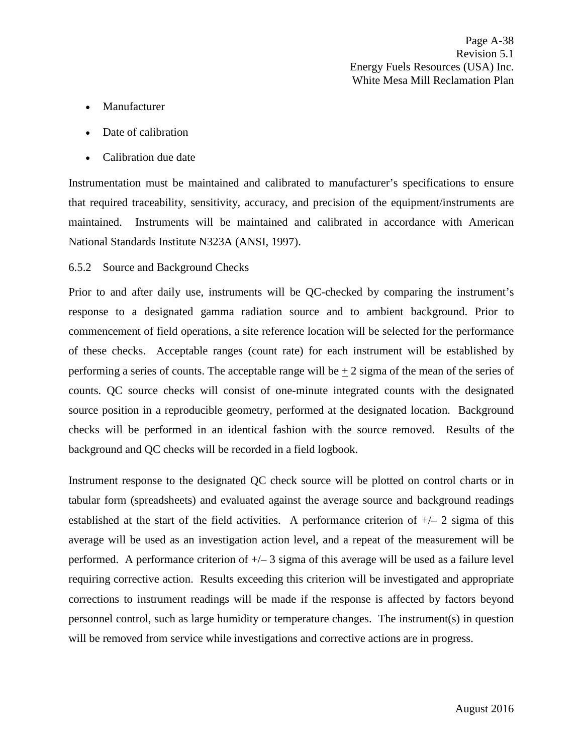- Manufacturer
- Date of calibration
- Calibration due date

Instrumentation must be maintained and calibrated to manufacturer's specifications to ensure that required traceability, sensitivity, accuracy, and precision of the equipment/instruments are maintained. Instruments will be maintained and calibrated in accordance with American National Standards Institute N323A (ANSI, 1997).

## 6.5.2 Source and Background Checks

Prior to and after daily use, instruments will be QC-checked by comparing the instrument's response to a designated gamma radiation source and to ambient background. Prior to commencement of field operations, a site reference location will be selected for the performance of these checks. Acceptable ranges (count rate) for each instrument will be established by performing a series of counts. The acceptable range will be  $\pm 2$  sigma of the mean of the series of counts. QC source checks will consist of one-minute integrated counts with the designated source position in a reproducible geometry, performed at the designated location. Background checks will be performed in an identical fashion with the source removed. Results of the background and QC checks will be recorded in a field logbook.

Instrument response to the designated QC check source will be plotted on control charts or in tabular form (spreadsheets) and evaluated against the average source and background readings established at the start of the field activities. A performance criterion of  $+/- 2$  sigma of this average will be used as an investigation action level, and a repeat of the measurement will be performed. A performance criterion of  $+\sqrt{-3}$  sigma of this average will be used as a failure level requiring corrective action. Results exceeding this criterion will be investigated and appropriate corrections to instrument readings will be made if the response is affected by factors beyond personnel control, such as large humidity or temperature changes. The instrument(s) in question will be removed from service while investigations and corrective actions are in progress.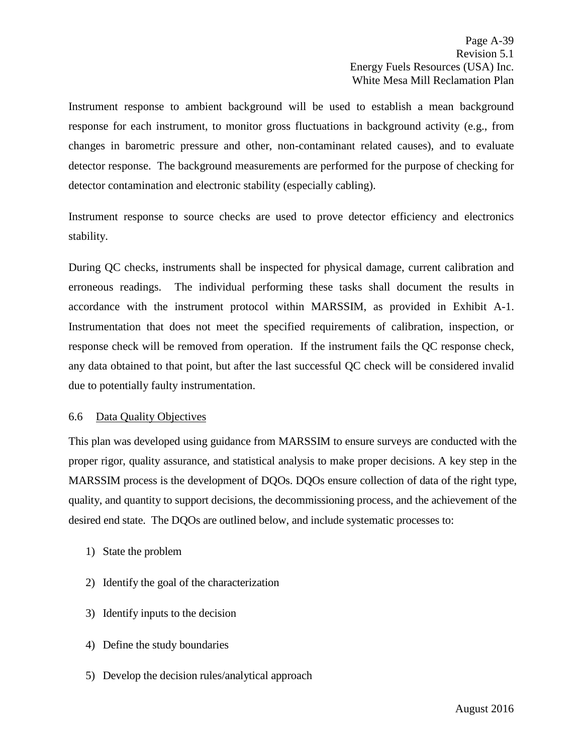Instrument response to ambient background will be used to establish a mean background response for each instrument, to monitor gross fluctuations in background activity (e.g., from changes in barometric pressure and other, non-contaminant related causes), and to evaluate detector response. The background measurements are performed for the purpose of checking for detector contamination and electronic stability (especially cabling).

Instrument response to source checks are used to prove detector efficiency and electronics stability.

During QC checks, instruments shall be inspected for physical damage, current calibration and erroneous readings. The individual performing these tasks shall document the results in accordance with the instrument protocol within MARSSIM, as provided in Exhibit A-1. Instrumentation that does not meet the specified requirements of calibration, inspection, or response check will be removed from operation. If the instrument fails the QC response check, any data obtained to that point, but after the last successful QC check will be considered invalid due to potentially faulty instrumentation.

### 6.6 Data Quality Objectives

This plan was developed using guidance from MARSSIM to ensure surveys are conducted with the proper rigor, quality assurance, and statistical analysis to make proper decisions. A key step in the MARSSIM process is the development of DQOs. DQOs ensure collection of data of the right type, quality, and quantity to support decisions, the decommissioning process, and the achievement of the desired end state. The DQOs are outlined below, and include systematic processes to:

- 1) State the problem
- 2) Identify the goal of the characterization
- 3) Identify inputs to the decision
- 4) Define the study boundaries
- 5) Develop the decision rules/analytical approach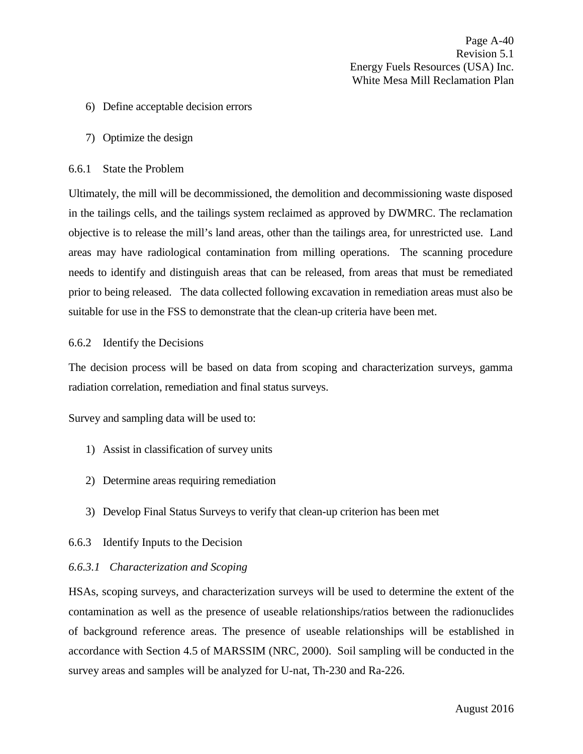- 6) Define acceptable decision errors
- 7) Optimize the design

#### 6.6.1 State the Problem

Ultimately, the mill will be decommissioned, the demolition and decommissioning waste disposed in the tailings cells, and the tailings system reclaimed as approved by DWMRC. The reclamation objective is to release the mill's land areas, other than the tailings area, for unrestricted use. Land areas may have radiological contamination from milling operations. The scanning procedure needs to identify and distinguish areas that can be released, from areas that must be remediated prior to being released. The data collected following excavation in remediation areas must also be suitable for use in the FSS to demonstrate that the clean-up criteria have been met.

#### 6.6.2 Identify the Decisions

The decision process will be based on data from scoping and characterization surveys, gamma radiation correlation, remediation and final status surveys.

Survey and sampling data will be used to:

- 1) Assist in classification of survey units
- 2) Determine areas requiring remediation
- 3) Develop Final Status Surveys to verify that clean-up criterion has been met

### 6.6.3 Identify Inputs to the Decision

#### *6.6.3.1 Characterization and Scoping*

HSAs, scoping surveys, and characterization surveys will be used to determine the extent of the contamination as well as the presence of useable relationships/ratios between the radionuclides of background reference areas. The presence of useable relationships will be established in accordance with Section 4.5 of MARSSIM (NRC, 2000). Soil sampling will be conducted in the survey areas and samples will be analyzed for U-nat, Th-230 and Ra-226.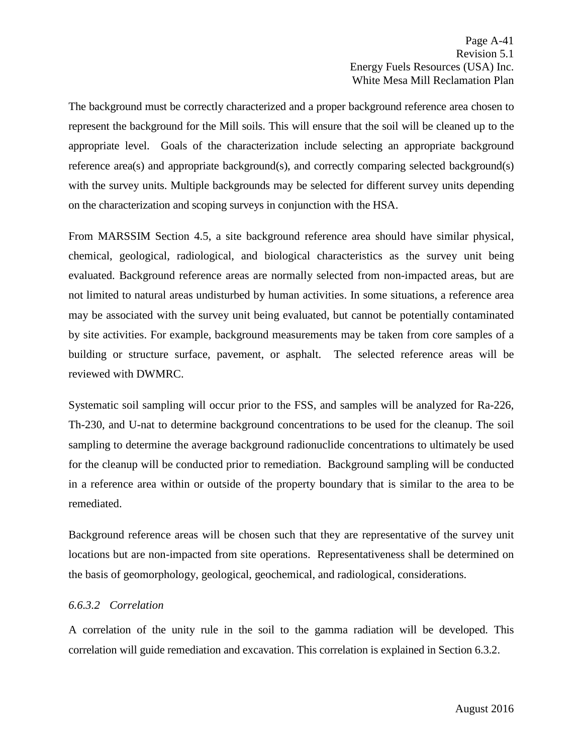The background must be correctly characterized and a proper background reference area chosen to represent the background for the Mill soils. This will ensure that the soil will be cleaned up to the appropriate level. Goals of the characterization include selecting an appropriate background reference area(s) and appropriate background(s), and correctly comparing selected background(s) with the survey units. Multiple backgrounds may be selected for different survey units depending on the characterization and scoping surveys in conjunction with the HSA.

From MARSSIM Section 4.5, a site background reference area should have similar physical, chemical, geological, radiological, and biological characteristics as the survey unit being evaluated. Background reference areas are normally selected from non-impacted areas, but are not limited to natural areas undisturbed by human activities. In some situations, a reference area may be associated with the survey unit being evaluated, but cannot be potentially contaminated by site activities. For example, background measurements may be taken from core samples of a building or structure surface, pavement, or asphalt. The selected reference areas will be reviewed with DWMRC.

Systematic soil sampling will occur prior to the FSS, and samples will be analyzed for Ra-226, Th-230, and U-nat to determine background concentrations to be used for the cleanup. The soil sampling to determine the average background radionuclide concentrations to ultimately be used for the cleanup will be conducted prior to remediation. Background sampling will be conducted in a reference area within or outside of the property boundary that is similar to the area to be remediated.

Background reference areas will be chosen such that they are representative of the survey unit locations but are non-impacted from site operations. Representativeness shall be determined on the basis of geomorphology, geological, geochemical, and radiological, considerations.

# *6.6.3.2 Correlation*

A correlation of the unity rule in the soil to the gamma radiation will be developed. This correlation will guide remediation and excavation. This correlation is explained in Section 6.3.2.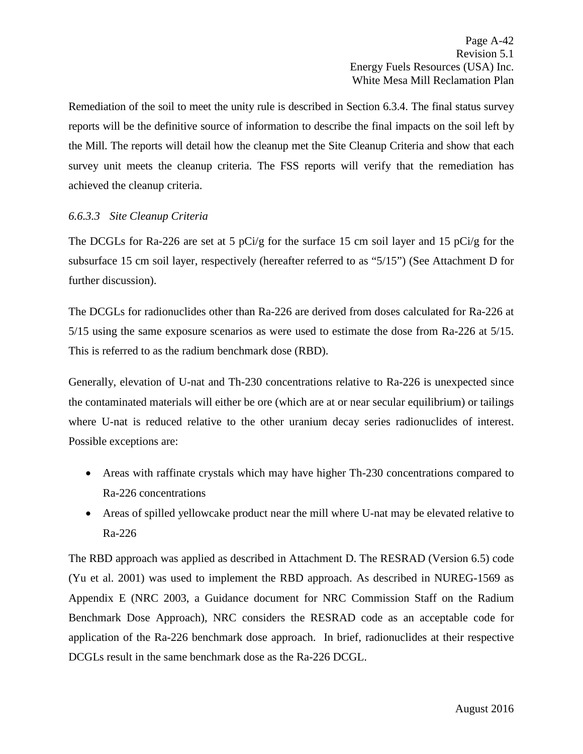Remediation of the soil to meet the unity rule is described in Section 6.3.4. The final status survey reports will be the definitive source of information to describe the final impacts on the soil left by the Mill. The reports will detail how the cleanup met the Site Cleanup Criteria and show that each survey unit meets the cleanup criteria. The FSS reports will verify that the remediation has achieved the cleanup criteria.

# *6.6.3.3 Site Cleanup Criteria*

The DCGLs for Ra-226 are set at 5 pCi/g for the surface 15 cm soil layer and 15 pCi/g for the subsurface 15 cm soil layer, respectively (hereafter referred to as "5/15") (See Attachment D for further discussion).

The DCGLs for radionuclides other than Ra-226 are derived from doses calculated for Ra-226 at 5/15 using the same exposure scenarios as were used to estimate the dose from Ra-226 at 5/15. This is referred to as the radium benchmark dose (RBD).

Generally, elevation of U-nat and Th-230 concentrations relative to Ra-226 is unexpected since the contaminated materials will either be ore (which are at or near secular equilibrium) or tailings where U-nat is reduced relative to the other uranium decay series radionuclides of interest. Possible exceptions are:

- Areas with raffinate crystals which may have higher Th-230 concentrations compared to Ra-226 concentrations
- Areas of spilled yellowcake product near the mill where U-nat may be elevated relative to Ra-226

The RBD approach was applied as described in Attachment D. The RESRAD (Version 6.5) code (Yu et al. 2001) was used to implement the RBD approach. As described in NUREG-1569 as Appendix E (NRC 2003, a Guidance document for NRC Commission Staff on the Radium Benchmark Dose Approach), NRC considers the RESRAD code as an acceptable code for application of the Ra-226 benchmark dose approach. In brief, radionuclides at their respective DCGLs result in the same benchmark dose as the Ra-226 DCGL.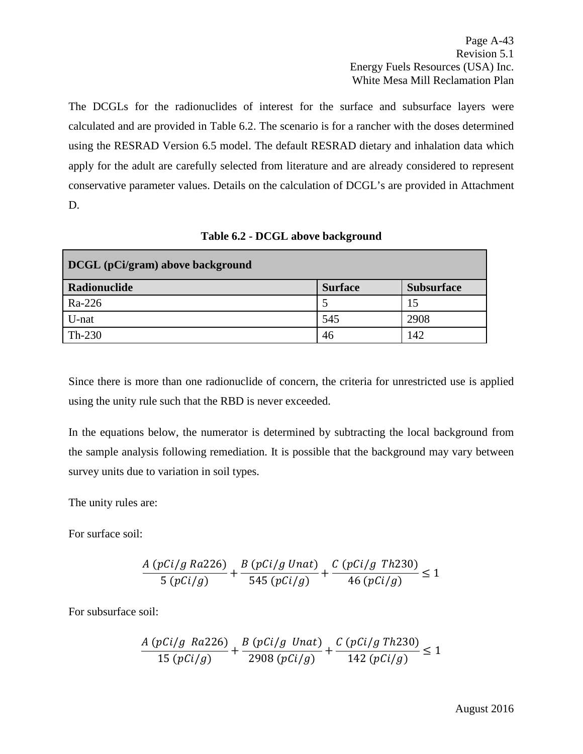The DCGLs for the radionuclides of interest for the surface and subsurface layers were calculated and are provided in Table 6.2. The scenario is for a rancher with the doses determined using the RESRAD Version 6.5 model. The default RESRAD dietary and inhalation data which apply for the adult are carefully selected from literature and are already considered to represent conservative parameter values. Details on the calculation of DCGL's are provided in Attachment D.

| DCGL (pCi/gram) above background |                |                   |
|----------------------------------|----------------|-------------------|
| Radionuclide                     | <b>Surface</b> | <b>Subsurface</b> |
| Ra-226                           |                | 15                |
| U-nat                            | 545            | 2908              |
| $Th-230$                         | 46             | 142               |

**Table 6.2 - DCGL above background**

Since there is more than one radionuclide of concern, the criteria for unrestricted use is applied using the unity rule such that the RBD is never exceeded.

In the equations below, the numerator is determined by subtracting the local background from the sample analysis following remediation. It is possible that the background may vary between survey units due to variation in soil types.

The unity rules are:

For surface soil:

$$
\frac{A (pCi/g Ra226)}{5 (pCi/g)} + \frac{B (pCi/g Unat)}{545 (pCi/g)} + \frac{C (pCi/g Th230)}{46 (pCi/g)} \le 1
$$

For subsurface soil:

$$
\frac{A (pCi/g \; Ra226)}{15 (pCi/g)} + \frac{B (pCi/g \; Unat)}{2908 (pCi/g)} + \frac{C (pCi/g \; Th230)}{142 (pCi/g)} \le 1
$$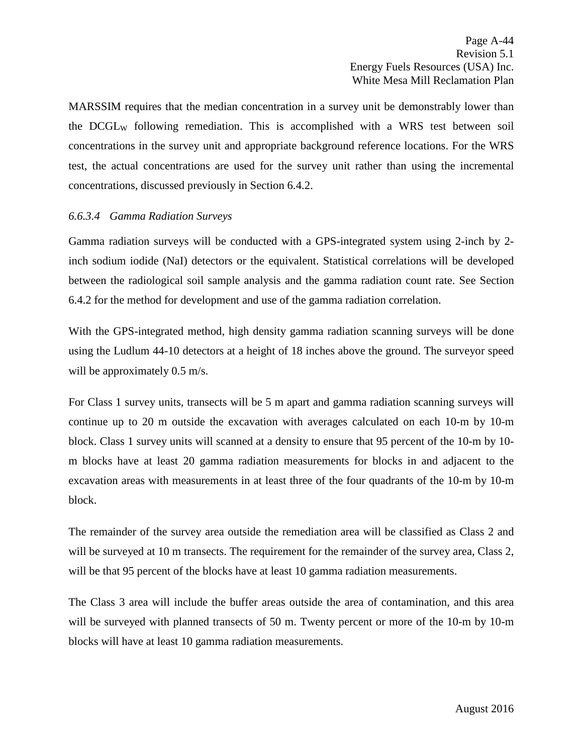MARSSIM requires that the median concentration in a survey unit be demonstrably lower than the DCGLW following remediation. This is accomplished with a WRS test between soil concentrations in the survey unit and appropriate background reference locations. For the WRS test, the actual concentrations are used for the survey unit rather than using the incremental concentrations, discussed previously in Section 6.4.2.

## *6.6.3.4 Gamma Radiation Surveys*

Gamma radiation surveys will be conducted with a GPS-integrated system using 2-inch by 2 inch sodium iodide (NaI) detectors or the equivalent. Statistical correlations will be developed between the radiological soil sample analysis and the gamma radiation count rate. See Section 6.4.2 for the method for development and use of the gamma radiation correlation.

With the GPS-integrated method, high density gamma radiation scanning surveys will be done using the Ludlum 44-10 detectors at a height of 18 inches above the ground. The surveyor speed will be approximately 0.5 m/s.

For Class 1 survey units, transects will be 5 m apart and gamma radiation scanning surveys will continue up to 20 m outside the excavation with averages calculated on each 10-m by 10-m block. Class 1 survey units will scanned at a density to ensure that 95 percent of the 10-m by 10 m blocks have at least 20 gamma radiation measurements for blocks in and adjacent to the excavation areas with measurements in at least three of the four quadrants of the 10-m by 10-m block.

The remainder of the survey area outside the remediation area will be classified as Class 2 and will be surveyed at 10 m transects. The requirement for the remainder of the survey area, Class 2, will be that 95 percent of the blocks have at least 10 gamma radiation measurements.

The Class 3 area will include the buffer areas outside the area of contamination, and this area will be surveyed with planned transects of 50 m. Twenty percent or more of the 10-m by 10-m blocks will have at least 10 gamma radiation measurements.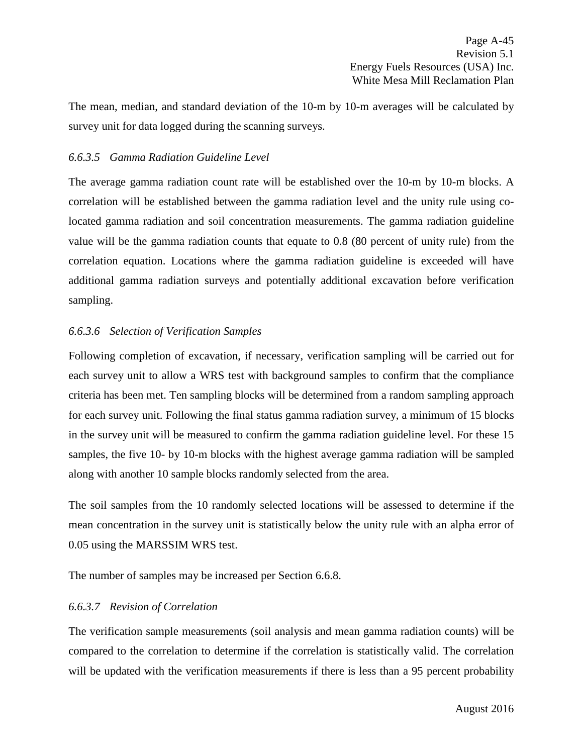The mean, median, and standard deviation of the 10-m by 10-m averages will be calculated by survey unit for data logged during the scanning surveys.

## *6.6.3.5 Gamma Radiation Guideline Level*

The average gamma radiation count rate will be established over the 10-m by 10-m blocks. A correlation will be established between the gamma radiation level and the unity rule using colocated gamma radiation and soil concentration measurements. The gamma radiation guideline value will be the gamma radiation counts that equate to 0.8 (80 percent of unity rule) from the correlation equation. Locations where the gamma radiation guideline is exceeded will have additional gamma radiation surveys and potentially additional excavation before verification sampling.

# <span id="page-49-0"></span>*6.6.3.6 Selection of Verification Samples*

Following completion of excavation, if necessary, verification sampling will be carried out for each survey unit to allow a WRS test with background samples to confirm that the compliance criteria has been met. Ten sampling blocks will be determined from a random sampling approach for each survey unit. Following the final status gamma radiation survey, a minimum of 15 blocks in the survey unit will be measured to confirm the gamma radiation guideline level. For these 15 samples, the five 10- by 10-m blocks with the highest average gamma radiation will be sampled along with another 10 sample blocks randomly selected from the area.

The soil samples from the 10 randomly selected locations will be assessed to determine if the mean concentration in the survey unit is statistically below the unity rule with an alpha error of 0.05 using the MARSSIM WRS test.

The number of samples may be increased per Section 6.6.8.

# *6.6.3.7 Revision of Correlation*

The verification sample measurements (soil analysis and mean gamma radiation counts) will be compared to the correlation to determine if the correlation is statistically valid. The correlation will be updated with the verification measurements if there is less than a 95 percent probability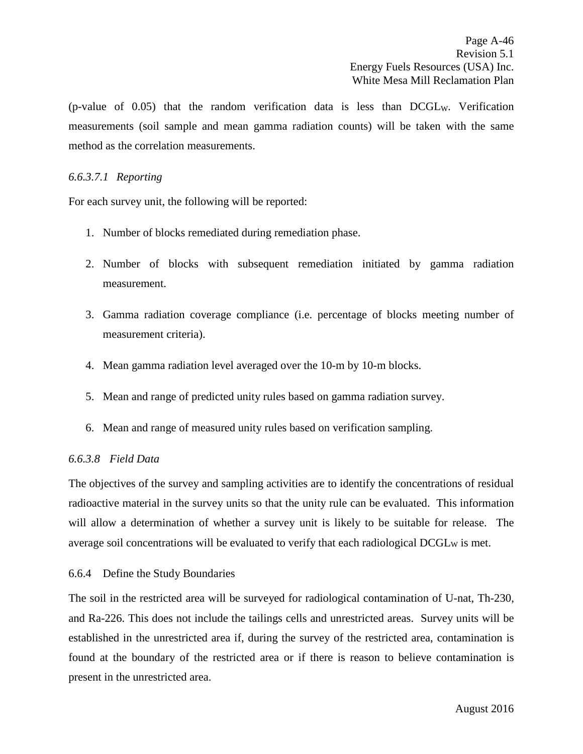$(p$ -value of 0.05) that the random verification data is less than DCGL<sub>W</sub>. Verification measurements (soil sample and mean gamma radiation counts) will be taken with the same method as the correlation measurements.

## *6.6.3.7.1 Reporting*

For each survey unit, the following will be reported:

- 1. Number of blocks remediated during remediation phase.
- 2. Number of blocks with subsequent remediation initiated by gamma radiation measurement.
- 3. Gamma radiation coverage compliance (i.e. percentage of blocks meeting number of measurement criteria).
- 4. Mean gamma radiation level averaged over the 10-m by 10-m blocks.
- 5. Mean and range of predicted unity rules based on gamma radiation survey.
- 6. Mean and range of measured unity rules based on verification sampling.

### *6.6.3.8 Field Data*

The objectives of the survey and sampling activities are to identify the concentrations of residual radioactive material in the survey units so that the unity rule can be evaluated. This information will allow a determination of whether a survey unit is likely to be suitable for release. The average soil concentrations will be evaluated to verify that each radiological DCGL<sub>W</sub> is met.

### 6.6.4 Define the Study Boundaries

The soil in the restricted area will be surveyed for radiological contamination of U-nat, Th-230, and Ra-226. This does not include the tailings cells and unrestricted areas. Survey units will be established in the unrestricted area if, during the survey of the restricted area, contamination is found at the boundary of the restricted area or if there is reason to believe contamination is present in the unrestricted area.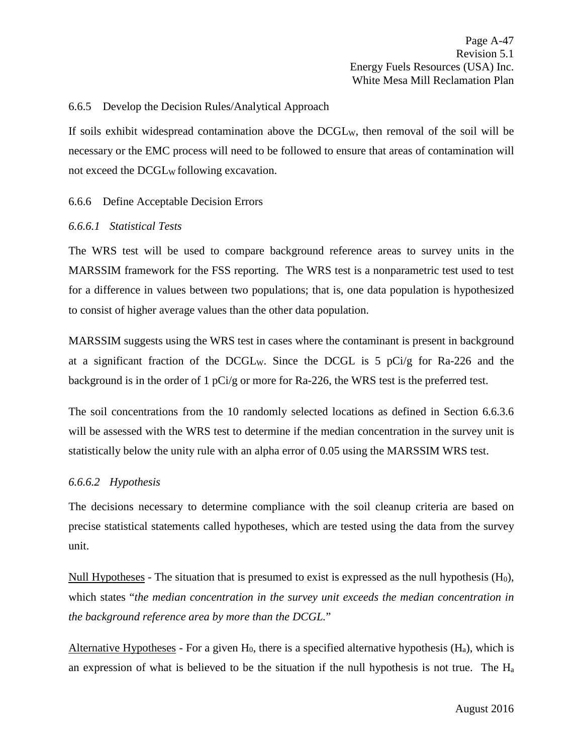Page A-47 Revision 5.1 Energy Fuels Resources (USA) Inc. White Mesa Mill Reclamation Plan

### 6.6.5 Develop the Decision Rules/Analytical Approach

If soils exhibit widespread contamination above the DCGLW, then removal of the soil will be necessary or the EMC process will need to be followed to ensure that areas of contamination will not exceed the DCGL<sub>W</sub> following excavation.

#### 6.6.6 Define Acceptable Decision Errors

#### *6.6.6.1 Statistical Tests*

The WRS test will be used to compare background reference areas to survey units in the MARSSIM framework for the FSS reporting. The WRS test is a nonparametric test used to test for a difference in values between two populations; that is, one data population is hypothesized to consist of higher average values than the other data population.

MARSSIM suggests using the WRS test in cases where the contaminant is present in background at a significant fraction of the DCGLW. Since the DCGL is 5 pCi/g for Ra-226 and the background is in the order of 1 pCi/g or more for Ra-226, the WRS test is the preferred test.

The soil concentrations from the 10 randomly selected locations as defined in Section [6.6.3.6](#page-49-0) will be assessed with the WRS test to determine if the median concentration in the survey unit is statistically below the unity rule with an alpha error of 0.05 using the MARSSIM WRS test.

### *6.6.6.2 Hypothesis*

The decisions necessary to determine compliance with the soil cleanup criteria are based on precise statistical statements called hypotheses, which are tested using the data from the survey unit.

Null Hypotheses - The situation that is presumed to exist is expressed as the null hypothesis  $(H_0)$ , which states "*the median concentration in the survey unit exceeds the median concentration in the background reference area by more than the DCGL.*"

Alternative Hypotheses - For a given  $H_0$ , there is a specified alternative hypothesis  $(H_a)$ , which is an expression of what is believed to be the situation if the null hypothesis is not true. The  $H_a$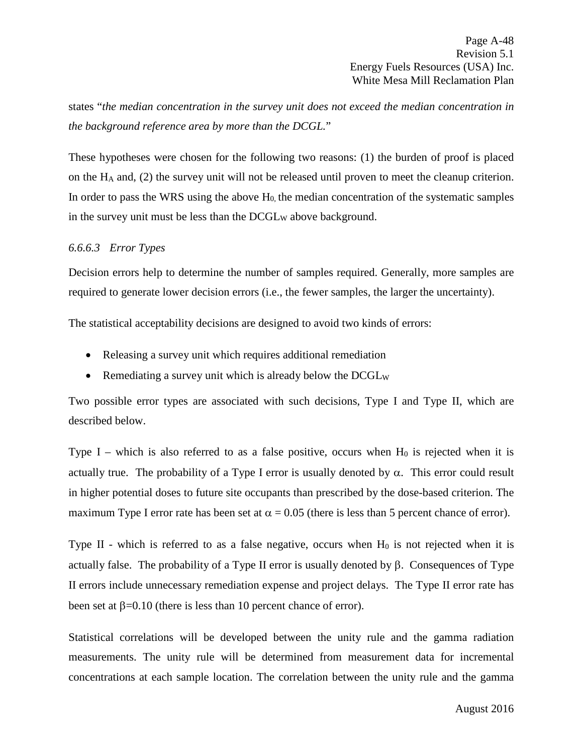states "*the median concentration in the survey unit does not exceed the median concentration in the background reference area by more than the DCGL.*"

These hypotheses were chosen for the following two reasons: (1) the burden of proof is placed on the HA and, (2) the survey unit will not be released until proven to meet the cleanup criterion. In order to pass the WRS using the above  $H_0$ , the median concentration of the systematic samples in the survey unit must be less than the  $DCGL_W$  above background.

## *6.6.6.3 Error Types*

Decision errors help to determine the number of samples required. Generally, more samples are required to generate lower decision errors (i.e., the fewer samples, the larger the uncertainty).

The statistical acceptability decisions are designed to avoid two kinds of errors:

- Releasing a survey unit which requires additional remediation
- Remediating a survey unit which is already below the DCGL<sub>W</sub>

Two possible error types are associated with such decisions, Type I and Type II, which are described below.

Type I – which is also referred to as a false positive, occurs when  $H_0$  is rejected when it is actually true. The probability of a Type I error is usually denoted by  $\alpha$ . This error could result in higher potential doses to future site occupants than prescribed by the dose-based criterion. The maximum Type I error rate has been set at  $\alpha = 0.05$  (there is less than 5 percent chance of error).

Type II - which is referred to as a false negative, occurs when  $H_0$  is not rejected when it is actually false. The probability of a Type II error is usually denoted by β. Consequences of Type II errors include unnecessary remediation expense and project delays. The Type II error rate has been set at  $β=0.10$  (there is less than 10 percent chance of error).

Statistical correlations will be developed between the unity rule and the gamma radiation measurements. The unity rule will be determined from measurement data for incremental concentrations at each sample location. The correlation between the unity rule and the gamma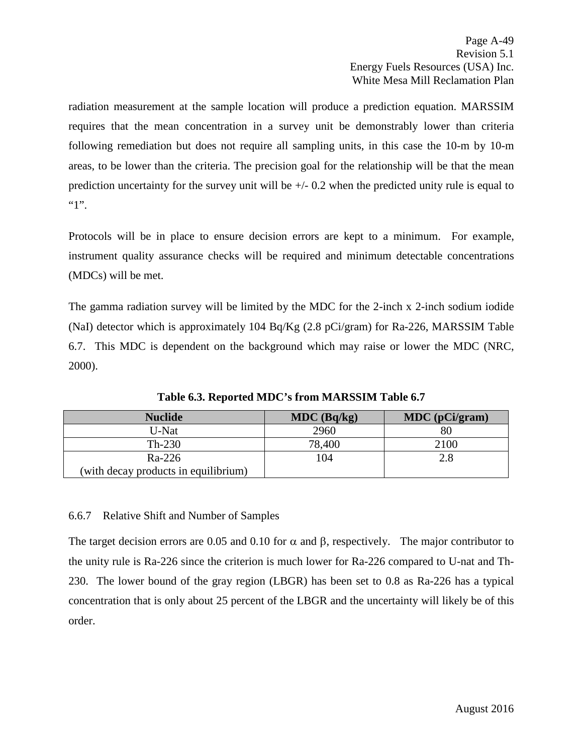radiation measurement at the sample location will produce a prediction equation. MARSSIM requires that the mean concentration in a survey unit be demonstrably lower than criteria following remediation but does not require all sampling units, in this case the 10-m by 10-m areas, to be lower than the criteria. The precision goal for the relationship will be that the mean prediction uncertainty for the survey unit will be +/- 0.2 when the predicted unity rule is equal to  $"1"$ .

Protocols will be in place to ensure decision errors are kept to a minimum. For example, instrument quality assurance checks will be required and minimum detectable concentrations (MDCs) will be met.

The gamma radiation survey will be limited by the MDC for the 2-inch x 2-inch sodium iodide (NaI) detector which is approximately 104 Bq/Kg  $(2.8 \text{ pCi/gram})$  for Ra-226, MARSSIM Table 6.7. This MDC is dependent on the background which may raise or lower the MDC (NRC, 2000).

| <b>Nuclide</b>                       | $MDC$ (Bq/kg) | MDC (pCi/gram) |
|--------------------------------------|---------------|----------------|
| U-Nat                                | 2960          |                |
| $Th-230$                             | 78,400        | 2100           |
| Ra-226                               | 104           | 2.8            |
| (with decay products in equilibrium) |               |                |

**Table 6.3. Reported MDC's from MARSSIM Table 6.7**

# 6.6.7 Relative Shift and Number of Samples

The target decision errors are 0.05 and 0.10 for  $\alpha$  and  $\beta$ , respectively. The major contributor to the unity rule is Ra-226 since the criterion is much lower for Ra-226 compared to U-nat and Th-230. The lower bound of the gray region (LBGR) has been set to 0.8 as Ra-226 has a typical concentration that is only about 25 percent of the LBGR and the uncertainty will likely be of this order.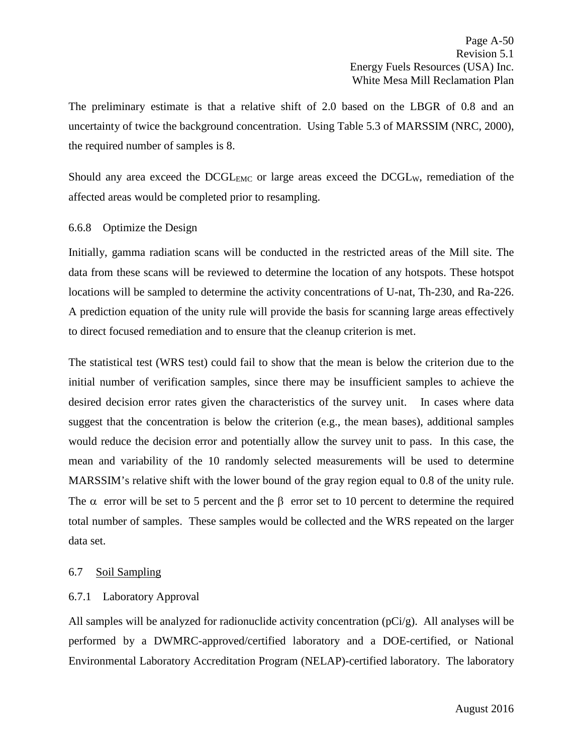The preliminary estimate is that a relative shift of 2.0 based on the LBGR of 0.8 and an uncertainty of twice the background concentration. Using Table 5.3 of MARSSIM (NRC, 2000), the required number of samples is 8.

Should any area exceed the DCGL<sub>EMC</sub> or large areas exceed the DCGL<sub>W</sub>, remediation of the affected areas would be completed prior to resampling.

## 6.6.8 Optimize the Design

Initially, gamma radiation scans will be conducted in the restricted areas of the Mill site. The data from these scans will be reviewed to determine the location of any hotspots. These hotspot locations will be sampled to determine the activity concentrations of U-nat, Th-230, and Ra-226. A prediction equation of the unity rule will provide the basis for scanning large areas effectively to direct focused remediation and to ensure that the cleanup criterion is met.

The statistical test (WRS test) could fail to show that the mean is below the criterion due to the initial number of verification samples, since there may be insufficient samples to achieve the desired decision error rates given the characteristics of the survey unit. In cases where data suggest that the concentration is below the criterion (e.g., the mean bases), additional samples would reduce the decision error and potentially allow the survey unit to pass. In this case, the mean and variability of the 10 randomly selected measurements will be used to determine MARSSIM's relative shift with the lower bound of the gray region equal to 0.8 of the unity rule. The  $\alpha$  error will be set to 5 percent and the  $\beta$  error set to 10 percent to determine the required total number of samples. These samples would be collected and the WRS repeated on the larger data set.

### 6.7 Soil Sampling

### 6.7.1 Laboratory Approval

All samples will be analyzed for radionuclide activity concentration (pCi/g). All analyses will be performed by a DWMRC-approved/certified laboratory and a DOE-certified, or National Environmental Laboratory Accreditation Program (NELAP)-certified laboratory. The laboratory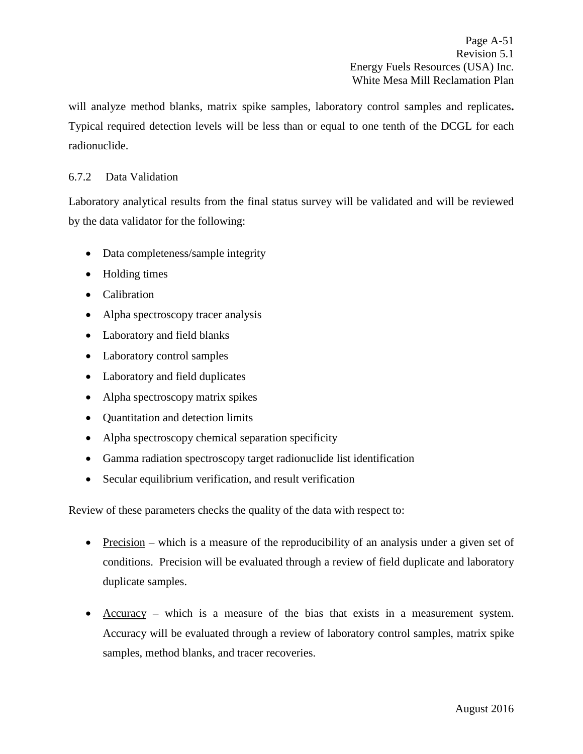will analyze method blanks, matrix spike samples, laboratory control samples and replicates**.**  Typical required detection levels will be less than or equal to one tenth of the DCGL for each radionuclide.

## 6.7.2 Data Validation

Laboratory analytical results from the final status survey will be validated and will be reviewed by the data validator for the following:

- Data completeness/sample integrity
- Holding times
- Calibration
- Alpha spectroscopy tracer analysis
- Laboratory and field blanks
- Laboratory control samples
- Laboratory and field duplicates
- Alpha spectroscopy matrix spikes
- Quantitation and detection limits
- Alpha spectroscopy chemical separation specificity
- Gamma radiation spectroscopy target radionuclide list identification
- Secular equilibrium verification, and result verification

Review of these parameters checks the quality of the data with respect to:

- Precision which is a measure of the reproducibility of an analysis under a given set of conditions. Precision will be evaluated through a review of field duplicate and laboratory duplicate samples.
- Accuracy which is a measure of the bias that exists in a measurement system. Accuracy will be evaluated through a review of laboratory control samples, matrix spike samples, method blanks, and tracer recoveries.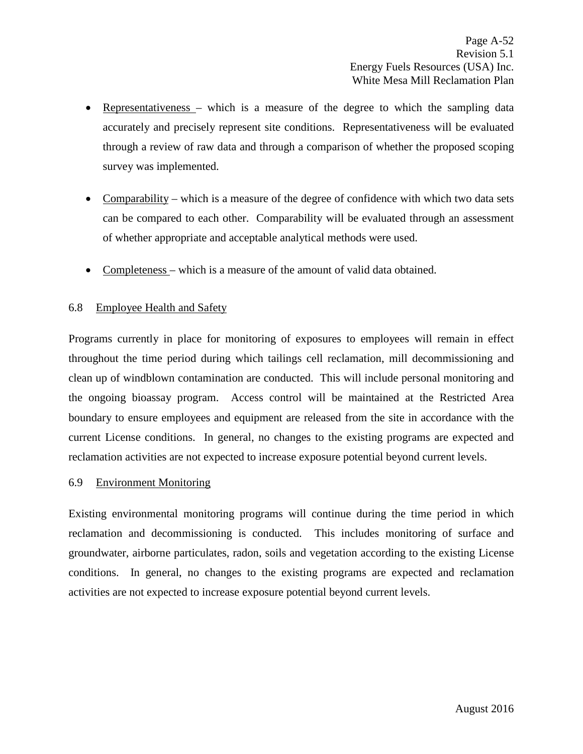- Representativeness which is a measure of the degree to which the sampling data accurately and precisely represent site conditions. Representativeness will be evaluated through a review of raw data and through a comparison of whether the proposed scoping survey was implemented.
- Comparability which is a measure of the degree of confidence with which two data sets can be compared to each other. Comparability will be evaluated through an assessment of whether appropriate and acceptable analytical methods were used.
- Completeness which is a measure of the amount of valid data obtained.

#### 6.8 Employee Health and Safety

Programs currently in place for monitoring of exposures to employees will remain in effect throughout the time period during which tailings cell reclamation, mill decommissioning and clean up of windblown contamination are conducted. This will include personal monitoring and the ongoing bioassay program. Access control will be maintained at the Restricted Area boundary to ensure employees and equipment are released from the site in accordance with the current License conditions. In general, no changes to the existing programs are expected and reclamation activities are not expected to increase exposure potential beyond current levels.

#### 6.9 Environment Monitoring

Existing environmental monitoring programs will continue during the time period in which reclamation and decommissioning is conducted. This includes monitoring of surface and groundwater, airborne particulates, radon, soils and vegetation according to the existing License conditions. In general, no changes to the existing programs are expected and reclamation activities are not expected to increase exposure potential beyond current levels.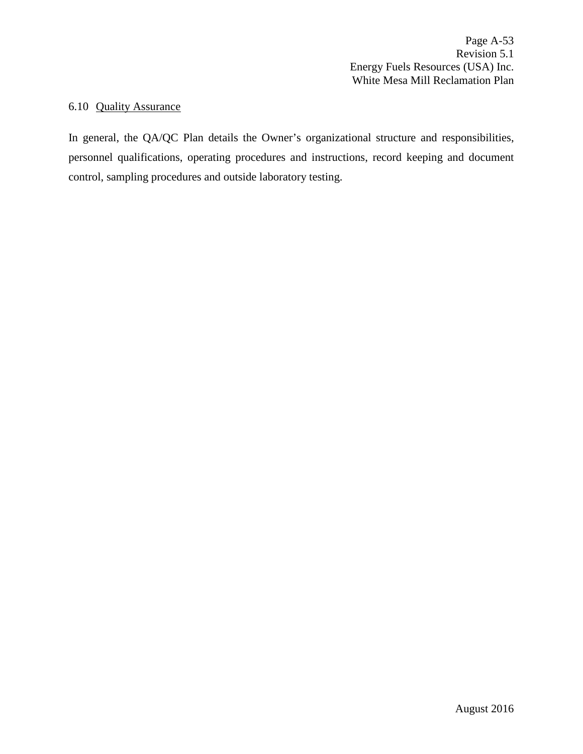Page A-53 Revision 5.1 Energy Fuels Resources (USA) Inc. White Mesa Mill Reclamation Plan

# 6.10 Quality Assurance

In general, the QA/QC Plan details the Owner's organizational structure and responsibilities, personnel qualifications, operating procedures and instructions, record keeping and document control, sampling procedures and outside laboratory testing.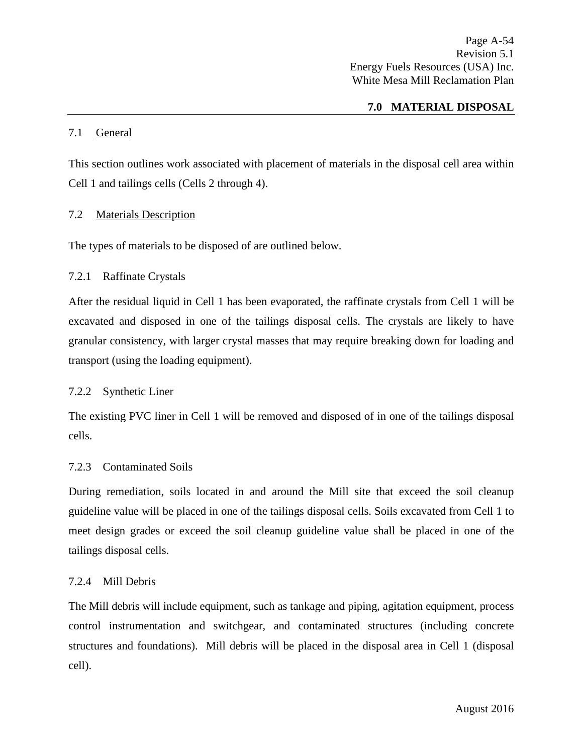## **7.0 MATERIAL DISPOSAL**

## 7.1 General

This section outlines work associated with placement of materials in the disposal cell area within Cell 1 and tailings cells (Cells 2 through 4).

## 7.2 Materials Description

The types of materials to be disposed of are outlined below.

## 7.2.1 Raffinate Crystals

After the residual liquid in Cell 1 has been evaporated, the raffinate crystals from Cell 1 will be excavated and disposed in one of the tailings disposal cells. The crystals are likely to have granular consistency, with larger crystal masses that may require breaking down for loading and transport (using the loading equipment).

### 7.2.2 Synthetic Liner

The existing PVC liner in Cell 1 will be removed and disposed of in one of the tailings disposal cells.

### 7.2.3 Contaminated Soils

During remediation, soils located in and around the Mill site that exceed the soil cleanup guideline value will be placed in one of the tailings disposal cells. Soils excavated from Cell 1 to meet design grades or exceed the soil cleanup guideline value shall be placed in one of the tailings disposal cells.

### 7.2.4 Mill Debris

The Mill debris will include equipment, such as tankage and piping, agitation equipment, process control instrumentation and switchgear, and contaminated structures (including concrete structures and foundations). Mill debris will be placed in the disposal area in Cell 1 (disposal cell).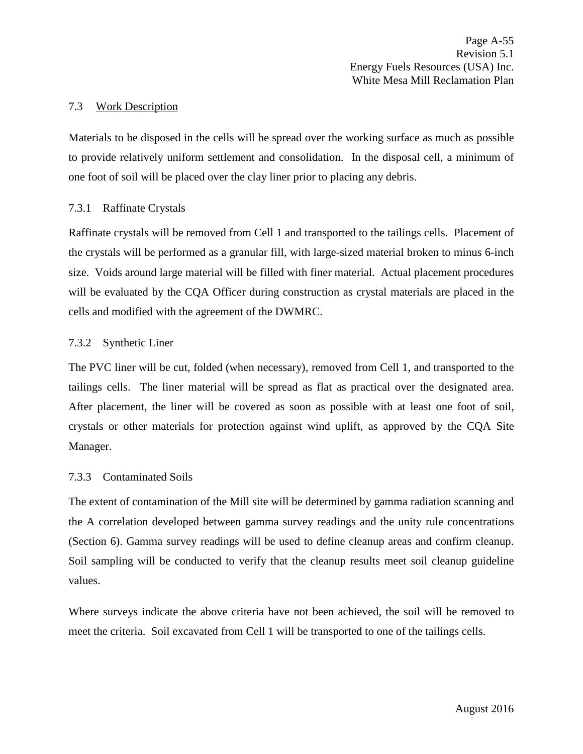### 7.3 Work Description

Materials to be disposed in the cells will be spread over the working surface as much as possible to provide relatively uniform settlement and consolidation. In the disposal cell, a minimum of one foot of soil will be placed over the clay liner prior to placing any debris.

### 7.3.1 Raffinate Crystals

Raffinate crystals will be removed from Cell 1 and transported to the tailings cells. Placement of the crystals will be performed as a granular fill, with large-sized material broken to minus 6-inch size. Voids around large material will be filled with finer material. Actual placement procedures will be evaluated by the CQA Officer during construction as crystal materials are placed in the cells and modified with the agreement of the DWMRC.

#### 7.3.2 Synthetic Liner

The PVC liner will be cut, folded (when necessary), removed from Cell 1, and transported to the tailings cells. The liner material will be spread as flat as practical over the designated area. After placement, the liner will be covered as soon as possible with at least one foot of soil, crystals or other materials for protection against wind uplift, as approved by the CQA Site Manager.

### 7.3.3 Contaminated Soils

The extent of contamination of the Mill site will be determined by gamma radiation scanning and the A correlation developed between gamma survey readings and the unity rule concentrations (Section 6). Gamma survey readings will be used to define cleanup areas and confirm cleanup. Soil sampling will be conducted to verify that the cleanup results meet soil cleanup guideline values.

Where surveys indicate the above criteria have not been achieved, the soil will be removed to meet the criteria. Soil excavated from Cell 1 will be transported to one of the tailings cells.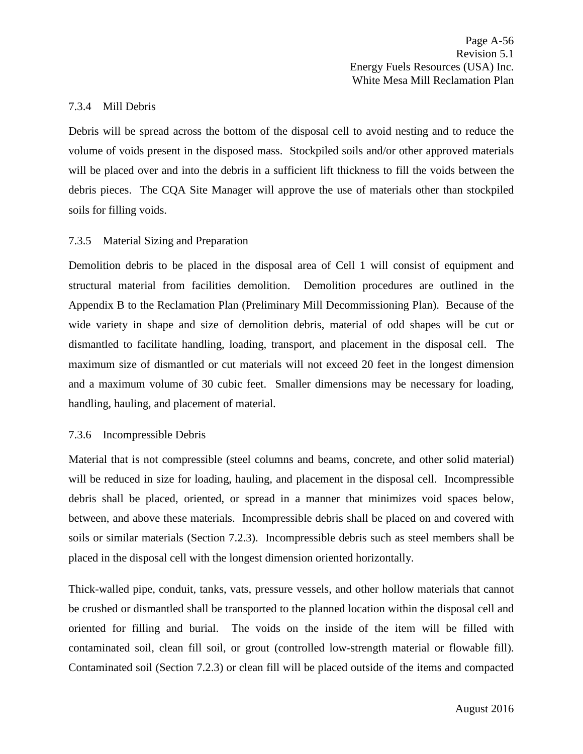Page A-56 Revision 5.1 Energy Fuels Resources (USA) Inc. White Mesa Mill Reclamation Plan

#### 7.3.4 Mill Debris

Debris will be spread across the bottom of the disposal cell to avoid nesting and to reduce the volume of voids present in the disposed mass. Stockpiled soils and/or other approved materials will be placed over and into the debris in a sufficient lift thickness to fill the voids between the debris pieces. The CQA Site Manager will approve the use of materials other than stockpiled soils for filling voids.

### 7.3.5 Material Sizing and Preparation

Demolition debris to be placed in the disposal area of Cell 1 will consist of equipment and structural material from facilities demolition. Demolition procedures are outlined in the Appendix B to the Reclamation Plan (Preliminary Mill Decommissioning Plan). Because of the wide variety in shape and size of demolition debris, material of odd shapes will be cut or dismantled to facilitate handling, loading, transport, and placement in the disposal cell. The maximum size of dismantled or cut materials will not exceed 20 feet in the longest dimension and a maximum volume of 30 cubic feet. Smaller dimensions may be necessary for loading, handling, hauling, and placement of material.

#### 7.3.6 Incompressible Debris

Material that is not compressible (steel columns and beams, concrete, and other solid material) will be reduced in size for loading, hauling, and placement in the disposal cell. Incompressible debris shall be placed, oriented, or spread in a manner that minimizes void spaces below, between, and above these materials. Incompressible debris shall be placed on and covered with soils or similar materials (Section 7.2.3). Incompressible debris such as steel members shall be placed in the disposal cell with the longest dimension oriented horizontally.

Thick-walled pipe, conduit, tanks, vats, pressure vessels, and other hollow materials that cannot be crushed or dismantled shall be transported to the planned location within the disposal cell and oriented for filling and burial. The voids on the inside of the item will be filled with contaminated soil, clean fill soil, or grout (controlled low-strength material or flowable fill). Contaminated soil (Section 7.2.3) or clean fill will be placed outside of the items and compacted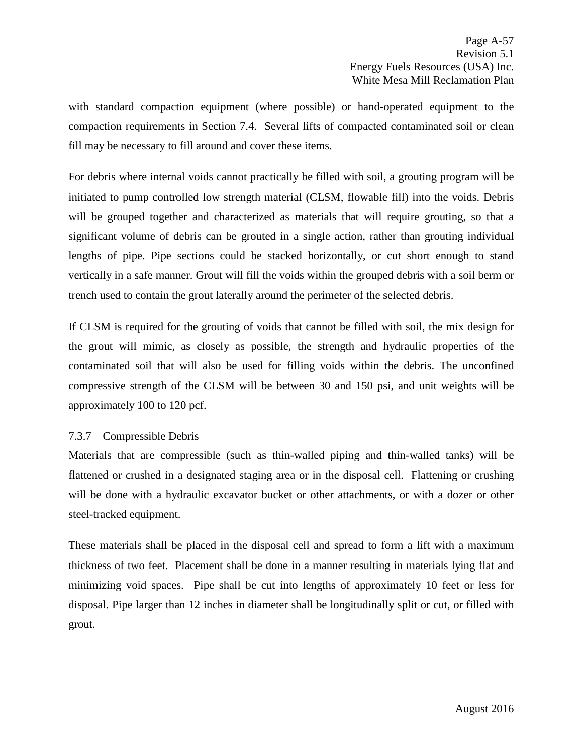with standard compaction equipment (where possible) or hand-operated equipment to the compaction requirements in Section 7.4. Several lifts of compacted contaminated soil or clean fill may be necessary to fill around and cover these items.

For debris where internal voids cannot practically be filled with soil, a grouting program will be initiated to pump controlled low strength material (CLSM, flowable fill) into the voids. Debris will be grouped together and characterized as materials that will require grouting, so that a significant volume of debris can be grouted in a single action, rather than grouting individual lengths of pipe. Pipe sections could be stacked horizontally, or cut short enough to stand vertically in a safe manner. Grout will fill the voids within the grouped debris with a soil berm or trench used to contain the grout laterally around the perimeter of the selected debris.

If CLSM is required for the grouting of voids that cannot be filled with soil, the mix design for the grout will mimic, as closely as possible, the strength and hydraulic properties of the contaminated soil that will also be used for filling voids within the debris. The unconfined compressive strength of the CLSM will be between 30 and 150 psi, and unit weights will be approximately 100 to 120 pcf.

# 7.3.7 Compressible Debris

Materials that are compressible (such as thin-walled piping and thin-walled tanks) will be flattened or crushed in a designated staging area or in the disposal cell. Flattening or crushing will be done with a hydraulic excavator bucket or other attachments, or with a dozer or other steel-tracked equipment.

These materials shall be placed in the disposal cell and spread to form a lift with a maximum thickness of two feet. Placement shall be done in a manner resulting in materials lying flat and minimizing void spaces. Pipe shall be cut into lengths of approximately 10 feet or less for disposal. Pipe larger than 12 inches in diameter shall be longitudinally split or cut, or filled with grout*.*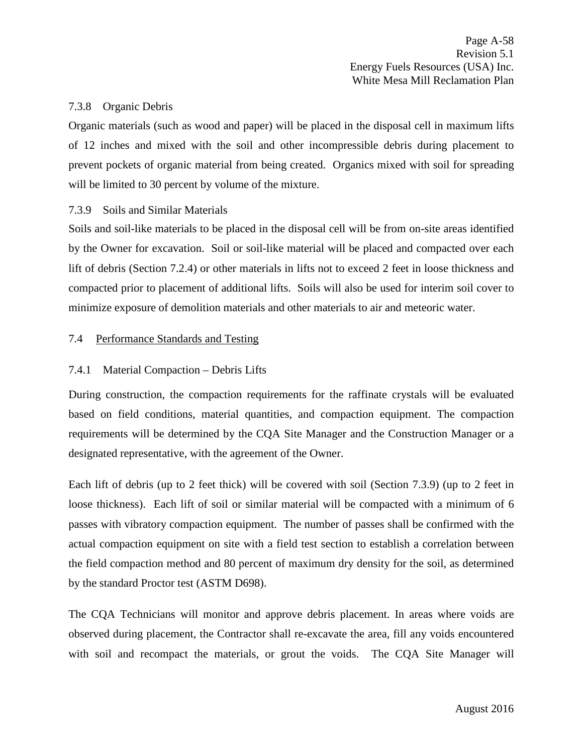## 7.3.8 Organic Debris

Organic materials (such as wood and paper) will be placed in the disposal cell in maximum lifts of 12 inches and mixed with the soil and other incompressible debris during placement to prevent pockets of organic material from being created. Organics mixed with soil for spreading will be limited to 30 percent by volume of the mixture.

## 7.3.9 Soils and Similar Materials

Soils and soil-like materials to be placed in the disposal cell will be from on-site areas identified by the Owner for excavation. Soil or soil-like material will be placed and compacted over each lift of debris (Section 7.2.4) or other materials in lifts not to exceed 2 feet in loose thickness and compacted prior to placement of additional lifts. Soils will also be used for interim soil cover to minimize exposure of demolition materials and other materials to air and meteoric water.

## 7.4 Performance Standards and Testing

## 7.4.1 Material Compaction – Debris Lifts

During construction, the compaction requirements for the raffinate crystals will be evaluated based on field conditions, material quantities, and compaction equipment. The compaction requirements will be determined by the CQA Site Manager and the Construction Manager or a designated representative, with the agreement of the Owner.

Each lift of debris (up to 2 feet thick) will be covered with soil (Section 7.3.9) (up to 2 feet in loose thickness). Each lift of soil or similar material will be compacted with a minimum of 6 passes with vibratory compaction equipment. The number of passes shall be confirmed with the actual compaction equipment on site with a field test section to establish a correlation between the field compaction method and 80 percent of maximum dry density for the soil, as determined by the standard Proctor test (ASTM D698).

The CQA Technicians will monitor and approve debris placement. In areas where voids are observed during placement, the Contractor shall re-excavate the area, fill any voids encountered with soil and recompact the materials, or grout the voids. The CQA Site Manager will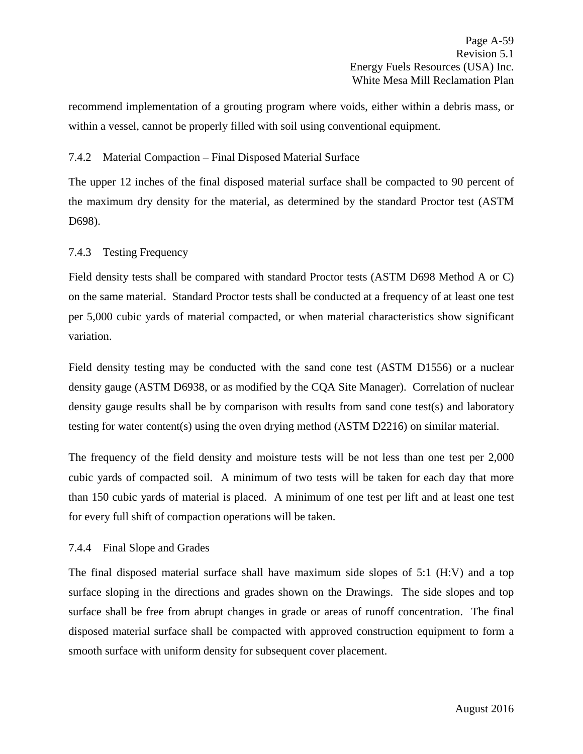recommend implementation of a grouting program where voids, either within a debris mass, or within a vessel, cannot be properly filled with soil using conventional equipment.

## 7.4.2 Material Compaction – Final Disposed Material Surface

The upper 12 inches of the final disposed material surface shall be compacted to 90 percent of the maximum dry density for the material, as determined by the standard Proctor test (ASTM D698).

## 7.4.3 Testing Frequency

Field density tests shall be compared with standard Proctor tests (ASTM D698 Method A or C) on the same material. Standard Proctor tests shall be conducted at a frequency of at least one test per 5,000 cubic yards of material compacted, or when material characteristics show significant variation.

Field density testing may be conducted with the sand cone test (ASTM D1556) or a nuclear density gauge (ASTM D6938, or as modified by the CQA Site Manager). Correlation of nuclear density gauge results shall be by comparison with results from sand cone test(s) and laboratory testing for water content(s) using the oven drying method (ASTM D2216) on similar material.

The frequency of the field density and moisture tests will be not less than one test per 2,000 cubic yards of compacted soil. A minimum of two tests will be taken for each day that more than 150 cubic yards of material is placed. A minimum of one test per lift and at least one test for every full shift of compaction operations will be taken.

# 7.4.4 Final Slope and Grades

The final disposed material surface shall have maximum side slopes of 5:1 (H:V) and a top surface sloping in the directions and grades shown on the Drawings. The side slopes and top surface shall be free from abrupt changes in grade or areas of runoff concentration. The final disposed material surface shall be compacted with approved construction equipment to form a smooth surface with uniform density for subsequent cover placement.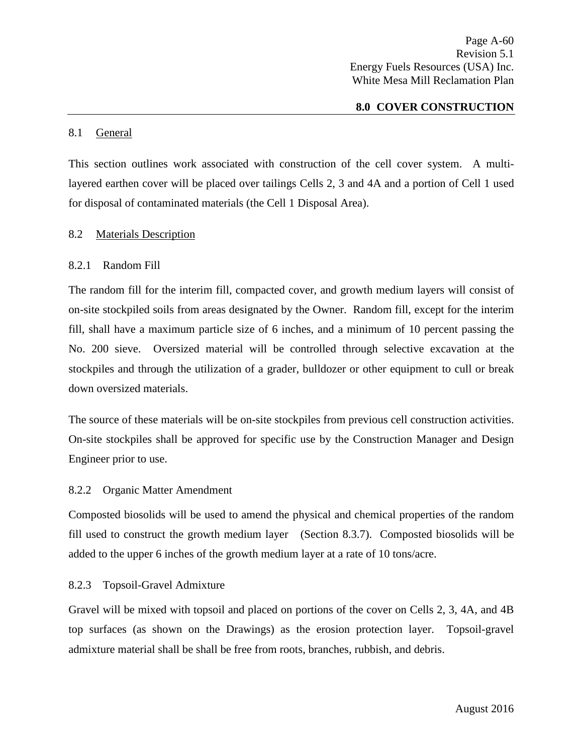Page A-60 Revision 5.1 Energy Fuels Resources (USA) Inc. White Mesa Mill Reclamation Plan

#### **8.0 COVER CONSTRUCTION**

#### 8.1 General

This section outlines work associated with construction of the cell cover system. A multilayered earthen cover will be placed over tailings Cells 2, 3 and 4A and a portion of Cell 1 used for disposal of contaminated materials (the Cell 1 Disposal Area).

#### 8.2 Materials Description

#### 8.2.1 Random Fill

The random fill for the interim fill, compacted cover, and growth medium layers will consist of on-site stockpiled soils from areas designated by the Owner. Random fill, except for the interim fill, shall have a maximum particle size of 6 inches, and a minimum of 10 percent passing the No. 200 sieve. Oversized material will be controlled through selective excavation at the stockpiles and through the utilization of a grader, bulldozer or other equipment to cull or break down oversized materials.

The source of these materials will be on-site stockpiles from previous cell construction activities. On-site stockpiles shall be approved for specific use by the Construction Manager and Design Engineer prior to use.

#### 8.2.2 Organic Matter Amendment

Composted biosolids will be used to amend the physical and chemical properties of the random fill used to construct the growth medium layer (Section 8.3.7). Composted biosolids will be added to the upper 6 inches of the growth medium layer at a rate of 10 tons/acre.

#### 8.2.3 Topsoil-Gravel Admixture

Gravel will be mixed with topsoil and placed on portions of the cover on Cells 2, 3, 4A, and 4B top surfaces (as shown on the Drawings) as the erosion protection layer. Topsoil-gravel admixture material shall be shall be free from roots, branches, rubbish, and debris.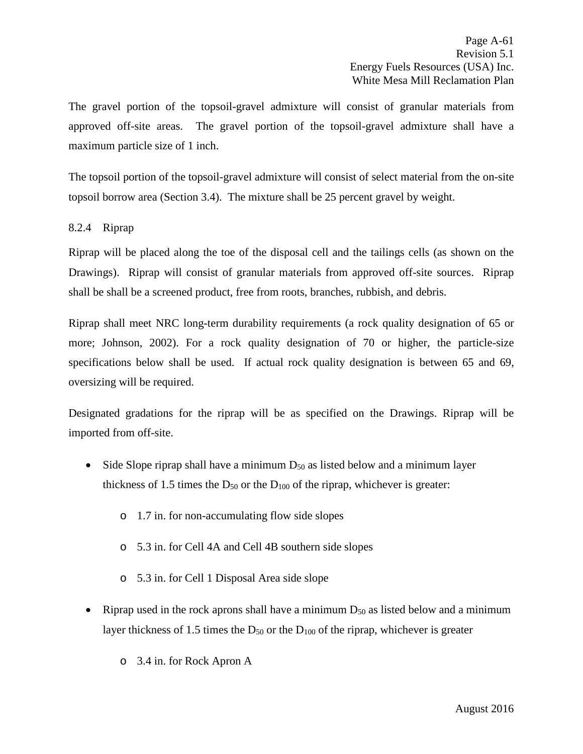The gravel portion of the topsoil-gravel admixture will consist of granular materials from approved off-site areas. The gravel portion of the topsoil-gravel admixture shall have a maximum particle size of 1 inch.

The topsoil portion of the topsoil-gravel admixture will consist of select material from the on-site topsoil borrow area (Section 3.4). The mixture shall be 25 percent gravel by weight.

# 8.2.4 Riprap

Riprap will be placed along the toe of the disposal cell and the tailings cells (as shown on the Drawings). Riprap will consist of granular materials from approved off-site sources. Riprap shall be shall be a screened product, free from roots, branches, rubbish, and debris.

Riprap shall meet NRC long-term durability requirements (a rock quality designation of 65 or more; Johnson, 2002). For a rock quality designation of 70 or higher, the particle-size specifications below shall be used. If actual rock quality designation is between 65 and 69, oversizing will be required.

Designated gradations for the riprap will be as specified on the Drawings. Riprap will be imported from off-site.

- Side Slope riprap shall have a minimum  $D_{50}$  as listed below and a minimum layer thickness of 1.5 times the  $D_{50}$  or the  $D_{100}$  of the riprap, whichever is greater:
	- o 1.7 in. for non-accumulating flow side slopes
	- o 5.3 in. for Cell 4A and Cell 4B southern side slopes
	- o 5.3 in. for Cell 1 Disposal Area side slope
- Riprap used in the rock aprons shall have a minimum  $D_{50}$  as listed below and a minimum layer thickness of 1.5 times the  $D_{50}$  or the  $D_{100}$  of the riprap, whichever is greater
	- o 3.4 in. for Rock Apron A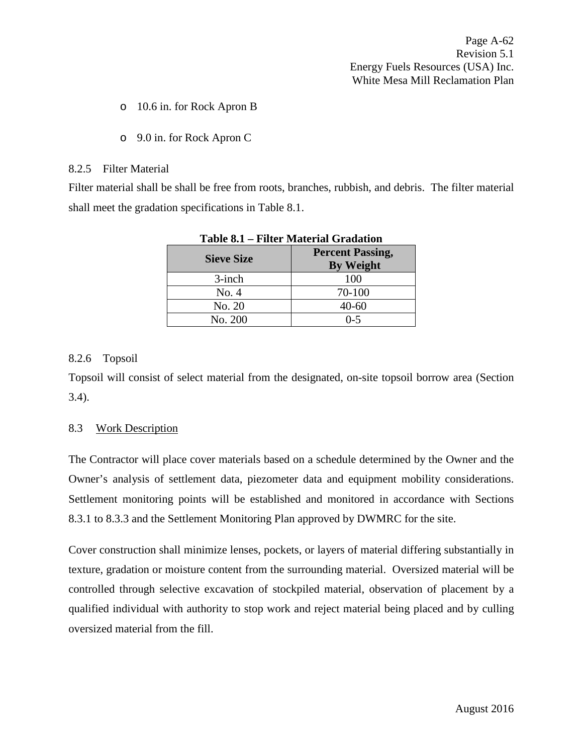- o 10.6 in. for Rock Apron B
- o 9.0 in. for Rock Apron C

#### 8.2.5 Filter Material

Filter material shall be shall be free from roots, branches, rubbish, and debris. The filter material shall meet the gradation specifications in Table 8.1.

| <b>Sieve Size</b> | <b>Percent Passing,</b><br><b>By Weight</b> |
|-------------------|---------------------------------------------|
| $3$ -inch         | 100                                         |
| No. 4             | 70-100                                      |
| No. 20            | 40-60                                       |
| No. 200           | በ-5                                         |

|--|

# 8.2.6 Topsoil

Topsoil will consist of select material from the designated, on-site topsoil borrow area (Section 3.4).

# 8.3 Work Description

The Contractor will place cover materials based on a schedule determined by the Owner and the Owner's analysis of settlement data, piezometer data and equipment mobility considerations. Settlement monitoring points will be established and monitored in accordance with Sections 8.3.1 to 8.3.3 and the Settlement Monitoring Plan approved by DWMRC for the site.

Cover construction shall minimize lenses, pockets, or layers of material differing substantially in texture, gradation or moisture content from the surrounding material. Oversized material will be controlled through selective excavation of stockpiled material, observation of placement by a qualified individual with authority to stop work and reject material being placed and by culling oversized material from the fill.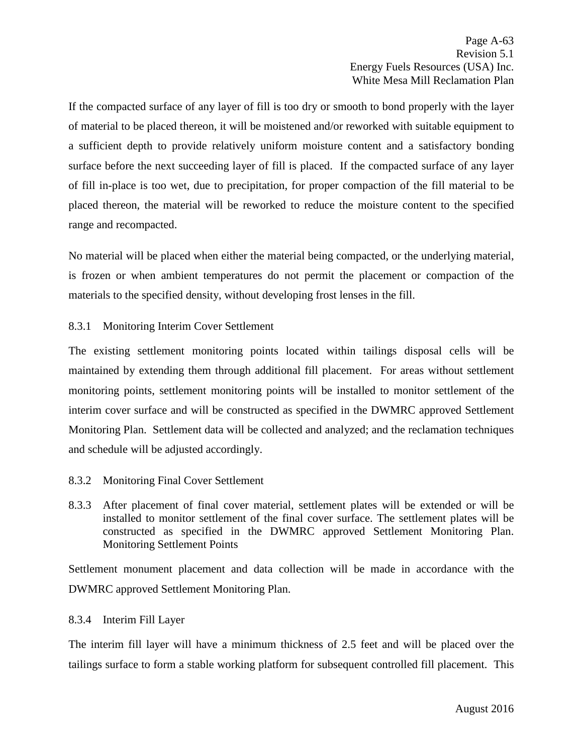If the compacted surface of any layer of fill is too dry or smooth to bond properly with the layer of material to be placed thereon, it will be moistened and/or reworked with suitable equipment to a sufficient depth to provide relatively uniform moisture content and a satisfactory bonding surface before the next succeeding layer of fill is placed. If the compacted surface of any layer of fill in-place is too wet, due to precipitation, for proper compaction of the fill material to be placed thereon, the material will be reworked to reduce the moisture content to the specified range and recompacted.

No material will be placed when either the material being compacted, or the underlying material, is frozen or when ambient temperatures do not permit the placement or compaction of the materials to the specified density, without developing frost lenses in the fill.

# 8.3.1 Monitoring Interim Cover Settlement

The existing settlement monitoring points located within tailings disposal cells will be maintained by extending them through additional fill placement. For areas without settlement monitoring points, settlement monitoring points will be installed to monitor settlement of the interim cover surface and will be constructed as specified in the DWMRC approved Settlement Monitoring Plan. Settlement data will be collected and analyzed; and the reclamation techniques and schedule will be adjusted accordingly.

# 8.3.2 Monitoring Final Cover Settlement

8.3.3 After placement of final cover material, settlement plates will be extended or will be installed to monitor settlement of the final cover surface. The settlement plates will be constructed as specified in the DWMRC approved Settlement Monitoring Plan. Monitoring Settlement Points

Settlement monument placement and data collection will be made in accordance with the DWMRC approved Settlement Monitoring Plan.

# 8.3.4 Interim Fill Layer

The interim fill layer will have a minimum thickness of 2.5 feet and will be placed over the tailings surface to form a stable working platform for subsequent controlled fill placement. This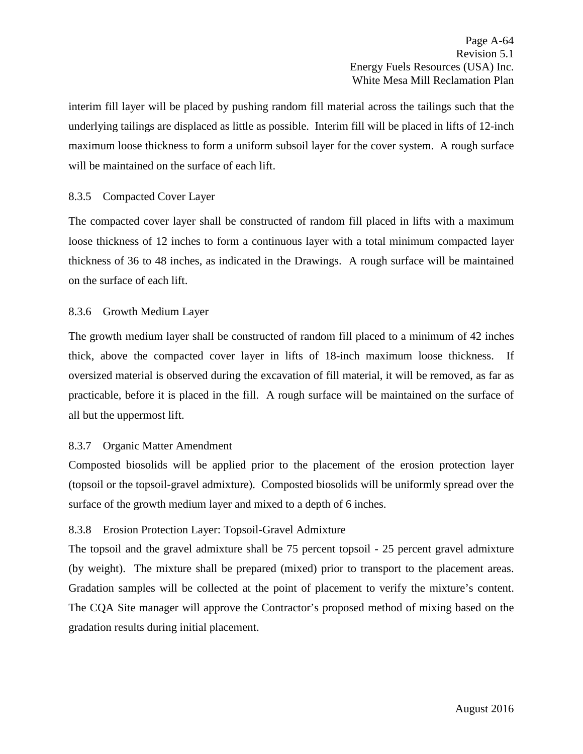interim fill layer will be placed by pushing random fill material across the tailings such that the underlying tailings are displaced as little as possible. Interim fill will be placed in lifts of 12-inch maximum loose thickness to form a uniform subsoil layer for the cover system. A rough surface will be maintained on the surface of each lift.

## 8.3.5 Compacted Cover Layer

The compacted cover layer shall be constructed of random fill placed in lifts with a maximum loose thickness of 12 inches to form a continuous layer with a total minimum compacted layer thickness of 36 to 48 inches, as indicated in the Drawings. A rough surface will be maintained on the surface of each lift.

### 8.3.6 Growth Medium Layer

The growth medium layer shall be constructed of random fill placed to a minimum of 42 inches thick, above the compacted cover layer in lifts of 18-inch maximum loose thickness. If oversized material is observed during the excavation of fill material, it will be removed, as far as practicable, before it is placed in the fill. A rough surface will be maintained on the surface of all but the uppermost lift.

# 8.3.7 Organic Matter Amendment

Composted biosolids will be applied prior to the placement of the erosion protection layer (topsoil or the topsoil-gravel admixture). Composted biosolids will be uniformly spread over the surface of the growth medium layer and mixed to a depth of 6 inches.

# 8.3.8 Erosion Protection Layer: Topsoil-Gravel Admixture

The topsoil and the gravel admixture shall be 75 percent topsoil - 25 percent gravel admixture (by weight). The mixture shall be prepared (mixed) prior to transport to the placement areas. Gradation samples will be collected at the point of placement to verify the mixture's content. The CQA Site manager will approve the Contractor's proposed method of mixing based on the gradation results during initial placement.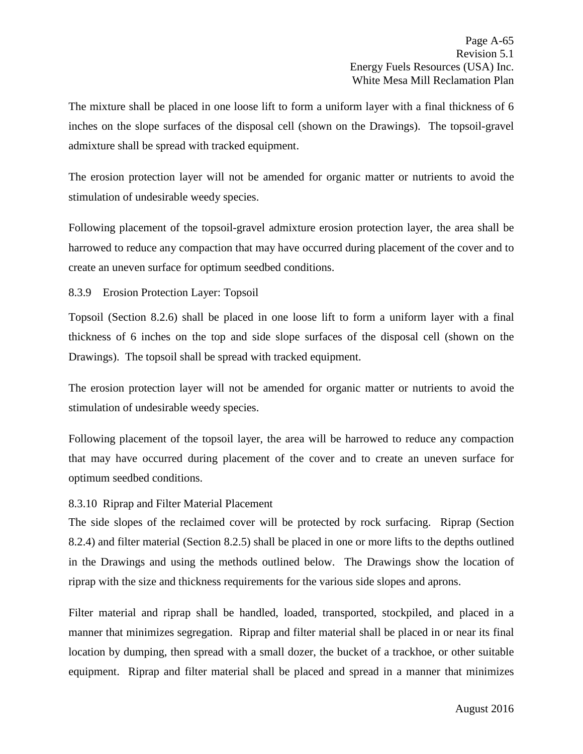The mixture shall be placed in one loose lift to form a uniform layer with a final thickness of 6 inches on the slope surfaces of the disposal cell (shown on the Drawings). The topsoil-gravel admixture shall be spread with tracked equipment.

The erosion protection layer will not be amended for organic matter or nutrients to avoid the stimulation of undesirable weedy species.

Following placement of the topsoil-gravel admixture erosion protection layer, the area shall be harrowed to reduce any compaction that may have occurred during placement of the cover and to create an uneven surface for optimum seedbed conditions.

## 8.3.9 Erosion Protection Layer: Topsoil

Topsoil (Section 8.2.6) shall be placed in one loose lift to form a uniform layer with a final thickness of 6 inches on the top and side slope surfaces of the disposal cell (shown on the Drawings). The topsoil shall be spread with tracked equipment.

The erosion protection layer will not be amended for organic matter or nutrients to avoid the stimulation of undesirable weedy species.

Following placement of the topsoil layer, the area will be harrowed to reduce any compaction that may have occurred during placement of the cover and to create an uneven surface for optimum seedbed conditions.

### 8.3.10 Riprap and Filter Material Placement

The side slopes of the reclaimed cover will be protected by rock surfacing. Riprap (Section 8.2.4) and filter material (Section 8.2.5) shall be placed in one or more lifts to the depths outlined in the Drawings and using the methods outlined below. The Drawings show the location of riprap with the size and thickness requirements for the various side slopes and aprons.

Filter material and riprap shall be handled, loaded, transported, stockpiled, and placed in a manner that minimizes segregation. Riprap and filter material shall be placed in or near its final location by dumping, then spread with a small dozer, the bucket of a trackhoe, or other suitable equipment. Riprap and filter material shall be placed and spread in a manner that minimizes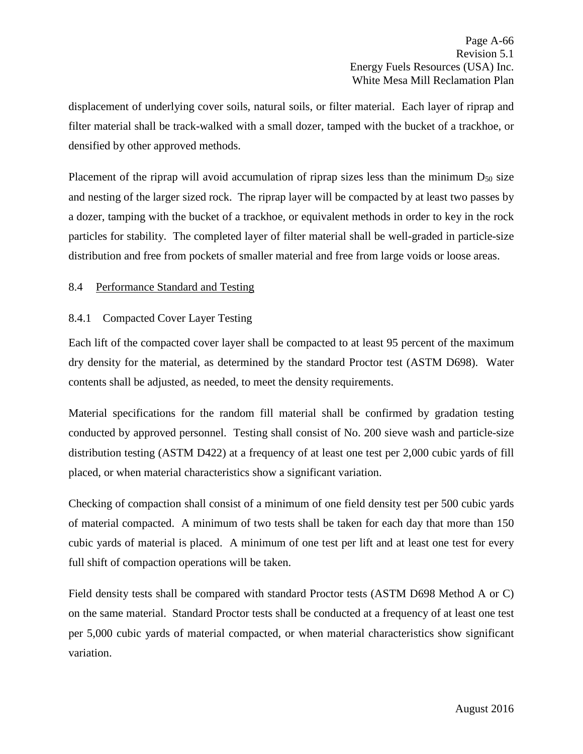displacement of underlying cover soils, natural soils, or filter material. Each layer of riprap and filter material shall be track-walked with a small dozer, tamped with the bucket of a trackhoe, or densified by other approved methods.

Placement of the riprap will avoid accumulation of riprap sizes less than the minimum  $D_{50}$  size and nesting of the larger sized rock. The riprap layer will be compacted by at least two passes by a dozer, tamping with the bucket of a trackhoe, or equivalent methods in order to key in the rock particles for stability. The completed layer of filter material shall be well-graded in particle-size distribution and free from pockets of smaller material and free from large voids or loose areas.

# 8.4 Performance Standard and Testing

# 8.4.1 Compacted Cover Layer Testing

Each lift of the compacted cover layer shall be compacted to at least 95 percent of the maximum dry density for the material, as determined by the standard Proctor test (ASTM D698). Water contents shall be adjusted, as needed, to meet the density requirements.

Material specifications for the random fill material shall be confirmed by gradation testing conducted by approved personnel. Testing shall consist of No. 200 sieve wash and particle-size distribution testing (ASTM D422) at a frequency of at least one test per 2,000 cubic yards of fill placed, or when material characteristics show a significant variation.

Checking of compaction shall consist of a minimum of one field density test per 500 cubic yards of material compacted. A minimum of two tests shall be taken for each day that more than 150 cubic yards of material is placed. A minimum of one test per lift and at least one test for every full shift of compaction operations will be taken.

Field density tests shall be compared with standard Proctor tests (ASTM D698 Method A or C) on the same material. Standard Proctor tests shall be conducted at a frequency of at least one test per 5,000 cubic yards of material compacted, or when material characteristics show significant variation.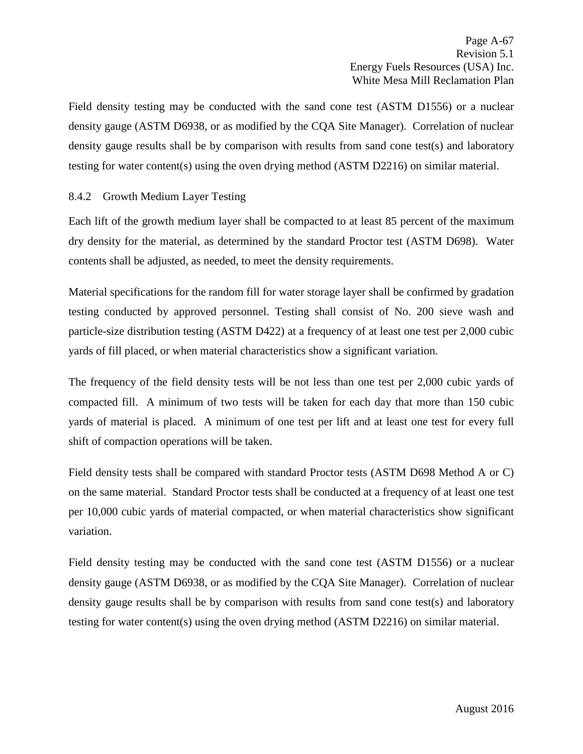Field density testing may be conducted with the sand cone test (ASTM D1556) or a nuclear density gauge (ASTM D6938, or as modified by the CQA Site Manager). Correlation of nuclear density gauge results shall be by comparison with results from sand cone test(s) and laboratory testing for water content(s) using the oven drying method (ASTM D2216) on similar material.

# 8.4.2 Growth Medium Layer Testing

Each lift of the growth medium layer shall be compacted to at least 85 percent of the maximum dry density for the material, as determined by the standard Proctor test (ASTM D698). Water contents shall be adjusted, as needed, to meet the density requirements.

Material specifications for the random fill for water storage layer shall be confirmed by gradation testing conducted by approved personnel. Testing shall consist of No. 200 sieve wash and particle-size distribution testing (ASTM D422) at a frequency of at least one test per 2,000 cubic yards of fill placed, or when material characteristics show a significant variation.

The frequency of the field density tests will be not less than one test per 2,000 cubic yards of compacted fill. A minimum of two tests will be taken for each day that more than 150 cubic yards of material is placed. A minimum of one test per lift and at least one test for every full shift of compaction operations will be taken.

Field density tests shall be compared with standard Proctor tests (ASTM D698 Method A or C) on the same material. Standard Proctor tests shall be conducted at a frequency of at least one test per 10,000 cubic yards of material compacted, or when material characteristics show significant variation.

Field density testing may be conducted with the sand cone test (ASTM D1556) or a nuclear density gauge (ASTM D6938, or as modified by the CQA Site Manager). Correlation of nuclear density gauge results shall be by comparison with results from sand cone test(s) and laboratory testing for water content(s) using the oven drying method (ASTM D2216) on similar material.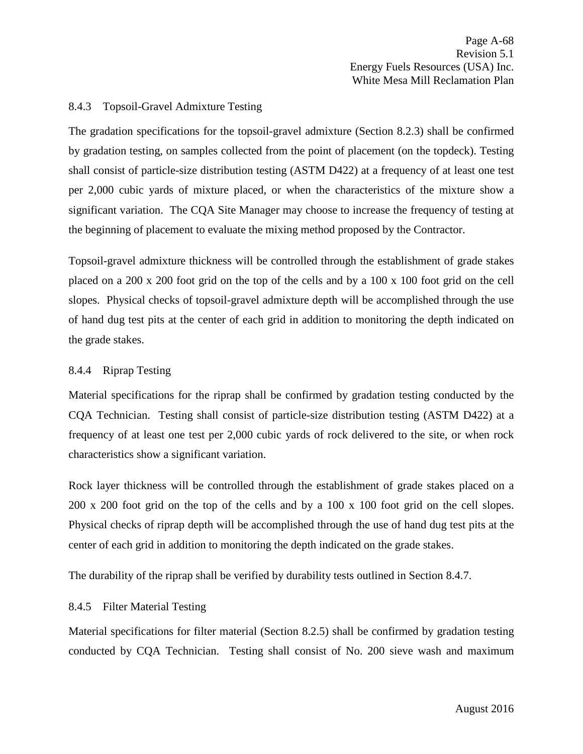## 8.4.3 Topsoil-Gravel Admixture Testing

The gradation specifications for the topsoil-gravel admixture (Section 8.2.3) shall be confirmed by gradation testing, on samples collected from the point of placement (on the topdeck). Testing shall consist of particle-size distribution testing (ASTM D422) at a frequency of at least one test per 2,000 cubic yards of mixture placed, or when the characteristics of the mixture show a significant variation. The CQA Site Manager may choose to increase the frequency of testing at the beginning of placement to evaluate the mixing method proposed by the Contractor.

Topsoil-gravel admixture thickness will be controlled through the establishment of grade stakes placed on a 200 x 200 foot grid on the top of the cells and by a 100 x 100 foot grid on the cell slopes. Physical checks of topsoil-gravel admixture depth will be accomplished through the use of hand dug test pits at the center of each grid in addition to monitoring the depth indicated on the grade stakes.

### 8.4.4 Riprap Testing

Material specifications for the riprap shall be confirmed by gradation testing conducted by the CQA Technician. Testing shall consist of particle-size distribution testing (ASTM D422) at a frequency of at least one test per 2,000 cubic yards of rock delivered to the site, or when rock characteristics show a significant variation.

Rock layer thickness will be controlled through the establishment of grade stakes placed on a 200 x 200 foot grid on the top of the cells and by a 100 x 100 foot grid on the cell slopes. Physical checks of riprap depth will be accomplished through the use of hand dug test pits at the center of each grid in addition to monitoring the depth indicated on the grade stakes.

The durability of the riprap shall be verified by durability tests outlined in Section 8.4.7.

## 8.4.5 Filter Material Testing

Material specifications for filter material (Section 8.2.5) shall be confirmed by gradation testing conducted by CQA Technician. Testing shall consist of No. 200 sieve wash and maximum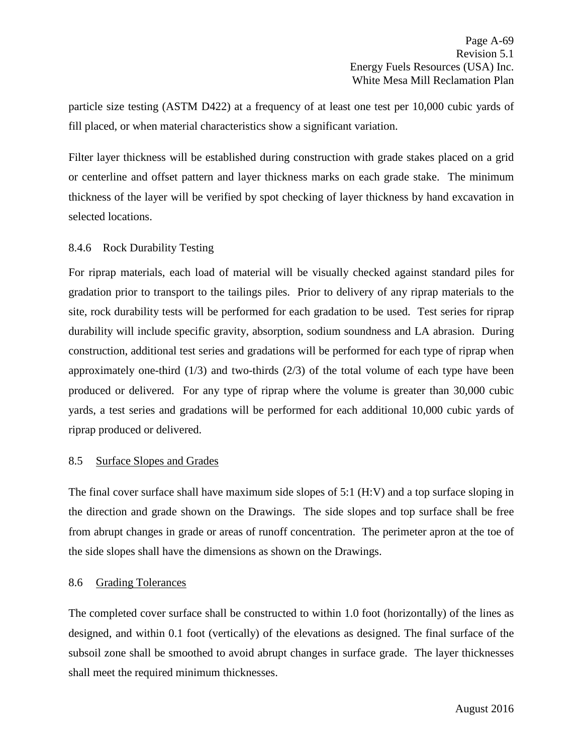particle size testing (ASTM D422) at a frequency of at least one test per 10,000 cubic yards of fill placed, or when material characteristics show a significant variation.

Filter layer thickness will be established during construction with grade stakes placed on a grid or centerline and offset pattern and layer thickness marks on each grade stake. The minimum thickness of the layer will be verified by spot checking of layer thickness by hand excavation in selected locations.

# 8.4.6 Rock Durability Testing

For riprap materials, each load of material will be visually checked against standard piles for gradation prior to transport to the tailings piles. Prior to delivery of any riprap materials to the site, rock durability tests will be performed for each gradation to be used. Test series for riprap durability will include specific gravity, absorption, sodium soundness and LA abrasion. During construction, additional test series and gradations will be performed for each type of riprap when approximately one-third  $(1/3)$  and two-thirds  $(2/3)$  of the total volume of each type have been produced or delivered. For any type of riprap where the volume is greater than 30,000 cubic yards, a test series and gradations will be performed for each additional 10,000 cubic yards of riprap produced or delivered.

## 8.5 Surface Slopes and Grades

The final cover surface shall have maximum side slopes of 5:1 (H:V) and a top surface sloping in the direction and grade shown on the Drawings. The side slopes and top surface shall be free from abrupt changes in grade or areas of runoff concentration. The perimeter apron at the toe of the side slopes shall have the dimensions as shown on the Drawings.

## 8.6 Grading Tolerances

The completed cover surface shall be constructed to within 1.0 foot (horizontally) of the lines as designed, and within 0.1 foot (vertically) of the elevations as designed. The final surface of the subsoil zone shall be smoothed to avoid abrupt changes in surface grade. The layer thicknesses shall meet the required minimum thicknesses.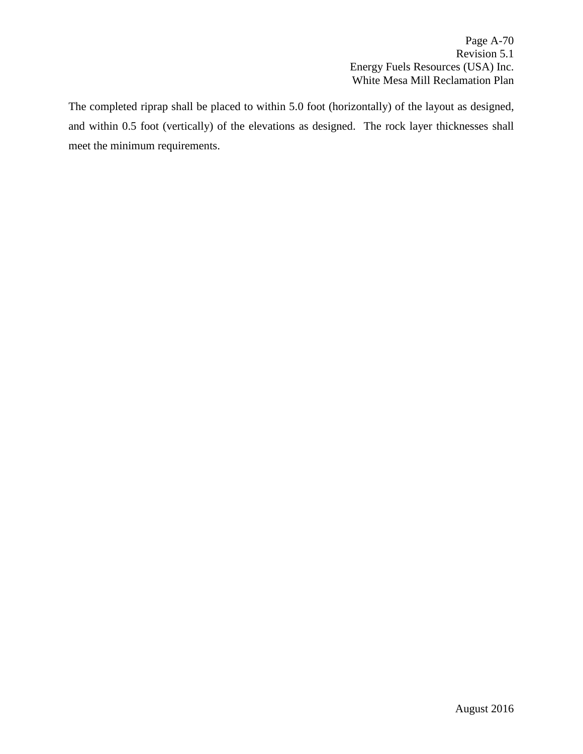Page A-70 Revision 5.1 Energy Fuels Resources (USA) Inc. White Mesa Mill Reclamation Plan

The completed riprap shall be placed to within 5.0 foot (horizontally) of the layout as designed, and within 0.5 foot (vertically) of the elevations as designed. The rock layer thicknesses shall meet the minimum requirements.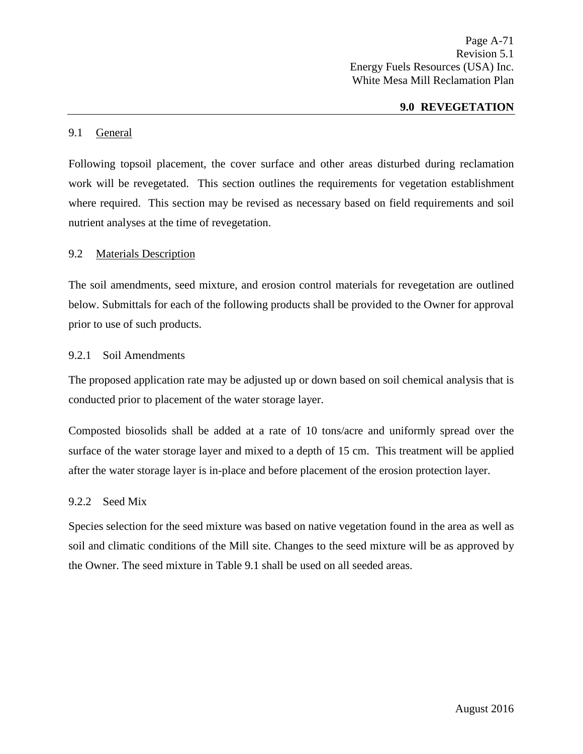Page A-71 Revision 5.1 Energy Fuels Resources (USA) Inc. White Mesa Mill Reclamation Plan

## **9.0 REVEGETATION**

#### 9.1 General

Following topsoil placement, the cover surface and other areas disturbed during reclamation work will be revegetated. This section outlines the requirements for vegetation establishment where required. This section may be revised as necessary based on field requirements and soil nutrient analyses at the time of revegetation.

### 9.2 Materials Description

The soil amendments, seed mixture, and erosion control materials for revegetation are outlined below. Submittals for each of the following products shall be provided to the Owner for approval prior to use of such products.

#### 9.2.1 Soil Amendments

The proposed application rate may be adjusted up or down based on soil chemical analysis that is conducted prior to placement of the water storage layer.

Composted biosolids shall be added at a rate of 10 tons/acre and uniformly spread over the surface of the water storage layer and mixed to a depth of 15 cm. This treatment will be applied after the water storage layer is in-place and before placement of the erosion protection layer.

## 9.2.2 Seed Mix

Species selection for the seed mixture was based on native vegetation found in the area as well as soil and climatic conditions of the Mill site. Changes to the seed mixture will be as approved by the Owner. The seed mixture in Table 9.1 shall be used on all seeded areas.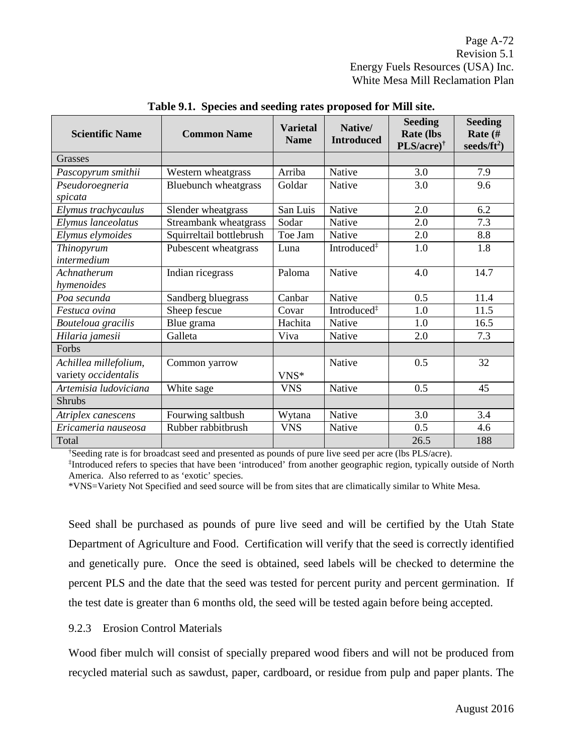| <b>Scientific Name</b>                        | <b>Common Name</b>       | <b>Varietal</b><br><b>Name</b> | Native/<br><b>Introduced</b> | <b>Seeding</b><br><b>Rate (lbs</b><br>$PLS/acre)^{\dagger}$ | <b>Seeding</b><br>Rate (#<br>seeds/ $ft^2$ ) |
|-----------------------------------------------|--------------------------|--------------------------------|------------------------------|-------------------------------------------------------------|----------------------------------------------|
| Grasses                                       |                          |                                |                              |                                                             |                                              |
| Pascopyrum smithii                            | Western wheatgrass       | Arriba                         | Native                       | 3.0                                                         | 7.9                                          |
| Pseudoroegneria<br>spicata                    | Bluebunch wheatgrass     | Goldar                         | Native                       | 3.0                                                         | 9.6                                          |
| Elymus trachycaulus                           | Slender wheatgrass       | San Luis                       | Native                       | 2.0                                                         | 6.2                                          |
| Elymus lanceolatus                            | Streambank wheatgrass    | Sodar                          | Native                       | 2.0                                                         | 7.3                                          |
| Elymus elymoides                              | Squirreltail bottlebrush | Toe Jam                        | Native                       | 2.0                                                         | 8.8                                          |
| Thinopyrum<br>intermedium                     | Pubescent wheatgrass     | Luna                           | Introduced <sup>‡</sup>      | 1.0                                                         | 1.8                                          |
| Achnatherum<br>hymenoides                     | Indian ricegrass         | Paloma                         | Native                       | 4.0                                                         | 14.7                                         |
| Poa secunda                                   | Sandberg bluegrass       | Canbar                         | Native                       | 0.5                                                         | 11.4                                         |
| Festuca ovina                                 | Sheep fescue             | Covar                          | Introduced <sup>‡</sup>      | 1.0                                                         | 11.5                                         |
| Bouteloua gracilis                            | Blue grama               | Hachita                        | Native                       | 1.0                                                         | 16.5                                         |
| Hilaria jamesii                               | Galleta                  | Viva                           | Native                       | 2.0                                                         | 7.3                                          |
| Forbs                                         |                          |                                |                              |                                                             |                                              |
| Achillea millefolium,<br>variety occidentalis | Common yarrow            | $VNS*$                         | Native                       | 0.5                                                         | 32                                           |
| Artemisia ludoviciana                         | White sage               | <b>VNS</b>                     | Native                       | 0.5                                                         | 45                                           |
| <b>Shrubs</b>                                 |                          |                                |                              |                                                             |                                              |
| Atriplex canescens                            | Fourwing saltbush        | Wytana                         | Native                       | 3.0                                                         | 3.4                                          |
| Ericameria nauseosa                           | Rubber rabbitbrush       | <b>VNS</b>                     | Native                       | 0.5                                                         | 4.6                                          |
| Total                                         |                          |                                |                              | 26.5                                                        | 188                                          |

**Table 9.1. Species and seeding rates proposed for Mill site.**

† Seeding rate is for broadcast seed and presented as pounds of pure live seed per acre (lbs PLS/acre).

‡ Introduced refers to species that have been 'introduced' from another geographic region, typically outside of North America. Also referred to as 'exotic' species.

\*VNS=Variety Not Specified and seed source will be from sites that are climatically similar to White Mesa.

Seed shall be purchased as pounds of pure live seed and will be certified by the Utah State Department of Agriculture and Food. Certification will verify that the seed is correctly identified and genetically pure. Once the seed is obtained, seed labels will be checked to determine the percent PLS and the date that the seed was tested for percent purity and percent germination. If the test date is greater than 6 months old, the seed will be tested again before being accepted.

## 9.2.3 Erosion Control Materials

Wood fiber mulch will consist of specially prepared wood fibers and will not be produced from recycled material such as sawdust, paper, cardboard, or residue from pulp and paper plants. The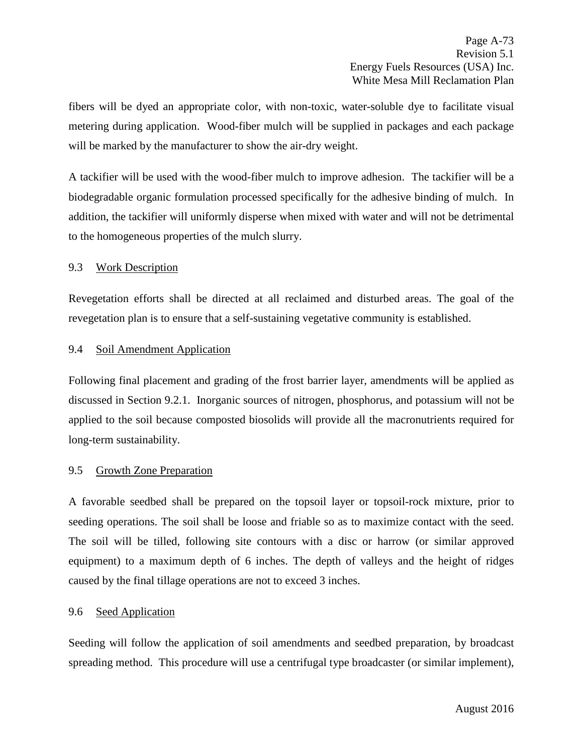fibers will be dyed an appropriate color, with non-toxic, water-soluble dye to facilitate visual metering during application. Wood-fiber mulch will be supplied in packages and each package will be marked by the manufacturer to show the air-dry weight.

A tackifier will be used with the wood-fiber mulch to improve adhesion. The tackifier will be a biodegradable organic formulation processed specifically for the adhesive binding of mulch. In addition, the tackifier will uniformly disperse when mixed with water and will not be detrimental to the homogeneous properties of the mulch slurry.

## 9.3 Work Description

Revegetation efforts shall be directed at all reclaimed and disturbed areas. The goal of the revegetation plan is to ensure that a self-sustaining vegetative community is established.

## 9.4 Soil Amendment Application

Following final placement and grading of the frost barrier layer, amendments will be applied as discussed in Section 9.2.1. Inorganic sources of nitrogen, phosphorus, and potassium will not be applied to the soil because composted biosolids will provide all the macronutrients required for long-term sustainability.

# 9.5 Growth Zone Preparation

A favorable seedbed shall be prepared on the topsoil layer or topsoil-rock mixture, prior to seeding operations. The soil shall be loose and friable so as to maximize contact with the seed. The soil will be tilled, following site contours with a disc or harrow (or similar approved equipment) to a maximum depth of 6 inches. The depth of valleys and the height of ridges caused by the final tillage operations are not to exceed 3 inches.

# 9.6 Seed Application

Seeding will follow the application of soil amendments and seedbed preparation, by broadcast spreading method. This procedure will use a centrifugal type broadcaster (or similar implement),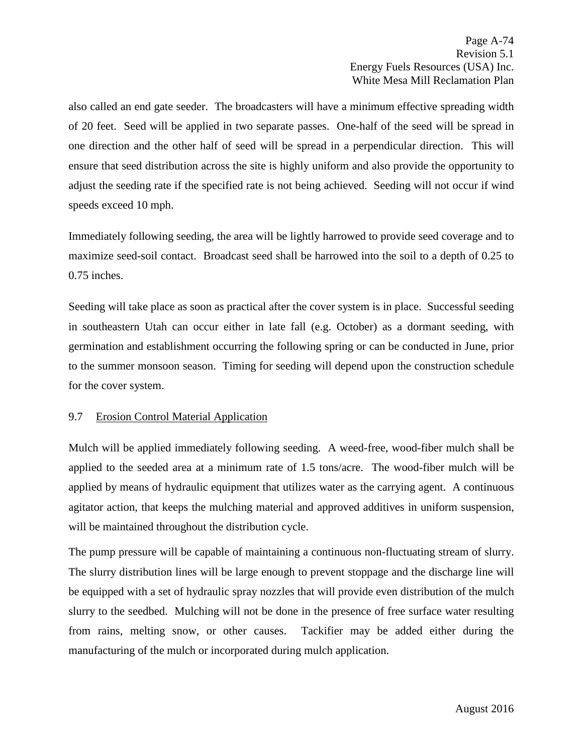also called an end gate seeder. The broadcasters will have a minimum effective spreading width of 20 feet. Seed will be applied in two separate passes. One-half of the seed will be spread in one direction and the other half of seed will be spread in a perpendicular direction. This will ensure that seed distribution across the site is highly uniform and also provide the opportunity to adjust the seeding rate if the specified rate is not being achieved. Seeding will not occur if wind speeds exceed 10 mph.

Immediately following seeding, the area will be lightly harrowed to provide seed coverage and to maximize seed-soil contact. Broadcast seed shall be harrowed into the soil to a depth of 0.25 to 0.75 inches.

Seeding will take place as soon as practical after the cover system is in place. Successful seeding in southeastern Utah can occur either in late fall (e.g. October) as a dormant seeding, with germination and establishment occurring the following spring or can be conducted in June, prior to the summer monsoon season. Timing for seeding will depend upon the construction schedule for the cover system.

# 9.7 Erosion Control Material Application

Mulch will be applied immediately following seeding. A weed-free, wood-fiber mulch shall be applied to the seeded area at a minimum rate of 1.5 tons/acre. The wood-fiber mulch will be applied by means of hydraulic equipment that utilizes water as the carrying agent. A continuous agitator action, that keeps the mulching material and approved additives in uniform suspension, will be maintained throughout the distribution cycle.

The pump pressure will be capable of maintaining a continuous non-fluctuating stream of slurry. The slurry distribution lines will be large enough to prevent stoppage and the discharge line will be equipped with a set of hydraulic spray nozzles that will provide even distribution of the mulch slurry to the seedbed. Mulching will not be done in the presence of free surface water resulting from rains, melting snow, or other causes. Tackifier may be added either during the manufacturing of the mulch or incorporated during mulch application.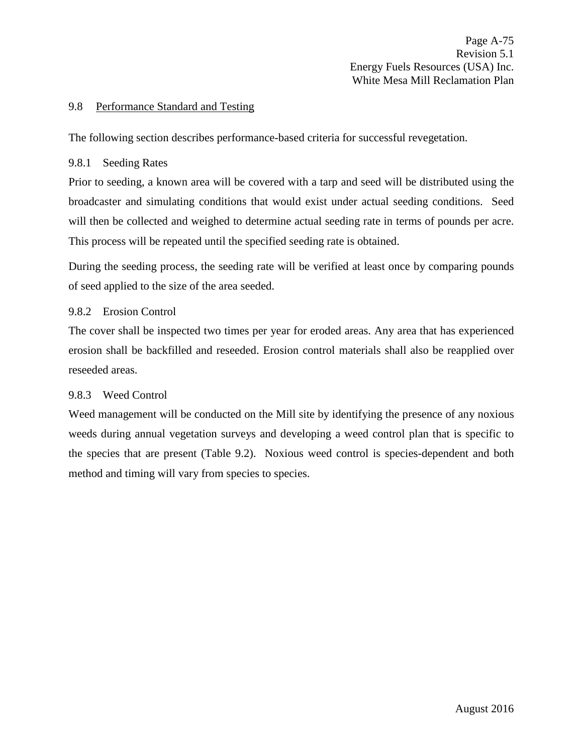## 9.8 Performance Standard and Testing

The following section describes performance-based criteria for successful revegetation.

## 9.8.1 Seeding Rates

Prior to seeding, a known area will be covered with a tarp and seed will be distributed using the broadcaster and simulating conditions that would exist under actual seeding conditions. Seed will then be collected and weighed to determine actual seeding rate in terms of pounds per acre. This process will be repeated until the specified seeding rate is obtained.

During the seeding process, the seeding rate will be verified at least once by comparing pounds of seed applied to the size of the area seeded.

# 9.8.2 Erosion Control

The cover shall be inspected two times per year for eroded areas. Any area that has experienced erosion shall be backfilled and reseeded. Erosion control materials shall also be reapplied over reseeded areas.

# 9.8.3 Weed Control

Weed management will be conducted on the Mill site by identifying the presence of any noxious weeds during annual vegetation surveys and developing a weed control plan that is specific to the species that are present (Table 9.2). Noxious weed control is species-dependent and both method and timing will vary from species to species.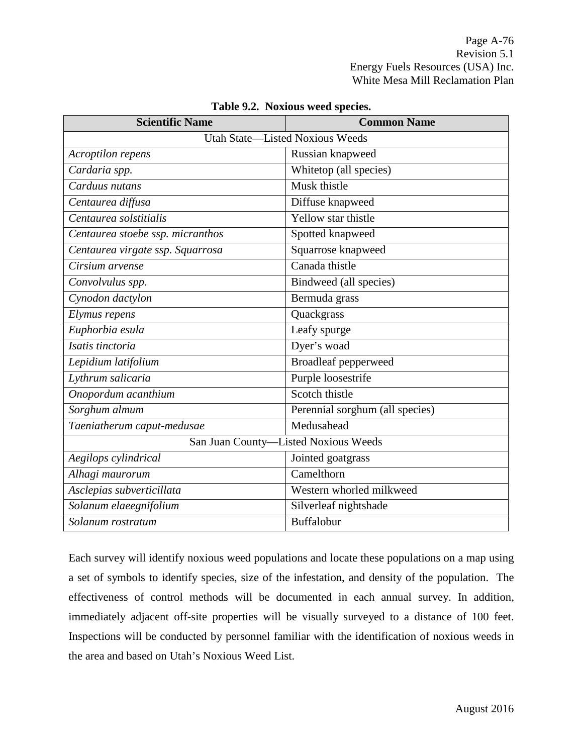| <b>Scientific Name</b>                 | <b>Common Name</b>              |  |  |  |  |
|----------------------------------------|---------------------------------|--|--|--|--|
| <b>Utah State-Listed Noxious Weeds</b> |                                 |  |  |  |  |
| Acroptilon repens                      | Russian knapweed                |  |  |  |  |
| Cardaria spp.                          | Whitetop (all species)          |  |  |  |  |
| Carduus nutans                         | Musk thistle                    |  |  |  |  |
| Centaurea diffusa                      | Diffuse knapweed                |  |  |  |  |
| Centaurea solstitialis                 | Yellow star thistle             |  |  |  |  |
| Centaurea stoebe ssp. micranthos       | Spotted knapweed                |  |  |  |  |
| Centaurea virgate ssp. Squarrosa       | Squarrose knapweed              |  |  |  |  |
| Cirsium arvense                        | Canada thistle                  |  |  |  |  |
| Convolvulus spp.                       | Bindweed (all species)          |  |  |  |  |
| Cynodon dactylon                       | Bermuda grass                   |  |  |  |  |
| Elymus repens                          | Quackgrass                      |  |  |  |  |
| Euphorbia esula                        | Leafy spurge                    |  |  |  |  |
| Isatis tinctoria                       | Dyer's woad                     |  |  |  |  |
| Lepidium latifolium                    | <b>Broadleaf pepperweed</b>     |  |  |  |  |
| Lythrum salicaria                      | Purple loosestrife              |  |  |  |  |
| Onopordum acanthium                    | Scotch thistle                  |  |  |  |  |
| Sorghum almum                          | Perennial sorghum (all species) |  |  |  |  |
| Taeniatherum caput-medusae             | Medusahead                      |  |  |  |  |
| San Juan County-Listed Noxious Weeds   |                                 |  |  |  |  |
| Aegilops cylindrical                   | Jointed goatgrass               |  |  |  |  |
| Alhagi maurorum                        | Camelthorn                      |  |  |  |  |
| Asclepias subverticillata              | Western whorled milkweed        |  |  |  |  |
| Solanum elaeegnifolium                 | Silverleaf nightshade           |  |  |  |  |
| Solanum rostratum                      | Buffalobur                      |  |  |  |  |

### **Table 9.2. Noxious weed species.**

Each survey will identify noxious weed populations and locate these populations on a map using a set of symbols to identify species, size of the infestation, and density of the population. The effectiveness of control methods will be documented in each annual survey. In addition, immediately adjacent off-site properties will be visually surveyed to a distance of 100 feet. Inspections will be conducted by personnel familiar with the identification of noxious weeds in the area and based on Utah's Noxious Weed List.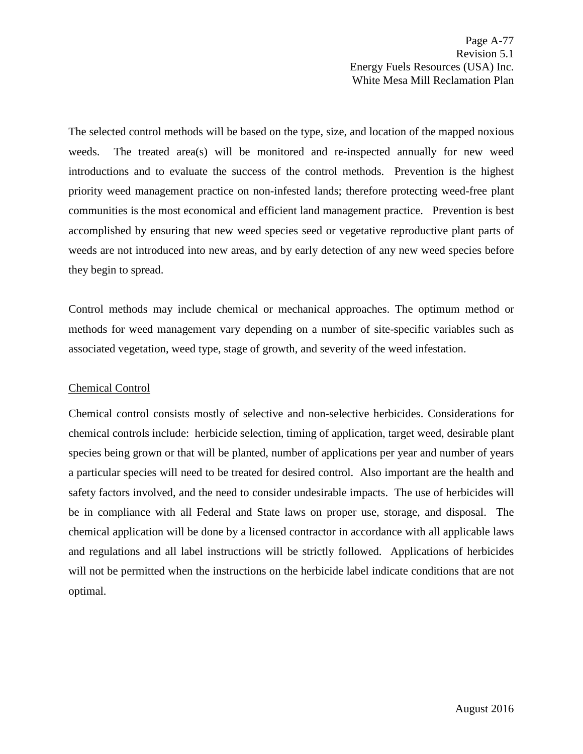Page A-77 Revision 5.1 Energy Fuels Resources (USA) Inc. White Mesa Mill Reclamation Plan

The selected control methods will be based on the type, size, and location of the mapped noxious weeds. The treated area(s) will be monitored and re-inspected annually for new weed introductions and to evaluate the success of the control methods. Prevention is the highest priority weed management practice on non-infested lands; therefore protecting weed-free plant communities is the most economical and efficient land management practice. Prevention is best accomplished by ensuring that new weed species seed or vegetative reproductive plant parts of weeds are not introduced into new areas, and by early detection of any new weed species before they begin to spread.

Control methods may include chemical or mechanical approaches. The optimum method or methods for weed management vary depending on a number of site-specific variables such as associated vegetation, weed type, stage of growth, and severity of the weed infestation.

## Chemical Control

Chemical control consists mostly of selective and non-selective herbicides. Considerations for chemical controls include: herbicide selection, timing of application, target weed, desirable plant species being grown or that will be planted, number of applications per year and number of years a particular species will need to be treated for desired control. Also important are the health and safety factors involved, and the need to consider undesirable impacts. The use of herbicides will be in compliance with all Federal and State laws on proper use, storage, and disposal. The chemical application will be done by a licensed contractor in accordance with all applicable laws and regulations and all label instructions will be strictly followed. Applications of herbicides will not be permitted when the instructions on the herbicide label indicate conditions that are not optimal.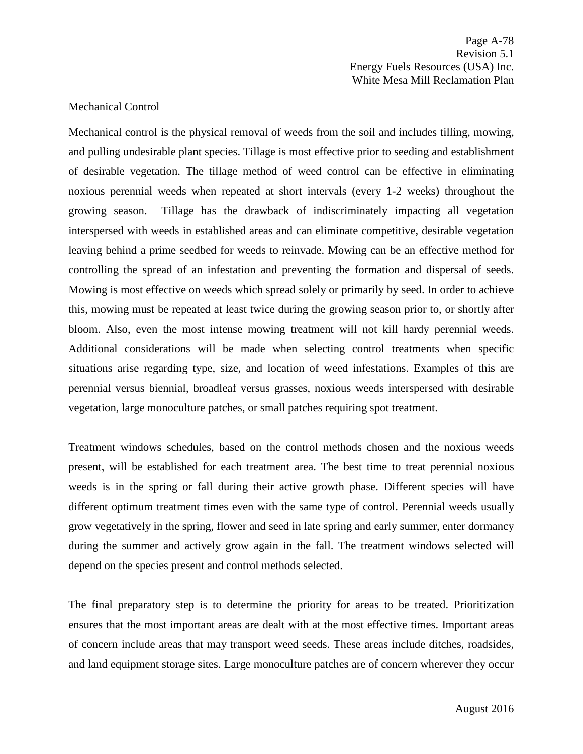Page A-78 Revision 5.1 Energy Fuels Resources (USA) Inc. White Mesa Mill Reclamation Plan

## Mechanical Control

Mechanical control is the physical removal of weeds from the soil and includes tilling, mowing, and pulling undesirable plant species. Tillage is most effective prior to seeding and establishment of desirable vegetation. The tillage method of weed control can be effective in eliminating noxious perennial weeds when repeated at short intervals (every 1-2 weeks) throughout the growing season. Tillage has the drawback of indiscriminately impacting all vegetation interspersed with weeds in established areas and can eliminate competitive, desirable vegetation leaving behind a prime seedbed for weeds to reinvade. Mowing can be an effective method for controlling the spread of an infestation and preventing the formation and dispersal of seeds. Mowing is most effective on weeds which spread solely or primarily by seed. In order to achieve this, mowing must be repeated at least twice during the growing season prior to, or shortly after bloom. Also, even the most intense mowing treatment will not kill hardy perennial weeds. Additional considerations will be made when selecting control treatments when specific situations arise regarding type, size, and location of weed infestations. Examples of this are perennial versus biennial, broadleaf versus grasses, noxious weeds interspersed with desirable vegetation, large monoculture patches, or small patches requiring spot treatment.

Treatment windows schedules, based on the control methods chosen and the noxious weeds present, will be established for each treatment area. The best time to treat perennial noxious weeds is in the spring or fall during their active growth phase. Different species will have different optimum treatment times even with the same type of control. Perennial weeds usually grow vegetatively in the spring, flower and seed in late spring and early summer, enter dormancy during the summer and actively grow again in the fall. The treatment windows selected will depend on the species present and control methods selected.

The final preparatory step is to determine the priority for areas to be treated. Prioritization ensures that the most important areas are dealt with at the most effective times. Important areas of concern include areas that may transport weed seeds. These areas include ditches, roadsides, and land equipment storage sites. Large monoculture patches are of concern wherever they occur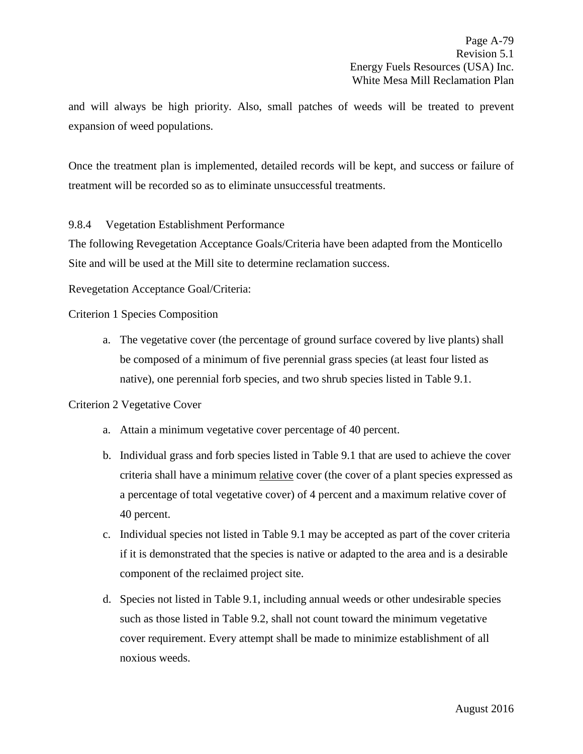and will always be high priority. Also, small patches of weeds will be treated to prevent expansion of weed populations.

Once the treatment plan is implemented, detailed records will be kept, and success or failure of treatment will be recorded so as to eliminate unsuccessful treatments.

9.8.4 Vegetation Establishment Performance

The following Revegetation Acceptance Goals/Criteria have been adapted from the Monticello Site and will be used at the Mill site to determine reclamation success.

Revegetation Acceptance Goal/Criteria:

Criterion 1 Species Composition

a. The vegetative cover (the percentage of ground surface covered by live plants) shall be composed of a minimum of five perennial grass species (at least four listed as native), one perennial forb species, and two shrub species listed in Table 9.1.

# Criterion 2 Vegetative Cover

- a. Attain a minimum vegetative cover percentage of 40 percent.
- b. Individual grass and forb species listed in Table 9.1 that are used to achieve the cover criteria shall have a minimum relative cover (the cover of a plant species expressed as a percentage of total vegetative cover) of 4 percent and a maximum relative cover of 40 percent.
- c. Individual species not listed in Table 9.1 may be accepted as part of the cover criteria if it is demonstrated that the species is native or adapted to the area and is a desirable component of the reclaimed project site.
- d. Species not listed in Table 9.1, including annual weeds or other undesirable species such as those listed in Table 9.2, shall not count toward the minimum vegetative cover requirement. Every attempt shall be made to minimize establishment of all noxious weeds.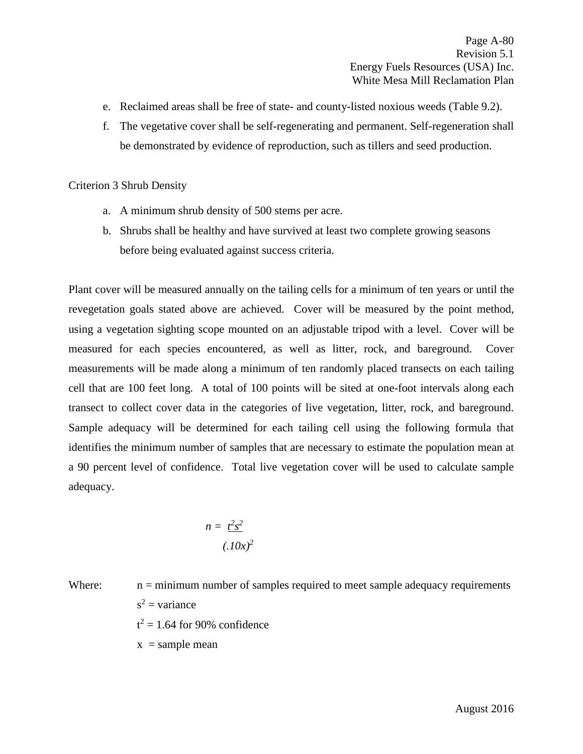- e. Reclaimed areas shall be free of state- and county-listed noxious weeds (Table 9.2).
- f. The vegetative cover shall be self-regenerating and permanent. Self-regeneration shall be demonstrated by evidence of reproduction, such as tillers and seed production.

Criterion 3 Shrub Density

- a. A minimum shrub density of 500 stems per acre.
- b. Shrubs shall be healthy and have survived at least two complete growing seasons before being evaluated against success criteria.

Plant cover will be measured annually on the tailing cells for a minimum of ten years or until the revegetation goals stated above are achieved. Cover will be measured by the point method, using a vegetation sighting scope mounted on an adjustable tripod with a level. Cover will be measured for each species encountered, as well as litter, rock, and bareground. Cover measurements will be made along a minimum of ten randomly placed transects on each tailing cell that are 100 feet long. A total of 100 points will be sited at one-foot intervals along each transect to collect cover data in the categories of live vegetation, litter, rock, and bareground. Sample adequacy will be determined for each tailing cell using the following formula that identifies the minimum number of samples that are necessary to estimate the population mean at a 90 percent level of confidence. Total live vegetation cover will be used to calculate sample adequacy.

$$
n = \frac{t^2 s^2}{(.10x)^2}
$$

Where: 
$$
n = \text{minimum number of samples required to meet sample adequacy requirements}
$$
  
\n $s^2 = \text{variance}$   
\n $t^2 = 1.64$  for 90% confidence

 $x =$ sample mean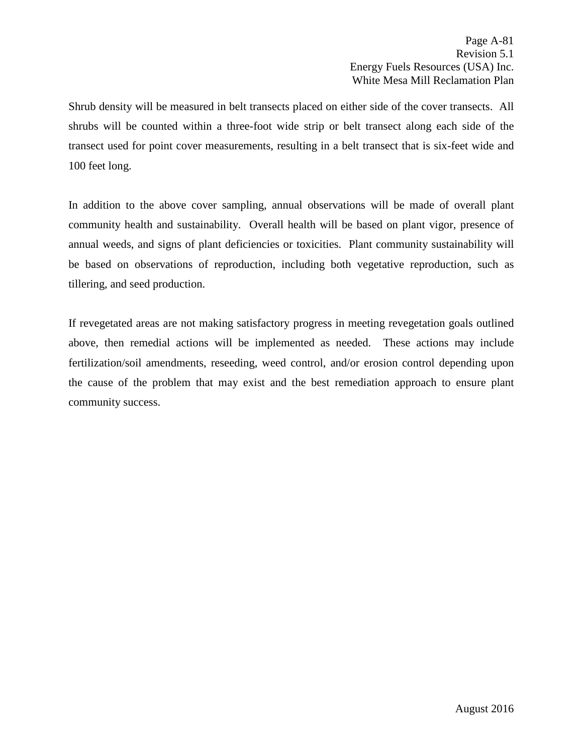Shrub density will be measured in belt transects placed on either side of the cover transects. All shrubs will be counted within a three-foot wide strip or belt transect along each side of the transect used for point cover measurements, resulting in a belt transect that is six-feet wide and 100 feet long.

In addition to the above cover sampling, annual observations will be made of overall plant community health and sustainability. Overall health will be based on plant vigor, presence of annual weeds, and signs of plant deficiencies or toxicities. Plant community sustainability will be based on observations of reproduction, including both vegetative reproduction, such as tillering, and seed production.

If revegetated areas are not making satisfactory progress in meeting revegetation goals outlined above, then remedial actions will be implemented as needed. These actions may include fertilization/soil amendments, reseeding, weed control, and/or erosion control depending upon the cause of the problem that may exist and the best remediation approach to ensure plant community success.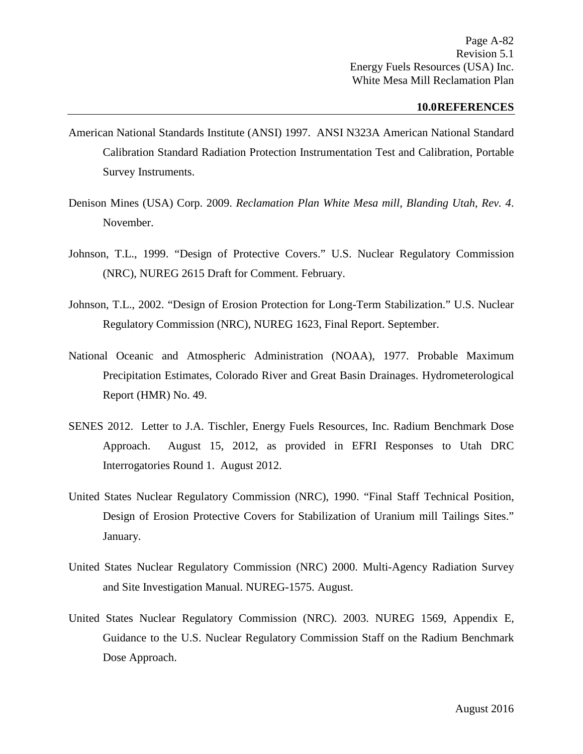#### **10.0REFERENCES**

- American National Standards Institute (ANSI) 1997. ANSI N323A American National Standard Calibration Standard Radiation Protection Instrumentation Test and Calibration, Portable Survey Instruments.
- Denison Mines (USA) Corp. 2009. *Reclamation Plan White Mesa mill, Blanding Utah, Rev. 4*. November.
- Johnson, T.L., 1999. "Design of Protective Covers." U.S. Nuclear Regulatory Commission (NRC), NUREG 2615 Draft for Comment. February.
- Johnson, T.L., 2002. "Design of Erosion Protection for Long-Term Stabilization." U.S. Nuclear Regulatory Commission (NRC), NUREG 1623, Final Report. September.
- National Oceanic and Atmospheric Administration (NOAA), 1977. Probable Maximum Precipitation Estimates, Colorado River and Great Basin Drainages. Hydrometerological Report (HMR) No. 49.
- SENES 2012. Letter to J.A. Tischler, Energy Fuels Resources, Inc. Radium Benchmark Dose Approach. August 15, 2012, as provided in EFRI Responses to Utah DRC Interrogatories Round 1. August 2012.
- United States Nuclear Regulatory Commission (NRC), 1990. "Final Staff Technical Position, Design of Erosion Protective Covers for Stabilization of Uranium mill Tailings Sites." January.
- United States Nuclear Regulatory Commission (NRC) 2000. Multi-Agency Radiation Survey and Site Investigation Manual. NUREG-1575. August.
- United States Nuclear Regulatory Commission (NRC). 2003. NUREG 1569, Appendix E, Guidance to the U.S. Nuclear Regulatory Commission Staff on the Radium Benchmark Dose Approach.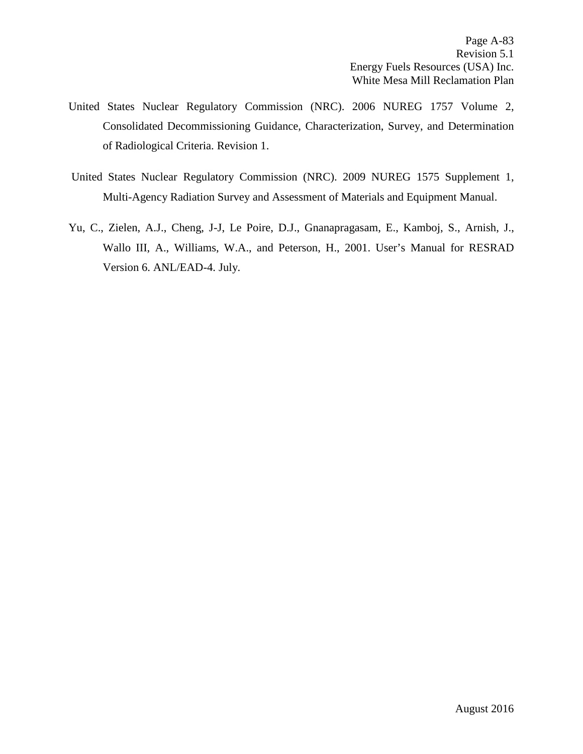- United States Nuclear Regulatory Commission (NRC). 2006 NUREG 1757 Volume 2, Consolidated Decommissioning Guidance, Characterization, Survey, and Determination of Radiological Criteria. Revision 1.
- United States Nuclear Regulatory Commission (NRC). 2009 NUREG 1575 Supplement 1, Multi-Agency Radiation Survey and Assessment of Materials and Equipment Manual.
- Yu, C., Zielen, A.J., Cheng, J-J, Le Poire, D.J., Gnanapragasam, E., Kamboj, S., Arnish, J., Wallo III, A., Williams, W.A., and Peterson, H., 2001. User's Manual for RESRAD Version 6. ANL/EAD-4. July.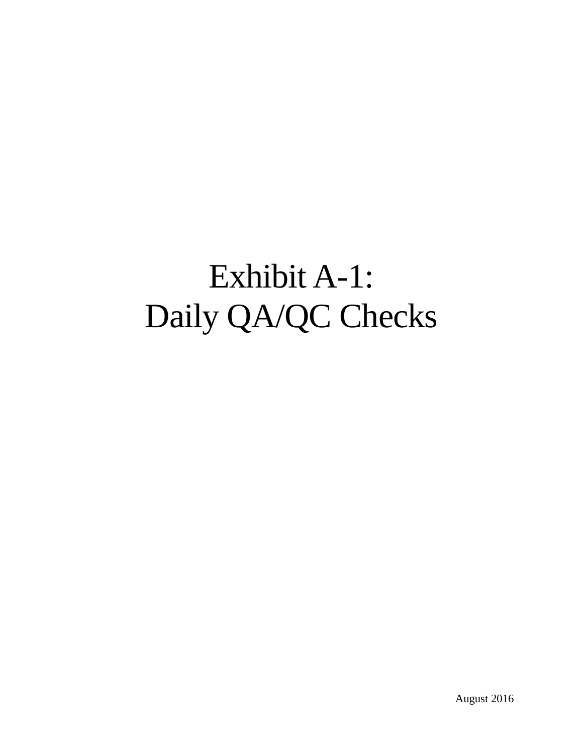# Exhibit A-1: Daily QA/QC Checks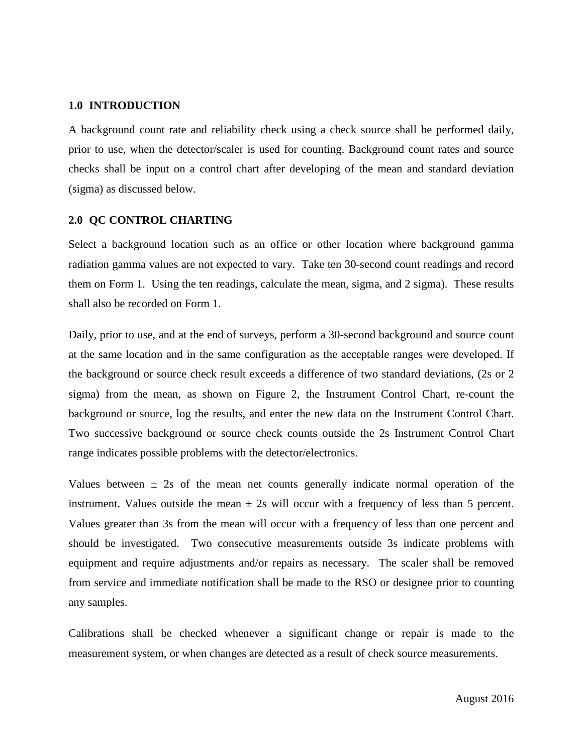#### **1.0 INTRODUCTION**

A background count rate and reliability check using a check source shall be performed daily, prior to use, when the detector/scaler is used for counting. Background count rates and source checks shall be input on a control chart after developing of the mean and standard deviation (sigma) as discussed below.

### **2.0 QC CONTROL CHARTING**

Select a background location such as an office or other location where background gamma radiation gamma values are not expected to vary. Take ten 30-second count readings and record them on Form 1. Using the ten readings, calculate the mean, sigma, and 2 sigma). These results shall also be recorded on Form 1.

Daily, prior to use, and at the end of surveys, perform a 30-second background and source count at the same location and in the same configuration as the acceptable ranges were developed. If the background or source check result exceeds a difference of two standard deviations, (2s or 2 sigma) from the mean, as shown on Figure 2, the Instrument Control Chart, re-count the background or source, log the results, and enter the new data on the Instrument Control Chart. Two successive background or source check counts outside the 2s Instrument Control Chart range indicates possible problems with the detector/electronics.

Values between  $\pm$  2s of the mean net counts generally indicate normal operation of the instrument. Values outside the mean  $\pm$  2s will occur with a frequency of less than 5 percent. Values greater than 3s from the mean will occur with a frequency of less than one percent and should be investigated. Two consecutive measurements outside 3s indicate problems with equipment and require adjustments and/or repairs as necessary. The scaler shall be removed from service and immediate notification shall be made to the RSO or designee prior to counting any samples.

Calibrations shall be checked whenever a significant change or repair is made to the measurement system, or when changes are detected as a result of check source measurements.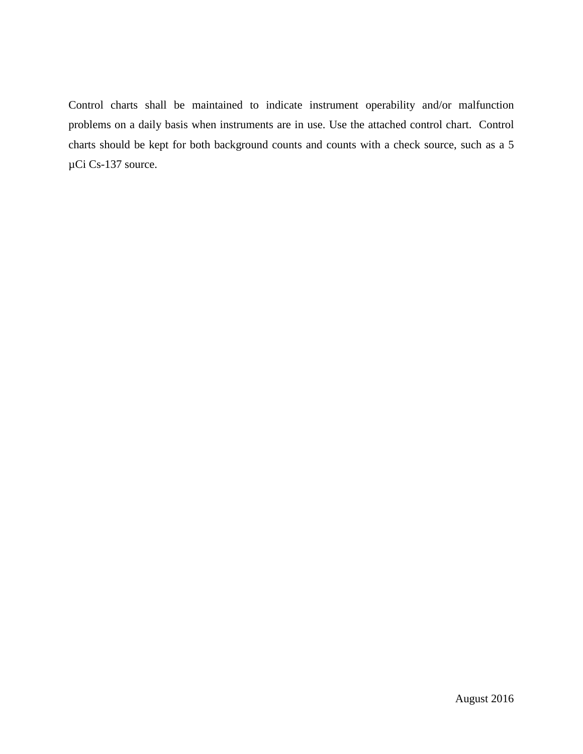Control charts shall be maintained to indicate instrument operability and/or malfunction problems on a daily basis when instruments are in use. Use the attached control chart. Control charts should be kept for both background counts and counts with a check source, such as a 5 µCi Cs-137 source.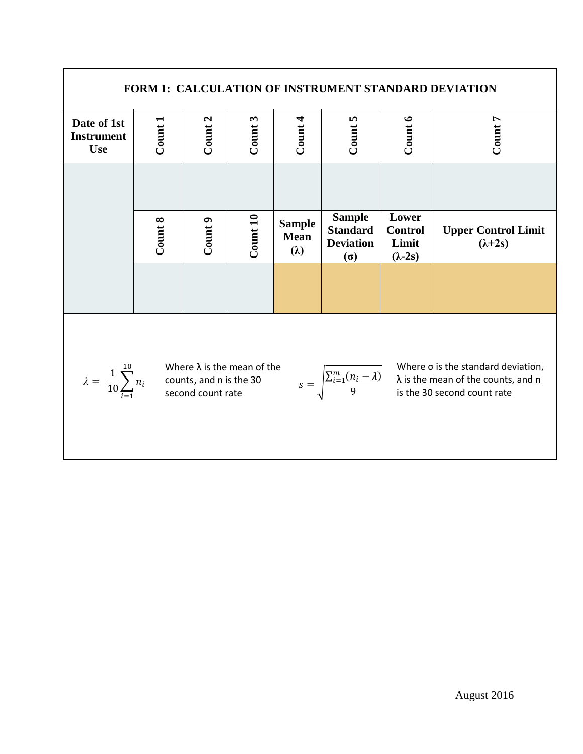| FORM 1: CALCULATION OF INSTRUMENT STANDARD DEVIATION                                                                                                                                                                                                                                                            |         |         |          |                                             |                                                                    |                                                    |                                                |  |
|-----------------------------------------------------------------------------------------------------------------------------------------------------------------------------------------------------------------------------------------------------------------------------------------------------------------|---------|---------|----------|---------------------------------------------|--------------------------------------------------------------------|----------------------------------------------------|------------------------------------------------|--|
| Date of 1st<br><b>Instrument</b><br><b>Use</b>                                                                                                                                                                                                                                                                  | Count1  | Count 2 | Count3   | Count 4                                     | Count 5                                                            | Count 6                                            | Count 7                                        |  |
|                                                                                                                                                                                                                                                                                                                 |         |         |          |                                             |                                                                    |                                                    |                                                |  |
|                                                                                                                                                                                                                                                                                                                 | Count 8 | Count9  | Count 10 | <b>Sample</b><br><b>Mean</b><br>$(\lambda)$ | <b>Sample</b><br><b>Standard</b><br><b>Deviation</b><br>$(\sigma)$ | Lower<br><b>Control</b><br>Limit<br>$(\lambda-2s)$ | <b>Upper Control Limit</b><br>$(\lambda + 2s)$ |  |
|                                                                                                                                                                                                                                                                                                                 |         |         |          |                                             |                                                                    |                                                    |                                                |  |
| Where $\sigma$ is the standard deviation,<br>Where $\lambda$ is the mean of the<br>$\lambda = \frac{1}{10} \sum_{i=1}^{10} n_i$<br>$s = \sqrt{\frac{\sum_{i=1}^{m} (n_i - \lambda)}{9}}$ $\lambda$ is the mean of the counts, and n is the 30 second count rate<br>counts, and n is the 30<br>second count rate |         |         |          |                                             |                                                                    |                                                    |                                                |  |